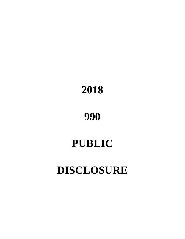# **2018**

**990**

# **PUBLIC**

# **DISCLOSURE**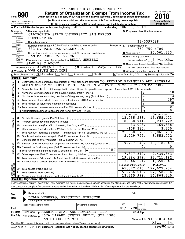|                                |                               |                                        | ** PUBLIC DISCLOSURE COPY **                                                                                                                                                                                                                                                                                             |                                                     |                         |                                                                                       |
|--------------------------------|-------------------------------|----------------------------------------|--------------------------------------------------------------------------------------------------------------------------------------------------------------------------------------------------------------------------------------------------------------------------------------------------------------------------|-----------------------------------------------------|-------------------------|---------------------------------------------------------------------------------------|
|                                |                               |                                        | <b>Return of Organization Exempt From Income Tax</b>                                                                                                                                                                                                                                                                     |                                                     |                         | OMB No. 1545-0047                                                                     |
|                                |                               | Form 990                               | Under section 501(c), 527, or 4947(a)(1) of the Internal Revenue Code (except private foundations)                                                                                                                                                                                                                       |                                                     |                         |                                                                                       |
|                                |                               | Department of the Treasury             | Do not enter social security numbers on this form as it may be made public.                                                                                                                                                                                                                                              |                                                     |                         | <b>Open to Public</b>                                                                 |
|                                |                               | Internal Revenue Service               | Go to www.irs.gov/Form990 for instructions and the latest information.                                                                                                                                                                                                                                                   |                                                     |                         | Inspection                                                                            |
|                                |                               |                                        | 2018<br>JUL 1,<br>A For the 2018 calendar year, or tax year beginning                                                                                                                                                                                                                                                    | and ending $JUN$ 30,                                | 2019                    |                                                                                       |
|                                | <b>B</b> Check if applicable: |                                        | C Name of organization                                                                                                                                                                                                                                                                                                   | D Employer identification number                    |                         |                                                                                       |
|                                | Address                       |                                        | CALIFORNIA STATE UNIVERSITY SAN MARCOS                                                                                                                                                                                                                                                                                   |                                                     |                         |                                                                                       |
|                                | change<br>]Name<br>]change    |                                        | CORPORATION                                                                                                                                                                                                                                                                                                              |                                                     | 33-0397688              |                                                                                       |
|                                | Initial                       |                                        | Doing business as                                                                                                                                                                                                                                                                                                        |                                                     |                         |                                                                                       |
|                                | return<br> Final              |                                        | Number and street (or P.O. box if mail is not delivered to street address)<br>Room/suite<br>333 S. TWIN OAK VALLEY RD.                                                                                                                                                                                                   | E Telephone number                                  |                         | $760 - 750 - 4700$                                                                    |
|                                | return/<br>termin-<br>ated    |                                        | City or town, state or province, country, and ZIP or foreign postal code                                                                                                                                                                                                                                                 | G Gross receipts \$                                 |                         | 25,061,233.                                                                           |
|                                | Amended<br>return             |                                        | 92096<br>SAN MARCOS, CA                                                                                                                                                                                                                                                                                                  | H(a) Is this a group return                         |                         |                                                                                       |
|                                | Applica-<br>tion              |                                        | F Name and address of principal officer: BELLA NEWBERG                                                                                                                                                                                                                                                                   |                                                     | for subordinates?       | $\sqrt{}$ Yes $\sqrt{ \text{X}}$ No                                                   |
|                                | pending                       |                                        | SAME AS C ABOVE                                                                                                                                                                                                                                                                                                          |                                                     |                         | No.<br>$H(b)$ Are all subordinates included? $\Box$ Yes                               |
|                                |                               | Tax-exempt status: $X \over 301(c)(3)$ | $501(c)$ (<br>$4947(a)(1)$ or<br>$\sqrt{\bullet}$ (insert no.)                                                                                                                                                                                                                                                           | 527                                                 |                         | If "No," attach a list. (see instructions)                                            |
|                                |                               |                                        | J Website: WWW.CSUSM.EDU/CORP                                                                                                                                                                                                                                                                                            | $H(c)$ Group exemption number $\blacktriangleright$ |                         |                                                                                       |
|                                |                               |                                        | <b>K</b> Form of organization: $\boxed{\textbf{X}}$ Corporation<br>Other $\blacktriangleright$<br>Trust<br>Association                                                                                                                                                                                                   |                                                     |                         | L Year of formation: $1990 \text{ m}$ State of legal domicile: $\overline{\text{CA}}$ |
|                                | Part I                        | <b>Summary</b>                         |                                                                                                                                                                                                                                                                                                                          |                                                     |                         |                                                                                       |
|                                | 1                             |                                        | Briefly describe the organization's mission or most significant activities: TO PROVIDE FINANCIAL AND PROGRAM                                                                                                                                                                                                             |                                                     |                         |                                                                                       |
| Governance                     |                               |                                        | ADMINISTRATIVE SUPPORT TO CALIFORNIA STATE UNIVERSITY SAN MARCOS.                                                                                                                                                                                                                                                        |                                                     |                         |                                                                                       |
|                                | 2                             |                                        | Check this box $\blacktriangleright$ $\Box$ if the organization discontinued its operations or disposed of more than 25% of its net assets.                                                                                                                                                                              |                                                     |                         |                                                                                       |
|                                | з                             |                                        | Number of voting members of the governing body (Part VI, line 1a)                                                                                                                                                                                                                                                        |                                                     | 3                       | 10                                                                                    |
|                                | 4                             |                                        |                                                                                                                                                                                                                                                                                                                          |                                                     | $\overline{\mathbf{4}}$ | 3                                                                                     |
|                                | 5                             |                                        |                                                                                                                                                                                                                                                                                                                          |                                                     | $\overline{5}$          | 797                                                                                   |
| Activities &                   | 6                             |                                        |                                                                                                                                                                                                                                                                                                                          |                                                     | 6                       | $\overline{38}$                                                                       |
|                                |                               |                                        |                                                                                                                                                                                                                                                                                                                          |                                                     | 7a                      | $\overline{0}$ .<br>$\overline{0}$ .                                                  |
|                                |                               |                                        |                                                                                                                                                                                                                                                                                                                          |                                                     | <b>7b</b>               |                                                                                       |
|                                |                               |                                        |                                                                                                                                                                                                                                                                                                                          | <b>Prior Year</b><br>13,055,233.                    |                         | <b>Current Year</b><br>15,655,423.                                                    |
|                                | 8                             |                                        | Contributions and grants (Part VIII, line 1h)                                                                                                                                                                                                                                                                            | 8,950,714.                                          |                         | 9, 233, 222.                                                                          |
| Revenue                        | 9<br>10                       |                                        | Program service revenue (Part VIII, line 2g)                                                                                                                                                                                                                                                                             |                                                     | 33,003.                 | 169,338.                                                                              |
|                                | 11                            |                                        |                                                                                                                                                                                                                                                                                                                          | $-108, 380.$                                        |                         | 3,250.                                                                                |
|                                | 12                            |                                        | Total revenue - add lines 8 through 11 (must equal Part VIII, column (A), line 12)                                                                                                                                                                                                                                       | 21,930,570.                                         |                         | 25,061,233.                                                                           |
|                                | 13                            |                                        | Grants and similar amounts paid (Part IX, column (A), lines 1-3)                                                                                                                                                                                                                                                         | 2,729,729.                                          |                         | 3,553,002.                                                                            |
|                                |                               |                                        |                                                                                                                                                                                                                                                                                                                          |                                                     | $\overline{0}$ .        | О.                                                                                    |
|                                |                               |                                        | Salaries, other compensation, employee benefits (Part IX, column (A), lines 5-10)                                                                                                                                                                                                                                        | 9,777,240 <b>.</b>                                  |                         | 10,718,847.                                                                           |
| Expenses                       |                               |                                        |                                                                                                                                                                                                                                                                                                                          |                                                     | $\overline{0}$ .        | $\overline{0}$ .                                                                      |
|                                |                               |                                        | 0.<br><b>b</b> Total fundraising expenses (Part IX, column (D), line 25)                                                                                                                                                                                                                                                 |                                                     |                         |                                                                                       |
|                                |                               |                                        | 17 Other expenses (Part IX, column (A), lines 11a-11d, 11f-24e)                                                                                                                                                                                                                                                          | 7,377,310.                                          |                         | 9,439,343.                                                                            |
|                                | 18                            |                                        | Total expenses. Add lines 13-17 (must equal Part IX, column (A), line 25) [                                                                                                                                                                                                                                              | 19,884,279.                                         |                         | 23, 711, 192.                                                                         |
|                                | 19                            |                                        |                                                                                                                                                                                                                                                                                                                          | 2,046,291.                                          |                         | 1,350,041.                                                                            |
| Net Assets or<br>Fund Balances |                               |                                        |                                                                                                                                                                                                                                                                                                                          | <b>Beginning of Current Year</b>                    |                         | <b>End of Year</b>                                                                    |
|                                | 20                            | Total assets (Part X, line 16)         |                                                                                                                                                                                                                                                                                                                          | 65,022,015.                                         |                         | 122,627,234.                                                                          |
|                                | 21                            |                                        | Total liabilities (Part X, line 26)                                                                                                                                                                                                                                                                                      | 51, 756, 016.                                       |                         | 107,758,994.                                                                          |
|                                | 22                            |                                        |                                                                                                                                                                                                                                                                                                                          | 13,265,999.                                         |                         | 14,868,240.                                                                           |
|                                | Part II                       | <b>Signature Block</b>                 |                                                                                                                                                                                                                                                                                                                          |                                                     |                         |                                                                                       |
|                                |                               |                                        | Under penalties of perjury, I declare that I have examined this return, including accompanying schedules and statements, and to the best of my knowledge and belief, it is<br>true, correct, and complete. Declaration of preparer (other than officer) is based on all information of which preparer has any knowledge. |                                                     |                         |                                                                                       |
|                                |                               |                                        |                                                                                                                                                                                                                                                                                                                          |                                                     |                         |                                                                                       |
| Sign                           |                               |                                        | Signature of officer                                                                                                                                                                                                                                                                                                     | Date                                                |                         |                                                                                       |
|                                |                               |                                        |                                                                                                                                                                                                                                                                                                                          |                                                     |                         |                                                                                       |

| Sign     | Signature of officer                                                              |                      |      | Date                       |
|----------|-----------------------------------------------------------------------------------|----------------------|------|----------------------------|
| Here     | BELLA NEWBERG, EXECUTIVE DIRECTOR                                                 |                      |      |                            |
|          | Type or print name and title                                                      |                      |      |                            |
|          | Print/Type preparer's name                                                        | Preparer's signature | Date | <b>PTIN</b><br>Check       |
| Paid     |                                                                                   |                      |      | $01/30/20$ self-employed   |
| Preparer | ALDRICH CPAS AND ADVISORS, LLP<br>Firm's name                                     |                      |      | Firm's $EIN$               |
| Use Only | Firm's address 7676 HAZARD CENTER DRIVE, STE 1300                                 |                      |      |                            |
|          | SAN DIEGO, CA 92108                                                               |                      |      | Phone no. $(619)$ 810-4940 |
|          | May the IRS discuss this return with the preparer shown above? (see instructions) |                      |      | X l<br>Yes<br><b>No</b>    |
|          |                                                                                   |                      |      |                            |

832001 12-31-18 **For Paperwork Reduction Act Notice, see the separate instructions.** LHA Form (2018)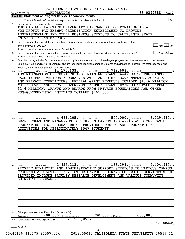|              | CALIFORNIA STATE UNIVERSITY SAN MARCOS<br>33-0397688<br>CORPORATION<br>Page 2<br>Form 990 (2018)                                                                                                                                                      |
|--------------|-------------------------------------------------------------------------------------------------------------------------------------------------------------------------------------------------------------------------------------------------------|
|              | Part III   Statement of Program Service Accomplishments                                                                                                                                                                                               |
|              | $\overline{\mathbf{X}}$                                                                                                                                                                                                                               |
| 1            | Briefly describe the organization's mission:                                                                                                                                                                                                          |
|              | THE CALIFORNIA STATE UNIVERSITY SAN MARCOS, CORPORATION IS A                                                                                                                                                                                          |
|              | NON-PROFIT TAX EXEMPT ORGANIZATION ESTABLISHED TO PROVIDE                                                                                                                                                                                             |
|              | ADMINISTRATIVE AND OTHER BUSINESS SERVICES TO CALIFORNIA STATE<br>UNIVERSITY SAN MARCOS.                                                                                                                                                              |
|              | Did the organization undertake any significant program services during the year which were not listed on the                                                                                                                                          |
| $\mathbf{2}$ | $\sqrt{\mathsf{Yes}\ \mathbb{X}}$ No<br>prior Form 990 or 990-EZ?                                                                                                                                                                                     |
|              | If "Yes," describe these new services on Schedule O.                                                                                                                                                                                                  |
| 3            | $\overline{\ }$ Yes $\overline{\phantom{a}X}$ No<br>Did the organization cease conducting, or make significant changes in how it conducts, any program services?                                                                                      |
|              | If "Yes," describe these changes on Schedule O.                                                                                                                                                                                                       |
| 4            | Describe the organization's program service accomplishments for each of its three largest program services, as measured by expenses.                                                                                                                  |
|              | Section 501(c)(3) and 501(c)(4) organizations are required to report the amount of grants and allocations to others, the total expenses, and                                                                                                          |
|              | revenue, if any, for each program service reported.                                                                                                                                                                                                   |
| 4a           | 14, 172, 633. including grants of \$2, 719, 608. ) (Revenue \$<br>(Expenses \$<br>(Code:                                                                                                                                                              |
|              | ADMINISTRATION OF RESEARCH AND TRAINING GRANTS AWARDED TO THE CAMPUS                                                                                                                                                                                  |
|              | FACULTY FROM VARIOUS FEDERAL, STATE, AND OTHER GOVERNMENTAL AGENCIES                                                                                                                                                                                  |
|              | AND PRIVATE FOUNDATIONS. FEDERAL GRANT REVENUES TOTALED \$13.6 MILLION<br>WHILE STATE AND LOCAL GOVERNMENT AGENCY GRANT REVENUES TOTALED APPROX                                                                                                       |
|              | \$1.6 MILLION. GRANTS AND AWARDS FROM PRIVATE FOUNDATIONS AND OTHER                                                                                                                                                                                   |
|              | NON-GOVERNMENTAL ENTITIES TOTALED \$465,000.                                                                                                                                                                                                          |
|              |                                                                                                                                                                                                                                                       |
|              |                                                                                                                                                                                                                                                       |
|              |                                                                                                                                                                                                                                                       |
|              |                                                                                                                                                                                                                                                       |
|              |                                                                                                                                                                                                                                                       |
| 4b           | 500,000. $ $ (Revenue \$<br>6, 219, 417.<br>4, 681, 205. including grants of \$<br>(Expenses \$<br>(Code:<br>DEVELOPMENT AND MANAGEMENT OF THE ON-CAMPUS AND AFFILIATED OFF-CAMPUS<br>STUDENT HOUSING PROGRAM WHICH PROVIDES HOUSING AND STUDENT-LIFE |
|              | ACTIVITIES FOR APPROXIMATELY 1547 STUDENTS.                                                                                                                                                                                                           |
|              |                                                                                                                                                                                                                                                       |
|              |                                                                                                                                                                                                                                                       |
|              |                                                                                                                                                                                                                                                       |
|              |                                                                                                                                                                                                                                                       |
|              |                                                                                                                                                                                                                                                       |
|              |                                                                                                                                                                                                                                                       |
|              |                                                                                                                                                                                                                                                       |
|              |                                                                                                                                                                                                                                                       |
| 4c           | 2,455,213.<br>133,394.<br>2,404,91<br>) (Revenue \$<br>including grants of \$<br>(Expenses \$<br>(Code:                                                                                                                                               |
|              | PROVIDE FINANCIAL AND ADMINISTRATIVE SUPPORT SERVICES TO VARIOUS CAMPUS                                                                                                                                                                               |
|              | PROGRAMS AND ACTIVITIES.<br>OTHER CAMPUS PROGRAMS FOR WHICH SERVICES WERE                                                                                                                                                                             |
|              | INCLUDE FACULTY RESEARCH DEVELOPMENT AND VARIOUS COMMUNITY<br>PROVIDED                                                                                                                                                                                |
|              | OUTREACH PROGRAMS.                                                                                                                                                                                                                                    |
|              |                                                                                                                                                                                                                                                       |
|              |                                                                                                                                                                                                                                                       |
|              |                                                                                                                                                                                                                                                       |
|              |                                                                                                                                                                                                                                                       |
|              |                                                                                                                                                                                                                                                       |
|              |                                                                                                                                                                                                                                                       |
|              |                                                                                                                                                                                                                                                       |
|              | 4d Other program services (Describe in Schedule O.)<br>608,888.<br>200,000.) (Revenue \$<br>200,000 · including grants of \$<br>(Expenses \$                                                                                                          |
| 4е           | 21,509,051.<br>Total program service expenses                                                                                                                                                                                                         |
|              | Form 990 (2018)                                                                                                                                                                                                                                       |
|              | 832002 12-31-18                                                                                                                                                                                                                                       |
|              | 3<br>13440130 310575 20557.004<br>2018.05030 CALIFORNIA STATE UNIVERSITY 20557 31                                                                                                                                                                     |
|              |                                                                                                                                                                                                                                                       |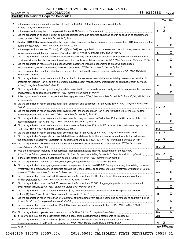|  |  | CALIFORNIA STATE UNIVERSITY SAN MARCOS |  |  |
|--|--|----------------------------------------|--|--|
|--|--|----------------------------------------|--|--|

|    | <b>Part IV   Checklist of Required Schedules</b>                                                                                                                                                                                    |                |                       |                         |
|----|-------------------------------------------------------------------------------------------------------------------------------------------------------------------------------------------------------------------------------------|----------------|-----------------------|-------------------------|
|    |                                                                                                                                                                                                                                     |                | Yes                   | No                      |
| 1. | Is the organization described in section 501(c)(3) or 4947(a)(1) (other than a private foundation)?                                                                                                                                 |                |                       |                         |
|    |                                                                                                                                                                                                                                     | 1              | X                     |                         |
| 2  |                                                                                                                                                                                                                                     | $\mathbf{2}$   | $\overline{\text{x}}$ |                         |
| 3  | Did the organization engage in direct or indirect political campaign activities on behalf of or in opposition to candidates for                                                                                                     |                |                       |                         |
|    |                                                                                                                                                                                                                                     | 3              |                       | х                       |
| 4  | Section 501(c)(3) organizations. Did the organization engage in lobbying activities, or have a section 501(h) election in effect                                                                                                    | 4              |                       | X                       |
| 5  | Is the organization a section 501(c)(4), 501(c)(5), or 501(c)(6) organization that receives membership dues, assessments, or                                                                                                        |                |                       |                         |
|    |                                                                                                                                                                                                                                     | 5              |                       | х                       |
| 6  | Did the organization maintain any donor advised funds or any similar funds or accounts for which donors have the right to                                                                                                           |                |                       |                         |
|    | provide advice on the distribution or investment of amounts in such funds or accounts? If "Yes," complete Schedule D, Part I                                                                                                        | 6              |                       | х                       |
| 7  | Did the organization receive or hold a conservation easement, including easements to preserve open space,                                                                                                                           |                |                       |                         |
|    |                                                                                                                                                                                                                                     | $\overline{7}$ |                       | X                       |
| 8  | Did the organization maintain collections of works of art, historical treasures, or other similar assets? If "Yes," complete                                                                                                        |                |                       |                         |
|    | Schedule D, Part III <b>Marting Communities</b> and the contract of the contract of the contract of the contract of the contract of the contract of the contract of the contract of the contract of the contract of the contract of | 8              |                       | х                       |
| 9  | Did the organization report an amount in Part X, line 21, for escrow or custodial account liability, serve as a custodian for                                                                                                       |                |                       |                         |
|    | amounts not listed in Part X; or provide credit counseling, debt management, credit repair, or debt negotiation services?                                                                                                           |                |                       |                         |
|    |                                                                                                                                                                                                                                     | 9              |                       | X                       |
|    |                                                                                                                                                                                                                                     |                |                       |                         |
| 10 | Did the organization, directly or through a related organization, hold assets in temporarily restricted endowments, permanent                                                                                                       | 10             |                       | x                       |
| 11 | If the organization's answer to any of the following questions is "Yes," then complete Schedule D, Parts VI, VII, VIII, IX, or X                                                                                                    |                |                       |                         |
|    | as applicable.                                                                                                                                                                                                                      |                |                       |                         |
|    | a Did the organization report an amount for land, buildings, and equipment in Part X, line 10? If "Yes," complete Schedule D,                                                                                                       |                |                       |                         |
|    | Part VI                                                                                                                                                                                                                             | 11a            | x                     |                         |
|    | <b>b</b> Did the organization report an amount for investments - other securities in Part X, line 12 that is 5% or more of its total                                                                                                |                |                       |                         |
|    |                                                                                                                                                                                                                                     | 11b            |                       | х                       |
|    | c Did the organization report an amount for investments - program related in Part X, line 13 that is 5% or more of its total                                                                                                        |                |                       |                         |
|    |                                                                                                                                                                                                                                     | 11c            |                       | х                       |
|    | d Did the organization report an amount for other assets in Part X, line 15 that is 5% or more of its total assets reported in                                                                                                      |                |                       |                         |
|    |                                                                                                                                                                                                                                     | 11d            |                       | X                       |
|    |                                                                                                                                                                                                                                     | 11e            | х                     |                         |
| f  | Did the organization's separate or consolidated financial statements for the tax year include a footnote that addresses                                                                                                             |                |                       |                         |
|    | the organization's liability for uncertain tax positions under FIN 48 (ASC 740)? If "Yes," complete Schedule D, Part X                                                                                                              | 11f            | х                     |                         |
|    | 12a Did the organization obtain separate, independent audited financial statements for the tax year? If "Yes," complete                                                                                                             |                |                       |                         |
|    | Schedule D, Parts XI and XII                                                                                                                                                                                                        | 12a            | х                     |                         |
|    | <b>b</b> Was the organization included in consolidated, independent audited financial statements for the tax year?                                                                                                                  |                |                       |                         |
|    | If "Yes," and if the organization answered "No" to line 12a, then completing Schedule D, Parts XI and XII is optional <i></i>                                                                                                       | 12b            | х                     |                         |
| 13 |                                                                                                                                                                                                                                     | 13             |                       | Χ                       |
|    |                                                                                                                                                                                                                                     | 14a            |                       | $\overline{\textbf{X}}$ |
|    | <b>b</b> Did the organization have aggregate revenues or expenses of more than \$10,000 from grantmaking, fundraising, business,                                                                                                    |                |                       |                         |
|    | investment, and program service activities outside the United States, or aggregate foreign investments valued at \$100,000                                                                                                          |                |                       |                         |
|    |                                                                                                                                                                                                                                     | 14b            |                       | х                       |
| 15 | Did the organization report on Part IX, column (A), line 3, more than \$5,000 of grants or other assistance to or for any                                                                                                           |                |                       |                         |
|    |                                                                                                                                                                                                                                     | 15             |                       | х                       |
| 16 | Did the organization report on Part IX, column (A), line 3, more than \$5,000 of aggregate grants or other assistance to                                                                                                            |                |                       |                         |
|    |                                                                                                                                                                                                                                     | 16             |                       | х                       |
| 17 | Did the organization report a total of more than \$15,000 of expenses for professional fundraising services on Part IX,                                                                                                             |                |                       |                         |
|    |                                                                                                                                                                                                                                     | 17             |                       | х                       |
| 18 | Did the organization report more than \$15,000 total of fundraising event gross income and contributions on Part VIII. lines                                                                                                        |                |                       |                         |
|    |                                                                                                                                                                                                                                     | 18             |                       | x                       |
| 19 | Did the organization report more than \$15,000 of gross income from gaming activities on Part VIII, line 9a? If "Yes,"                                                                                                              |                |                       |                         |
|    |                                                                                                                                                                                                                                     | 19             |                       | х                       |
|    | 20a Did the organization operate one or more hospital facilities? If "Yes," complete Schedule H                                                                                                                                     | 20a            |                       | X                       |
|    |                                                                                                                                                                                                                                     |                |                       |                         |

**21 b** If "Yes" to line 20a, did the organization attach a copy of its audited financial statements to this return? ~~~~~~~~~~ Did the organization report more than \$5,000 of grants or other assistance to any domestic organization or

832003 12-31-18 domestic government on Part IX, column (A), line 1? If "Yes," complete Schedule I, Parts I and II mummumumumumumu Form (2018) **990** X

**20b**

**21**

13440130 310575 20557.004 2018.05030 CALIFORNIA STATE UNIVERSITY 20557\_31

4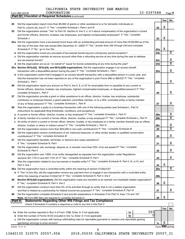*(continued)* **Part IV Checklist of Required Schedules**

|               |                                                                                                                                                                                                                                |                 | Yes | No                      |
|---------------|--------------------------------------------------------------------------------------------------------------------------------------------------------------------------------------------------------------------------------|-----------------|-----|-------------------------|
| 22            | Did the organization report more than \$5,000 of grants or other assistance to or for domestic individuals on                                                                                                                  |                 |     |                         |
|               |                                                                                                                                                                                                                                | 22              | x   |                         |
| 23            | Did the organization answer "Yes" to Part VII, Section A, line 3, 4, or 5 about compensation of the organization's current                                                                                                     |                 |     |                         |
|               | and former officers, directors, trustees, key employees, and highest compensated employees? If "Yes," complete                                                                                                                 |                 |     |                         |
|               | Schedule J                                                                                                                                                                                                                     | 23              | x   |                         |
|               | 24a Did the organization have a tax-exempt bond issue with an outstanding principal amount of more than \$100,000 as of the                                                                                                    |                 |     |                         |
|               | last day of the year, that was issued after December 31, 2002? If "Yes," answer lines 24b through 24d and complete                                                                                                             |                 |     |                         |
|               |                                                                                                                                                                                                                                | 24a             | х   |                         |
|               | <b>b</b> Did the organization invest any proceeds of tax-exempt bonds beyond a temporary period exception?                                                                                                                     | 24b             |     | $\overline{\text{X}}$   |
|               | c Did the organization maintain an escrow account other than a refunding escrow at any time during the year to defease                                                                                                         |                 |     |                         |
|               |                                                                                                                                                                                                                                | 24c             |     | х                       |
|               |                                                                                                                                                                                                                                | 24d             |     | $\overline{\textbf{X}}$ |
|               | 25a Section 501(c)(3), 501(c)(4), and 501(c)(29) organizations. Did the organization engage in an excess benefit                                                                                                               |                 |     |                         |
|               | transaction with a disqualified person during the year? If "Yes," complete Schedule L, Part I manual manual manual manual manual manual manual manual manual manual manual manual manual manual manual manual manual manual ma | 25a             |     | x                       |
|               | <b>b</b> Is the organization aware that it engaged in an excess benefit transaction with a disqualified person in a prior year, and                                                                                            |                 |     |                         |
|               | that the transaction has not been reported on any of the organization's prior Forms 990 or 990-EZ? If "Yes," complete                                                                                                          |                 |     |                         |
|               | Schedule L, Part I                                                                                                                                                                                                             | 25b             |     | x                       |
| 26            | Did the organization report any amount on Part X, line 5, 6, or 22 for receivables from or payables to any current or                                                                                                          |                 |     |                         |
|               | former officers, directors, trustees, key employees, highest compensated employees, or disqualified persons? If "Yes,"                                                                                                         |                 |     | x                       |
|               | complete Schedule L, Part II                                                                                                                                                                                                   | 26              |     |                         |
| 27            | Did the organization provide a grant or other assistance to an officer, director, trustee, key employee, substantial                                                                                                           |                 |     |                         |
|               | contributor or employee thereof, a grant selection committee member, or to a 35% controlled entity or family member                                                                                                            | 27              |     | х                       |
| 28            | Was the organization a party to a business transaction with one of the following parties (see Schedule L, Part IV                                                                                                              |                 |     |                         |
|               | instructions for applicable filing thresholds, conditions, and exceptions):                                                                                                                                                    |                 |     |                         |
| a             | A current or former officer, director, trustee, or key employee? If "Yes," complete Schedule L, Part IV                                                                                                                        | 28a             |     | х                       |
| b             | A family member of a current or former officer, director, trustee, or key employee? If "Yes," complete Schedule L, Part IV                                                                                                     | 28 <sub>b</sub> |     | $\overline{\textbf{X}}$ |
|               | c An entity of which a current or former officer, director, trustee, or key employee (or a family member thereof) was an officer,                                                                                              |                 |     |                         |
|               | director, trustee, or direct or indirect owner? If "Yes," complete Schedule L, Part IV                                                                                                                                         | 28c             |     | х                       |
| 29            |                                                                                                                                                                                                                                | 29              |     | $\overline{\texttt{x}}$ |
| 30            | Did the organization receive contributions of art, historical treasures, or other similar assets, or qualified conservation                                                                                                    |                 |     |                         |
|               |                                                                                                                                                                                                                                | 30              |     | x                       |
| 31            | Did the organization liquidate, terminate, or dissolve and cease operations?                                                                                                                                                   |                 |     |                         |
|               |                                                                                                                                                                                                                                | 31              |     | x                       |
| 32            | Did the organization sell, exchange, dispose of, or transfer more than 25% of its net assets? If "Yes," complete                                                                                                               |                 |     |                         |
|               |                                                                                                                                                                                                                                | 32              |     | x                       |
| 33            | Did the organization own 100% of an entity disregarded as separate from the organization under Regulations                                                                                                                     |                 |     |                         |
|               | sections 301.7701-2 and 301.7701-3? If "Yes," complete Schedule R, Part I                                                                                                                                                      | 33              |     | x.                      |
| 34            | Was the organization related to any tax-exempt or taxable entity? If "Yes," complete Schedule R, Part II, III, or IV, and                                                                                                      |                 |     |                         |
|               | Part V, line 1                                                                                                                                                                                                                 | 34              | х   | х                       |
|               | 35a Did the organization have a controlled entity within the meaning of section 512(b)(13)?<br>b If "Yes" to line 35a, did the organization receive any payment from or engage in any transaction with a controlled entity     | <b>35a</b>      |     |                         |
|               |                                                                                                                                                                                                                                | 35 <sub>b</sub> |     |                         |
| 36            | Section 501(c)(3) organizations. Did the organization make any transfers to an exempt non-charitable related organization?                                                                                                     |                 |     |                         |
|               | If "Yes," complete Schedule R, Part V, line 2                                                                                                                                                                                  | 36              | x   |                         |
| 37            | Did the organization conduct more than 5% of its activities through an entity that is not a related organization                                                                                                               |                 |     |                         |
|               |                                                                                                                                                                                                                                | 37              |     | x                       |
| 38            | Did the organization complete Schedule O and provide explanations in Schedule O for Part VI, lines 11b and 19?                                                                                                                 |                 |     |                         |
|               |                                                                                                                                                                                                                                | 38              | х   |                         |
| <b>Part V</b> | <b>Statements Regarding Other IRS Filings and Tax Compliance</b>                                                                                                                                                               |                 |     |                         |
|               | Check if Schedule O contains a response or note to any line in this Part V                                                                                                                                                     |                 |     |                         |
|               |                                                                                                                                                                                                                                |                 | Yes | No                      |
|               | 365<br>1a                                                                                                                                                                                                                      |                 |     |                         |
| b             | 0<br>1b                                                                                                                                                                                                                        |                 |     |                         |
|               | c Did the organization comply with backup withholding rules for reportable payments to vendors and reportable gaming                                                                                                           |                 | x   |                         |
|               | 832004 12-31-18                                                                                                                                                                                                                | 1c              |     | Form 990 (2018)         |
|               | 5                                                                                                                                                                                                                              |                 |     |                         |

13440130 310575 20557.004 2018.05030 CALIFORNIA STATE UNIVERSITY 20557\_31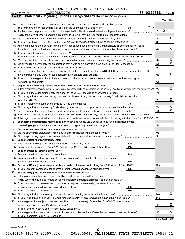| Part V | Statements Regarding Other IRS Filings and Tax Compliance (continued)                                                                                        |                |     |                         |
|--------|--------------------------------------------------------------------------------------------------------------------------------------------------------------|----------------|-----|-------------------------|
|        |                                                                                                                                                              |                | Yes | No                      |
|        | 2a Enter the number of employees reported on Form W-3, Transmittal of Wage and Tax Statements,                                                               |                |     |                         |
|        | 797<br>filed for the calendar year ending with or within the year covered by this return<br>2a                                                               |                |     |                         |
| b      |                                                                                                                                                              | 2 <sub>b</sub> | х   |                         |
|        | Note. If the sum of lines 1a and 2a is greater than 250, you may be required to e-file (see instructions) <i>marroummann</i>                                 |                |     |                         |
|        | 3a Did the organization have unrelated business gross income of \$1,000 or more during the year?                                                             | За             |     | х                       |
| b      |                                                                                                                                                              | 3b             |     |                         |
|        | 4a At any time during the calendar year, did the organization have an interest in, or a signature or other authority over, a                                 |                |     |                         |
|        | financial account in a foreign country (such as a bank account, securities account, or other financial account)?                                             | 4a             |     | х                       |
|        | <b>b</b> If "Yes," enter the name of the foreign country: $\blacktriangleright$                                                                              |                |     |                         |
|        | See instructions for filing requirements for FinCEN Form 114, Report of Foreign Bank and Financial Accounts (FBAR).                                          |                |     |                         |
| 5a     |                                                                                                                                                              | 5a             |     | х                       |
| b      |                                                                                                                                                              | 5b             |     | $\overline{\mathbf{X}}$ |
| с      |                                                                                                                                                              | 5с             |     |                         |
|        | 6a Does the organization have annual gross receipts that are normally greater than \$100,000, and did the organization solicit                               |                |     |                         |
|        |                                                                                                                                                              | 6a             |     | х                       |
| b      | If "Yes," did the organization include with every solicitation an express statement that such contributions or gifts                                         |                |     |                         |
|        | were not tax deductible?                                                                                                                                     | 6b             |     |                         |
| 7      | Organizations that may receive deductible contributions under section 170(c).                                                                                |                |     |                         |
| а      | Did the organization receive a payment in excess of \$75 made partly as a contribution and partly for goods and services provided to the payor?              | 7a             |     | х                       |
| b      |                                                                                                                                                              | 7b             |     |                         |
| с      | Did the organization sell, exchange, or otherwise dispose of tangible personal property for which it was required                                            |                |     |                         |
|        |                                                                                                                                                              | 7c             |     | х                       |
| d      | 7d                                                                                                                                                           |                |     |                         |
| е      | Did the organization receive any funds, directly or indirectly, to pay premiums on a personal benefit contract?                                              | 7е             |     | х                       |
| f      |                                                                                                                                                              | 7f             |     | $\overline{\mathbf{X}}$ |
| g      | If the organization received a contribution of qualified intellectual property, did the organization file Form 8899 as required?                             | 7g             |     |                         |
| h      | If the organization received a contribution of cars, boats, airplanes, or other vehicles, did the organization file a Form 1098-C?                           | 7h             |     |                         |
| 8      | Sponsoring organizations maintaining donor advised funds. Did a donor advised fund maintained by the                                                         |                |     |                         |
|        |                                                                                                                                                              | 8              |     |                         |
| 9      | Sponsoring organizations maintaining donor advised funds.                                                                                                    |                |     |                         |
| а      | Did the sponsoring organization make any taxable distributions under section 4966?                                                                           | <b>9a</b>      |     |                         |
| b      |                                                                                                                                                              | 9b             |     |                         |
| 10     | Section 501(c)(7) organizations. Enter:                                                                                                                      |                |     |                         |
| а      | 10a                                                                                                                                                          |                |     |                         |
|        | 10 <sub>b</sub><br>Gross receipts, included on Form 990, Part VIII, line 12, for public use of club facilities                                               |                |     |                         |
| 11     | Section 501(c)(12) organizations. Enter:                                                                                                                     |                |     |                         |
| а      | 11a                                                                                                                                                          |                |     |                         |
| b      | Gross income from other sources (Do not net amounts due or paid to other sources against                                                                     |                |     |                         |
|        | amounts due or received from them.)<br>11b<br>12a Section 4947(a)(1) non-exempt charitable trusts. Is the organization filing Form 990 in lieu of Form 1041? |                |     |                         |
|        | 12b<br><b>b</b> If "Yes," enter the amount of tax-exempt interest received or accrued during the year                                                        | 12a            |     |                         |
| 13     | Section 501(c)(29) qualified nonprofit health insurance issuers.                                                                                             |                |     |                         |
|        | a Is the organization licensed to issue qualified health plans in more than one state?                                                                       | 13a            |     |                         |
|        | Note. See the instructions for additional information the organization must report on Schedule O.                                                            |                |     |                         |
| b      | Enter the amount of reserves the organization is required to maintain by the states in which the                                                             |                |     |                         |
|        | 13 <sub>b</sub>                                                                                                                                              |                |     |                         |
| с      | 13с                                                                                                                                                          |                |     |                         |
|        | 14a Did the organization receive any payments for indoor tanning services during the tax year?                                                               | 14a            |     | х                       |
|        |                                                                                                                                                              | 14b            |     |                         |
| 15     | Is the organization subject to the section 4960 tax on payment(s) of more than \$1,000,000 in remuneration or                                                |                |     |                         |
|        |                                                                                                                                                              | 15             |     | х                       |
|        | If "Yes," see instructions and file Form 4720, Schedule N.                                                                                                   |                |     |                         |
| 16     | Is the organization an educational institution subject to the section 4968 excise tax on net investment income?                                              | 16             |     | x                       |
|        | If "Yes," complete Form 4720, Schedule O.                                                                                                                    |                |     |                         |
|        |                                                                                                                                                              |                |     |                         |

Form (2018) **990**

832005 12-31-18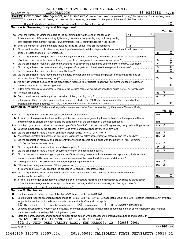Form 990 (2018) CORPORATION 3 3 - U 3 9 7 0 8 8 Page **6** CORPORATION 33-0397688

|          |                                                                                                                                                                                                                               |    |            |                 |                 |                         | $\boxed{\textbf{X}}$    |
|----------|-------------------------------------------------------------------------------------------------------------------------------------------------------------------------------------------------------------------------------|----|------------|-----------------|-----------------|-------------------------|-------------------------|
|          | <b>Section A. Governing Body and Management</b>                                                                                                                                                                               |    |            |                 |                 |                         |                         |
|          |                                                                                                                                                                                                                               |    |            | 10 <sub>l</sub> |                 | Yes                     | No                      |
|          | 1a Enter the number of voting members of the governing body at the end of the tax year <i>manumum</i>                                                                                                                         | 1a |            |                 |                 |                         |                         |
|          | If there are material differences in voting rights among members of the governing body, or if the governing                                                                                                                   |    |            |                 |                 |                         |                         |
|          | body delegated broad authority to an executive committee or similar committee, explain in Schedule O.                                                                                                                         |    |            |                 |                 |                         |                         |
| b        | Enter the number of voting members included in line 1a, above, who are independent                                                                                                                                            | 1b |            | 3               |                 |                         |                         |
| 2        | Did any officer, director, trustee, or key employee have a family relationship or a business relationship with any other<br>officer, director, trustee, or key employee?                                                      |    |            |                 | $\mathbf{2}$    |                         | x                       |
| 3        | Did the organization delegate control over management duties customarily performed by or under the direct supervision                                                                                                         |    |            |                 |                 |                         |                         |
|          |                                                                                                                                                                                                                               |    |            |                 | 3               |                         | Χ                       |
| 4        | Did the organization make any significant changes to its governing documents since the prior Form 990 was filed?                                                                                                              |    |            |                 | 4               |                         | $\overline{\mathbf{x}}$ |
| 5        |                                                                                                                                                                                                                               |    |            |                 | 5               |                         | $\overline{\mathbf{X}}$ |
| 6        |                                                                                                                                                                                                                               |    |            |                 | 6               |                         | $\overline{\mathbf{x}}$ |
| 7a       | Did the organization have members, stockholders, or other persons who had the power to elect or appoint one or                                                                                                                |    |            |                 |                 |                         |                         |
|          |                                                                                                                                                                                                                               |    |            |                 | 7a              |                         | X                       |
| b        | Are any governance decisions of the organization reserved to (or subject to approval by) members, stockholders, or                                                                                                            |    |            |                 |                 |                         |                         |
|          |                                                                                                                                                                                                                               |    |            |                 | 7b              |                         | x                       |
| 8        | Did the organization contemporaneously document the meetings held or written actions undertaken during the year by the following:                                                                                             |    |            |                 |                 |                         |                         |
| а        |                                                                                                                                                                                                                               |    |            |                 | 8а              | х                       |                         |
|          | Each committee with authority to act on behalf of the governing body? [11] [12] [22] [23] [23] [23] [23] [24] [                                                                                                               |    |            |                 | 8b              | $\overline{\mathbf{X}}$ |                         |
| 9        | Is there any officer, director, trustee, or key employee listed in Part VII, Section A, who cannot be reached at the                                                                                                          |    |            |                 |                 |                         |                         |
|          |                                                                                                                                                                                                                               |    |            |                 | 9               |                         | x                       |
|          | Section B. Policies (This Section B requests information about policies not required by the Internal Revenue Code.)                                                                                                           |    |            |                 |                 |                         |                         |
|          |                                                                                                                                                                                                                               |    |            |                 |                 | Yes                     | No                      |
|          |                                                                                                                                                                                                                               |    |            |                 | 10a             |                         | x                       |
|          | <b>b</b> If "Yes," did the organization have written policies and procedures governing the activities of such chapters, affiliates,                                                                                           |    |            |                 |                 |                         |                         |
|          |                                                                                                                                                                                                                               |    |            |                 | 10 <sub>b</sub> |                         |                         |
|          | 11a Has the organization provided a complete copy of this Form 990 to all members of its governing body before filing the form?                                                                                               |    |            |                 | 11a             | X                       |                         |
|          | <b>b</b> Describe in Schedule O the process, if any, used by the organization to review this Form 990.                                                                                                                        |    |            |                 |                 |                         |                         |
|          | 12a Did the organization have a written conflict of interest policy? If "No," go to line 13                                                                                                                                   |    |            |                 | 12a             | х                       |                         |
|          | Were officers, directors, or trustees, and key employees required to disclose annually interests that could give rise to conflicts?                                                                                           |    |            |                 | 12 <sub>b</sub> | $\overline{\textbf{x}}$ |                         |
|          | c Did the organization regularly and consistently monitor and enforce compliance with the policy? If "Yes," describe                                                                                                          |    |            |                 |                 |                         |                         |
|          | in Schedule O how this was done manufactured and continuum and contact the was done manufactured and contact t                                                                                                                |    |            |                 | 12c             | х                       |                         |
| 13       |                                                                                                                                                                                                                               |    |            |                 | 13              | $\overline{\mathbf{X}}$ |                         |
|          | Did the organization have a written document retention and destruction policy? [111] manufaction policy?                                                                                                                      |    |            |                 | 14              | $\overline{\texttt{x}}$ |                         |
| 14<br>15 | Did the process for determining compensation of the following persons include a review and approval by independent                                                                                                            |    |            |                 |                 |                         |                         |
|          | persons, comparability data, and contemporaneous substantiation of the deliberation and decision?                                                                                                                             |    |            |                 |                 |                         |                         |
|          |                                                                                                                                                                                                                               |    |            |                 | 15a             | х                       |                         |
| а        | The organization's CEO, Executive Director, or top management official [111] [11] manument content in the organization's CEO, Executive Director, or top management official [11] manument content in the original content of |    |            |                 | 15 <sub>b</sub> | $\overline{\textbf{x}}$ |                         |
|          |                                                                                                                                                                                                                               |    |            |                 |                 |                         |                         |
|          | If "Yes" to line 15a or 15b, describe the process in Schedule O (see instructions).                                                                                                                                           |    |            |                 |                 |                         |                         |
|          | 16a Did the organization invest in, contribute assets to, or participate in a joint venture or similar arrangement with a                                                                                                     |    |            |                 |                 |                         | x                       |
|          | taxable entity during the year?                                                                                                                                                                                               |    |            |                 | 16a             |                         |                         |
|          | b If "Yes," did the organization follow a written policy or procedure requiring the organization to evaluate its participation                                                                                                |    |            |                 |                 |                         |                         |
|          | in joint venture arrangements under applicable federal tax law, and take steps to safeguard the organization's                                                                                                                |    |            |                 |                 |                         |                         |
|          | exempt status with respect to such arrangements?                                                                                                                                                                              |    |            |                 | 16b             |                         |                         |
|          | <b>Section C. Disclosure</b>                                                                                                                                                                                                  |    |            |                 |                 |                         |                         |
| 17       | List the states with which a copy of this Form 990 is required to be filed $\blacktriangleright$ CA                                                                                                                           |    |            |                 |                 |                         |                         |
| 18       | Section 6104 requires an organization to make its Forms 1023 (1024 or 1024 A if applicable), 990, and 990-T (Section 501(c)(3)s only) available                                                                               |    |            |                 |                 |                         |                         |
|          | for public inspection. Indicate how you made these available. Check all that apply.                                                                                                                                           |    |            |                 |                 |                         |                         |
|          | $\lfloor x \rfloor$ Upon request<br><b>X</b> Own website<br>Another's website<br>Other (explain in Schedule O)                                                                                                                |    |            |                 |                 |                         |                         |
| 19       | Describe in Schedule O whether (and if so, how) the organization made its governing documents, conflict of interest policy, and financial                                                                                     |    |            |                 |                 |                         |                         |
|          | statements available to the public during the tax year.                                                                                                                                                                       |    |            |                 |                 |                         |                         |
| 20       | State the name, address, and telephone number of the person who possesses the organization's books and records                                                                                                                |    |            |                 |                 |                         |                         |
|          | CLINT ROBERTS, CONTROLLER - 760-750-4470                                                                                                                                                                                      |    |            |                 |                 |                         |                         |
|          |                                                                                                                                                                                                                               |    | 92096-0001 |                 |                 |                         |                         |
|          | 333 S. TWIN OAKS VALLEY ROAD, SAN MARCOS, CA                                                                                                                                                                                  |    |            |                 |                 |                         |                         |
|          | 832006 12-31-18                                                                                                                                                                                                               |    |            |                 |                 | Form 990 (2018)         |                         |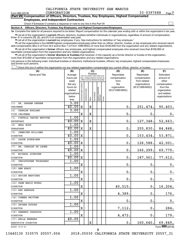$\Box$ 

| Form 990 (2018) | CORPORATION                                                                                | 33-039/688 | Page |
|-----------------|--------------------------------------------------------------------------------------------|------------|------|
|                 | Part VII Compensation of Officers, Directors, Trustees, Key Employees, Highest Compensated |            |      |
|                 | <b>Employees, and Independent Contractors</b>                                              |            |      |

# **Employees, and Independent Contractors**

Check if Schedule O contains a response or note to any line in this Part VII

**Section A. Officers, Directors, Trustees, Key Employees, and Highest Compensated Employees**

**1a**  Complete this table for all persons required to be listed. Report compensation for the calendar year ending with or within the organization's tax year.

**•** List all of the organization's current officers, directors, trustees (whether individuals or organizations), regardless of amount of compensation. Enter -0- in columns  $(D)$ ,  $(E)$ , and  $(F)$  if no compensation was paid.

**•** List all of the organization's **current** key employees, if any. See instructions for definition of "key employee."

**•** List the organization's five current highest compensated employees (other than an officer, director, trustee, or key employee) who received reportable compensation (Box 5 of Form W-2 and/or Box 7 of Form 1099-MISC) of more than \$100,000 from the organization and any related organizations.

**•** List all of the organization's former officers, key employees, and highest compensated employees who received more than \$100,000 of reportable compensation from the organization and any related organizations.

**•** List all of the organization's former directors or trustees that received, in the capacity as a former director or trustee of the organization, more than \$10,000 of reportable compensation from the organization and any related organizations.

List persons in the following order: individual trustees or directors; institutional trustees; officers; key employees; highest compensated employees; and former such persons.

Check this box if neither the organization nor any related organization compensated any current officer, director, or trustee.  $\Box$ 

| Position<br>Name and Title<br>Reportable<br>Average<br>Reportable<br>Estimated<br>(do not check more than one<br>compensation<br>hours per<br>box, unless person is both an<br>compensation<br>amount of<br>officer and a director/trustee)<br>week<br>from related<br>other<br>from<br>Individual trustee or director<br>the<br>organizations<br>(list any<br>compensation<br>(W-2/1099-MISC)<br>hours for<br>organization<br>from the<br>Highest compensated<br>employee<br>nstitutional trustee<br>(W-2/1099-MISC)<br>related<br>organization<br>Key employee<br>organizations<br>and related<br>below<br>organizations<br>Former<br>Officer<br>line)<br>3.00<br>DR. GRAHAM OBEREM<br>(1)<br>40.00<br>$\mathbf X$<br>$\mathbf X$<br>0.<br>251, 474.<br>90,403.<br>CHAIRMAN<br>3.00<br>CHARLES RAGLAND<br>(2)<br>X<br>$\mathbf X$<br>$\mathbf 0$<br>0.<br>$0$ .<br>VICE CHAIRMAN<br>1.00<br>CYNTHIA CHAVEZ METOYER<br>(3)<br>40.00<br>$\mathbf X$<br>$\mathbf 0$ .<br>127, 348.<br>х<br><b>SECRETARY</b><br>1.00<br>(4)<br>NEAL HOSS<br>40.00<br>$\mathbf X$<br>255,830.<br>84,848.<br>$\mathbf X$<br>0.<br><b>TREASURER</b><br>1.00<br>(5)<br>JENNIFER WILLIAMS<br>40.00<br>153, 434.<br>X<br>0.<br><b>DIRECTOR</b><br>1.00<br>(6)<br><b>JASON SCHREIBER</b><br>$\mathbf 0$ .<br>126,588.<br>42,001.<br>40.00<br>X<br><b>DIRECTOR</b><br>1.00<br>(7)<br>DR. CHARLES DE LEONE<br>40.00<br>X<br>0.<br>166, 299.<br>69,779.<br><b>DIRECTOR</b><br>1.00<br>(8)<br>MICHAEL SCHRODER<br>77,612.<br>40.00<br>0.<br>187,561.<br>X<br><b>DIRECTOR</b><br>1.00<br>(9)<br>CHRISTOPHER THIBODEAU<br>X<br>$\mathbf 0$ .<br>0.<br>0.<br><b>DIRECTOR</b><br>1.00<br>(10) ANN BERSI<br>$\mathbf 0$ .<br>$\mathbf 0$ .<br>$\mathbf 0$ .<br>$\mathbf X$<br><b>DIRECTOR</b><br>1.00<br>(11) XAVIER MARTINEZ<br>$\mathbf 0$ .<br>0.<br>X<br>$0$ .<br><b>DIRECTOR</b><br>1.00<br>(12) DAWN MARIE MYERS<br>40,510.<br>0.<br>16,204.<br>$\mathbf X$<br><b>DIRECTOR</b><br>1.00<br>(13) REX ANDRADE<br>$\mathbf X$<br>4,389.<br>0.<br>176.<br><b>DIRECTOR</b><br>1.00<br>(14) CONNER WHITTEM<br>$\mathbf X$<br>$\mathbf 0$ .<br>$\mathbf 0$ .<br>0.<br><b>DIRECTOR</b><br>1.00<br>(15) SAVANA DOUDAR<br>7,112.<br>284.<br>$\mathbf X$<br>$\mathbf 0$ .<br><b>DIRECTOR</b><br>1.00<br>(16) ARMANDO ZARAGOZA<br>4,472.<br>$\mathbf X$<br>0.<br><b>DIRECTOR</b><br>40.00<br>(17) BELLA NEWBERG<br>160, 640.<br>69,849.<br>$\mathbf X$<br>0.<br>EXECUTIVE DIRECTOR | (A) | (B) |  | (C) |  | (D) | (E) | (F) |
|-------------------------------------------------------------------------------------------------------------------------------------------------------------------------------------------------------------------------------------------------------------------------------------------------------------------------------------------------------------------------------------------------------------------------------------------------------------------------------------------------------------------------------------------------------------------------------------------------------------------------------------------------------------------------------------------------------------------------------------------------------------------------------------------------------------------------------------------------------------------------------------------------------------------------------------------------------------------------------------------------------------------------------------------------------------------------------------------------------------------------------------------------------------------------------------------------------------------------------------------------------------------------------------------------------------------------------------------------------------------------------------------------------------------------------------------------------------------------------------------------------------------------------------------------------------------------------------------------------------------------------------------------------------------------------------------------------------------------------------------------------------------------------------------------------------------------------------------------------------------------------------------------------------------------------------------------------------------------------------------------------------------------------------------------------------------------------------------------------------------------------------------------------------------------------------------------------------------------------------------------------------------------------------------------------------------------------------------------------------------------------------------------------------------------------------------|-----|-----|--|-----|--|-----|-----|-----|
|                                                                                                                                                                                                                                                                                                                                                                                                                                                                                                                                                                                                                                                                                                                                                                                                                                                                                                                                                                                                                                                                                                                                                                                                                                                                                                                                                                                                                                                                                                                                                                                                                                                                                                                                                                                                                                                                                                                                                                                                                                                                                                                                                                                                                                                                                                                                                                                                                                           |     |     |  |     |  |     |     |     |
| 52,663.<br>53,871.<br>179.                                                                                                                                                                                                                                                                                                                                                                                                                                                                                                                                                                                                                                                                                                                                                                                                                                                                                                                                                                                                                                                                                                                                                                                                                                                                                                                                                                                                                                                                                                                                                                                                                                                                                                                                                                                                                                                                                                                                                                                                                                                                                                                                                                                                                                                                                                                                                                                                                |     |     |  |     |  |     |     |     |
|                                                                                                                                                                                                                                                                                                                                                                                                                                                                                                                                                                                                                                                                                                                                                                                                                                                                                                                                                                                                                                                                                                                                                                                                                                                                                                                                                                                                                                                                                                                                                                                                                                                                                                                                                                                                                                                                                                                                                                                                                                                                                                                                                                                                                                                                                                                                                                                                                                           |     |     |  |     |  |     |     |     |
|                                                                                                                                                                                                                                                                                                                                                                                                                                                                                                                                                                                                                                                                                                                                                                                                                                                                                                                                                                                                                                                                                                                                                                                                                                                                                                                                                                                                                                                                                                                                                                                                                                                                                                                                                                                                                                                                                                                                                                                                                                                                                                                                                                                                                                                                                                                                                                                                                                           |     |     |  |     |  |     |     |     |
|                                                                                                                                                                                                                                                                                                                                                                                                                                                                                                                                                                                                                                                                                                                                                                                                                                                                                                                                                                                                                                                                                                                                                                                                                                                                                                                                                                                                                                                                                                                                                                                                                                                                                                                                                                                                                                                                                                                                                                                                                                                                                                                                                                                                                                                                                                                                                                                                                                           |     |     |  |     |  |     |     |     |
|                                                                                                                                                                                                                                                                                                                                                                                                                                                                                                                                                                                                                                                                                                                                                                                                                                                                                                                                                                                                                                                                                                                                                                                                                                                                                                                                                                                                                                                                                                                                                                                                                                                                                                                                                                                                                                                                                                                                                                                                                                                                                                                                                                                                                                                                                                                                                                                                                                           |     |     |  |     |  |     |     |     |
|                                                                                                                                                                                                                                                                                                                                                                                                                                                                                                                                                                                                                                                                                                                                                                                                                                                                                                                                                                                                                                                                                                                                                                                                                                                                                                                                                                                                                                                                                                                                                                                                                                                                                                                                                                                                                                                                                                                                                                                                                                                                                                                                                                                                                                                                                                                                                                                                                                           |     |     |  |     |  |     |     |     |
|                                                                                                                                                                                                                                                                                                                                                                                                                                                                                                                                                                                                                                                                                                                                                                                                                                                                                                                                                                                                                                                                                                                                                                                                                                                                                                                                                                                                                                                                                                                                                                                                                                                                                                                                                                                                                                                                                                                                                                                                                                                                                                                                                                                                                                                                                                                                                                                                                                           |     |     |  |     |  |     |     |     |
|                                                                                                                                                                                                                                                                                                                                                                                                                                                                                                                                                                                                                                                                                                                                                                                                                                                                                                                                                                                                                                                                                                                                                                                                                                                                                                                                                                                                                                                                                                                                                                                                                                                                                                                                                                                                                                                                                                                                                                                                                                                                                                                                                                                                                                                                                                                                                                                                                                           |     |     |  |     |  |     |     |     |
|                                                                                                                                                                                                                                                                                                                                                                                                                                                                                                                                                                                                                                                                                                                                                                                                                                                                                                                                                                                                                                                                                                                                                                                                                                                                                                                                                                                                                                                                                                                                                                                                                                                                                                                                                                                                                                                                                                                                                                                                                                                                                                                                                                                                                                                                                                                                                                                                                                           |     |     |  |     |  |     |     |     |
|                                                                                                                                                                                                                                                                                                                                                                                                                                                                                                                                                                                                                                                                                                                                                                                                                                                                                                                                                                                                                                                                                                                                                                                                                                                                                                                                                                                                                                                                                                                                                                                                                                                                                                                                                                                                                                                                                                                                                                                                                                                                                                                                                                                                                                                                                                                                                                                                                                           |     |     |  |     |  |     |     |     |
|                                                                                                                                                                                                                                                                                                                                                                                                                                                                                                                                                                                                                                                                                                                                                                                                                                                                                                                                                                                                                                                                                                                                                                                                                                                                                                                                                                                                                                                                                                                                                                                                                                                                                                                                                                                                                                                                                                                                                                                                                                                                                                                                                                                                                                                                                                                                                                                                                                           |     |     |  |     |  |     |     |     |
|                                                                                                                                                                                                                                                                                                                                                                                                                                                                                                                                                                                                                                                                                                                                                                                                                                                                                                                                                                                                                                                                                                                                                                                                                                                                                                                                                                                                                                                                                                                                                                                                                                                                                                                                                                                                                                                                                                                                                                                                                                                                                                                                                                                                                                                                                                                                                                                                                                           |     |     |  |     |  |     |     |     |
|                                                                                                                                                                                                                                                                                                                                                                                                                                                                                                                                                                                                                                                                                                                                                                                                                                                                                                                                                                                                                                                                                                                                                                                                                                                                                                                                                                                                                                                                                                                                                                                                                                                                                                                                                                                                                                                                                                                                                                                                                                                                                                                                                                                                                                                                                                                                                                                                                                           |     |     |  |     |  |     |     |     |
|                                                                                                                                                                                                                                                                                                                                                                                                                                                                                                                                                                                                                                                                                                                                                                                                                                                                                                                                                                                                                                                                                                                                                                                                                                                                                                                                                                                                                                                                                                                                                                                                                                                                                                                                                                                                                                                                                                                                                                                                                                                                                                                                                                                                                                                                                                                                                                                                                                           |     |     |  |     |  |     |     |     |
|                                                                                                                                                                                                                                                                                                                                                                                                                                                                                                                                                                                                                                                                                                                                                                                                                                                                                                                                                                                                                                                                                                                                                                                                                                                                                                                                                                                                                                                                                                                                                                                                                                                                                                                                                                                                                                                                                                                                                                                                                                                                                                                                                                                                                                                                                                                                                                                                                                           |     |     |  |     |  |     |     |     |
|                                                                                                                                                                                                                                                                                                                                                                                                                                                                                                                                                                                                                                                                                                                                                                                                                                                                                                                                                                                                                                                                                                                                                                                                                                                                                                                                                                                                                                                                                                                                                                                                                                                                                                                                                                                                                                                                                                                                                                                                                                                                                                                                                                                                                                                                                                                                                                                                                                           |     |     |  |     |  |     |     |     |
|                                                                                                                                                                                                                                                                                                                                                                                                                                                                                                                                                                                                                                                                                                                                                                                                                                                                                                                                                                                                                                                                                                                                                                                                                                                                                                                                                                                                                                                                                                                                                                                                                                                                                                                                                                                                                                                                                                                                                                                                                                                                                                                                                                                                                                                                                                                                                                                                                                           |     |     |  |     |  |     |     |     |
|                                                                                                                                                                                                                                                                                                                                                                                                                                                                                                                                                                                                                                                                                                                                                                                                                                                                                                                                                                                                                                                                                                                                                                                                                                                                                                                                                                                                                                                                                                                                                                                                                                                                                                                                                                                                                                                                                                                                                                                                                                                                                                                                                                                                                                                                                                                                                                                                                                           |     |     |  |     |  |     |     |     |
|                                                                                                                                                                                                                                                                                                                                                                                                                                                                                                                                                                                                                                                                                                                                                                                                                                                                                                                                                                                                                                                                                                                                                                                                                                                                                                                                                                                                                                                                                                                                                                                                                                                                                                                                                                                                                                                                                                                                                                                                                                                                                                                                                                                                                                                                                                                                                                                                                                           |     |     |  |     |  |     |     |     |
|                                                                                                                                                                                                                                                                                                                                                                                                                                                                                                                                                                                                                                                                                                                                                                                                                                                                                                                                                                                                                                                                                                                                                                                                                                                                                                                                                                                                                                                                                                                                                                                                                                                                                                                                                                                                                                                                                                                                                                                                                                                                                                                                                                                                                                                                                                                                                                                                                                           |     |     |  |     |  |     |     |     |
|                                                                                                                                                                                                                                                                                                                                                                                                                                                                                                                                                                                                                                                                                                                                                                                                                                                                                                                                                                                                                                                                                                                                                                                                                                                                                                                                                                                                                                                                                                                                                                                                                                                                                                                                                                                                                                                                                                                                                                                                                                                                                                                                                                                                                                                                                                                                                                                                                                           |     |     |  |     |  |     |     |     |
|                                                                                                                                                                                                                                                                                                                                                                                                                                                                                                                                                                                                                                                                                                                                                                                                                                                                                                                                                                                                                                                                                                                                                                                                                                                                                                                                                                                                                                                                                                                                                                                                                                                                                                                                                                                                                                                                                                                                                                                                                                                                                                                                                                                                                                                                                                                                                                                                                                           |     |     |  |     |  |     |     |     |
|                                                                                                                                                                                                                                                                                                                                                                                                                                                                                                                                                                                                                                                                                                                                                                                                                                                                                                                                                                                                                                                                                                                                                                                                                                                                                                                                                                                                                                                                                                                                                                                                                                                                                                                                                                                                                                                                                                                                                                                                                                                                                                                                                                                                                                                                                                                                                                                                                                           |     |     |  |     |  |     |     |     |
|                                                                                                                                                                                                                                                                                                                                                                                                                                                                                                                                                                                                                                                                                                                                                                                                                                                                                                                                                                                                                                                                                                                                                                                                                                                                                                                                                                                                                                                                                                                                                                                                                                                                                                                                                                                                                                                                                                                                                                                                                                                                                                                                                                                                                                                                                                                                                                                                                                           |     |     |  |     |  |     |     |     |
|                                                                                                                                                                                                                                                                                                                                                                                                                                                                                                                                                                                                                                                                                                                                                                                                                                                                                                                                                                                                                                                                                                                                                                                                                                                                                                                                                                                                                                                                                                                                                                                                                                                                                                                                                                                                                                                                                                                                                                                                                                                                                                                                                                                                                                                                                                                                                                                                                                           |     |     |  |     |  |     |     |     |
|                                                                                                                                                                                                                                                                                                                                                                                                                                                                                                                                                                                                                                                                                                                                                                                                                                                                                                                                                                                                                                                                                                                                                                                                                                                                                                                                                                                                                                                                                                                                                                                                                                                                                                                                                                                                                                                                                                                                                                                                                                                                                                                                                                                                                                                                                                                                                                                                                                           |     |     |  |     |  |     |     |     |
|                                                                                                                                                                                                                                                                                                                                                                                                                                                                                                                                                                                                                                                                                                                                                                                                                                                                                                                                                                                                                                                                                                                                                                                                                                                                                                                                                                                                                                                                                                                                                                                                                                                                                                                                                                                                                                                                                                                                                                                                                                                                                                                                                                                                                                                                                                                                                                                                                                           |     |     |  |     |  |     |     |     |
|                                                                                                                                                                                                                                                                                                                                                                                                                                                                                                                                                                                                                                                                                                                                                                                                                                                                                                                                                                                                                                                                                                                                                                                                                                                                                                                                                                                                                                                                                                                                                                                                                                                                                                                                                                                                                                                                                                                                                                                                                                                                                                                                                                                                                                                                                                                                                                                                                                           |     |     |  |     |  |     |     |     |
|                                                                                                                                                                                                                                                                                                                                                                                                                                                                                                                                                                                                                                                                                                                                                                                                                                                                                                                                                                                                                                                                                                                                                                                                                                                                                                                                                                                                                                                                                                                                                                                                                                                                                                                                                                                                                                                                                                                                                                                                                                                                                                                                                                                                                                                                                                                                                                                                                                           |     |     |  |     |  |     |     |     |
|                                                                                                                                                                                                                                                                                                                                                                                                                                                                                                                                                                                                                                                                                                                                                                                                                                                                                                                                                                                                                                                                                                                                                                                                                                                                                                                                                                                                                                                                                                                                                                                                                                                                                                                                                                                                                                                                                                                                                                                                                                                                                                                                                                                                                                                                                                                                                                                                                                           |     |     |  |     |  |     |     |     |
|                                                                                                                                                                                                                                                                                                                                                                                                                                                                                                                                                                                                                                                                                                                                                                                                                                                                                                                                                                                                                                                                                                                                                                                                                                                                                                                                                                                                                                                                                                                                                                                                                                                                                                                                                                                                                                                                                                                                                                                                                                                                                                                                                                                                                                                                                                                                                                                                                                           |     |     |  |     |  |     |     |     |
|                                                                                                                                                                                                                                                                                                                                                                                                                                                                                                                                                                                                                                                                                                                                                                                                                                                                                                                                                                                                                                                                                                                                                                                                                                                                                                                                                                                                                                                                                                                                                                                                                                                                                                                                                                                                                                                                                                                                                                                                                                                                                                                                                                                                                                                                                                                                                                                                                                           |     |     |  |     |  |     |     |     |
|                                                                                                                                                                                                                                                                                                                                                                                                                                                                                                                                                                                                                                                                                                                                                                                                                                                                                                                                                                                                                                                                                                                                                                                                                                                                                                                                                                                                                                                                                                                                                                                                                                                                                                                                                                                                                                                                                                                                                                                                                                                                                                                                                                                                                                                                                                                                                                                                                                           |     |     |  |     |  |     |     |     |
|                                                                                                                                                                                                                                                                                                                                                                                                                                                                                                                                                                                                                                                                                                                                                                                                                                                                                                                                                                                                                                                                                                                                                                                                                                                                                                                                                                                                                                                                                                                                                                                                                                                                                                                                                                                                                                                                                                                                                                                                                                                                                                                                                                                                                                                                                                                                                                                                                                           |     |     |  |     |  |     |     |     |
|                                                                                                                                                                                                                                                                                                                                                                                                                                                                                                                                                                                                                                                                                                                                                                                                                                                                                                                                                                                                                                                                                                                                                                                                                                                                                                                                                                                                                                                                                                                                                                                                                                                                                                                                                                                                                                                                                                                                                                                                                                                                                                                                                                                                                                                                                                                                                                                                                                           |     |     |  |     |  |     |     |     |
|                                                                                                                                                                                                                                                                                                                                                                                                                                                                                                                                                                                                                                                                                                                                                                                                                                                                                                                                                                                                                                                                                                                                                                                                                                                                                                                                                                                                                                                                                                                                                                                                                                                                                                                                                                                                                                                                                                                                                                                                                                                                                                                                                                                                                                                                                                                                                                                                                                           |     |     |  |     |  |     |     |     |
|                                                                                                                                                                                                                                                                                                                                                                                                                                                                                                                                                                                                                                                                                                                                                                                                                                                                                                                                                                                                                                                                                                                                                                                                                                                                                                                                                                                                                                                                                                                                                                                                                                                                                                                                                                                                                                                                                                                                                                                                                                                                                                                                                                                                                                                                                                                                                                                                                                           |     |     |  |     |  |     |     |     |
|                                                                                                                                                                                                                                                                                                                                                                                                                                                                                                                                                                                                                                                                                                                                                                                                                                                                                                                                                                                                                                                                                                                                                                                                                                                                                                                                                                                                                                                                                                                                                                                                                                                                                                                                                                                                                                                                                                                                                                                                                                                                                                                                                                                                                                                                                                                                                                                                                                           |     |     |  |     |  |     |     |     |
|                                                                                                                                                                                                                                                                                                                                                                                                                                                                                                                                                                                                                                                                                                                                                                                                                                                                                                                                                                                                                                                                                                                                                                                                                                                                                                                                                                                                                                                                                                                                                                                                                                                                                                                                                                                                                                                                                                                                                                                                                                                                                                                                                                                                                                                                                                                                                                                                                                           |     |     |  |     |  |     |     |     |
|                                                                                                                                                                                                                                                                                                                                                                                                                                                                                                                                                                                                                                                                                                                                                                                                                                                                                                                                                                                                                                                                                                                                                                                                                                                                                                                                                                                                                                                                                                                                                                                                                                                                                                                                                                                                                                                                                                                                                                                                                                                                                                                                                                                                                                                                                                                                                                                                                                           |     |     |  |     |  |     |     |     |
|                                                                                                                                                                                                                                                                                                                                                                                                                                                                                                                                                                                                                                                                                                                                                                                                                                                                                                                                                                                                                                                                                                                                                                                                                                                                                                                                                                                                                                                                                                                                                                                                                                                                                                                                                                                                                                                                                                                                                                                                                                                                                                                                                                                                                                                                                                                                                                                                                                           |     |     |  |     |  |     |     |     |

832007 12-31-18

8

13440130 310575 20557.004 2018.05030 CALIFORNIA STATE UNIVERSITY 20557\_31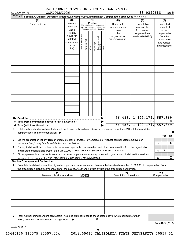|        | CORPORATION<br>Form 990 (2018)                                                                                                                                                                                                                                                                                                                                |                                                                      |                                |                                                                                                 |         |              |                                 |        | CADIFORNIA SIAIE UNIVERSIII SAN MARCOS    | 33-0397688                                                           |    |                                                                          | Page 8           |
|--------|---------------------------------------------------------------------------------------------------------------------------------------------------------------------------------------------------------------------------------------------------------------------------------------------------------------------------------------------------------------|----------------------------------------------------------------------|--------------------------------|-------------------------------------------------------------------------------------------------|---------|--------------|---------------------------------|--------|-------------------------------------------|----------------------------------------------------------------------|----|--------------------------------------------------------------------------|------------------|
|        | Part VIII<br>Section A. Officers, Directors, Trustees, Key Employees, and Highest Compensated Employees (continued)                                                                                                                                                                                                                                           |                                                                      |                                |                                                                                                 |         |              |                                 |        |                                           |                                                                      |    |                                                                          |                  |
|        | (A)<br>Name and title                                                                                                                                                                                                                                                                                                                                         | (B)<br>Average<br>hours per<br>week                                  |                                | (do not check more than one<br>box, unless person is both an<br>officer and a director/trustee) | (C)     | Position     |                                 |        | (D)<br>Reportable<br>compensation<br>from | (E)<br>Reportable<br>compensation<br>from related                    |    | (F)<br>Estimated<br>amount of<br>other                                   |                  |
|        |                                                                                                                                                                                                                                                                                                                                                               | (list any<br>hours for<br>related<br>organizations<br>below<br>line) | Individual trustee or director | Institutional trustee                                                                           | Officer | Key employee | Highest compensated<br>employee | Former | the<br>organization<br>(W-2/1099-MISC)    | organizations<br>(W-2/1099-MISC)                                     |    | compensation<br>from the<br>organization<br>and related<br>organizations |                  |
|        |                                                                                                                                                                                                                                                                                                                                                               |                                                                      |                                |                                                                                                 |         |              |                                 |        |                                           |                                                                      |    |                                                                          |                  |
|        |                                                                                                                                                                                                                                                                                                                                                               |                                                                      |                                |                                                                                                 |         |              |                                 |        |                                           |                                                                      |    |                                                                          |                  |
|        |                                                                                                                                                                                                                                                                                                                                                               |                                                                      |                                |                                                                                                 |         |              |                                 |        |                                           |                                                                      |    |                                                                          |                  |
|        |                                                                                                                                                                                                                                                                                                                                                               |                                                                      |                                |                                                                                                 |         |              |                                 |        |                                           |                                                                      |    |                                                                          |                  |
|        | 1b Sub-total                                                                                                                                                                                                                                                                                                                                                  |                                                                      |                                |                                                                                                 |         |              |                                 |        | $\overline{0}$ .                          | $\overline{56, 483.}$ 1, 429, 174. 557, 869.<br>$56,483.$ 1,429,174. | 0. | 557,869.                                                                 | $\overline{0}$ . |
| 2      | Total number of individuals (including but not limited to those listed above) who received more than \$100,000 of reportable<br>compensation from the organization $\blacktriangleright$                                                                                                                                                                      |                                                                      |                                |                                                                                                 |         |              |                                 |        |                                           |                                                                      |    |                                                                          | 0                |
| 3      | Did the organization list any former officer, director, or trustee, key employee, or highest compensated employee on<br>line 1a? If "Yes," complete Schedule J for such individual                                                                                                                                                                            |                                                                      |                                |                                                                                                 |         |              |                                 |        |                                           |                                                                      | З  | Yes                                                                      | No<br>х          |
| 4<br>5 | For any individual listed on line 1a, is the sum of reportable compensation and other compensation from the organization<br>and related organizations greater than \$150,000? If "Yes," complete Schedule J for such individual<br>Did any person listed on line 1a receive or accrue compensation from any unrelated organization or individual for services |                                                                      |                                |                                                                                                 |         |              |                                 |        |                                           |                                                                      | 4  | X                                                                        |                  |
|        | <b>Section B. Independent Contractors</b>                                                                                                                                                                                                                                                                                                                     |                                                                      |                                |                                                                                                 |         |              |                                 |        |                                           |                                                                      | 5  |                                                                          | х                |
| 1      | Complete this table for your five highest compensated independent contractors that received more than \$100,000 of compensation from<br>the organization. Report compensation for the calendar year ending with or within the organization's tax year.                                                                                                        |                                                                      |                                |                                                                                                 |         |              |                                 |        |                                           |                                                                      |    |                                                                          |                  |
|        | (A)<br>Name and business address                                                                                                                                                                                                                                                                                                                              |                                                                      |                                | <b>NONE</b>                                                                                     |         |              |                                 |        | (B)<br>Description of services            |                                                                      |    | (C)<br>Compensation                                                      |                  |
|        |                                                                                                                                                                                                                                                                                                                                                               |                                                                      |                                |                                                                                                 |         |              |                                 |        |                                           |                                                                      |    |                                                                          |                  |
|        |                                                                                                                                                                                                                                                                                                                                                               |                                                                      |                                |                                                                                                 |         |              |                                 |        |                                           |                                                                      |    |                                                                          |                  |
|        |                                                                                                                                                                                                                                                                                                                                                               |                                                                      |                                |                                                                                                 |         |              |                                 |        |                                           |                                                                      |    |                                                                          |                  |
| 2      | Total number of independent contractors (including but not limited to those listed above) who received more than<br>\$100,000 of compensation from the organization                                                                                                                                                                                           |                                                                      |                                |                                                                                                 |         | U            |                                 |        |                                           |                                                                      |    | $F_{\alpha r m}$ 990 (2018)                                              |                  |

CALIFORNIA CUAUR UNIVERSITY SAN MARCOS

832008 12-31-18

Form (2018) **990**

9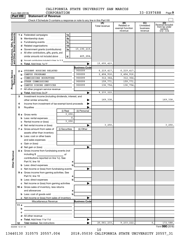| CALIFORNIA STATE UNIVERSITY SAN MARCOS |  |  |            |
|----------------------------------------|--|--|------------|
| CORPORATION                            |  |  | 33-0397688 |

|                                                           | <b>Part VIII</b> | <b>Statement of Revenue</b>                                                                                                                                                                                                    |                |                       |                      |                                                 |                                         |                                                                    |
|-----------------------------------------------------------|------------------|--------------------------------------------------------------------------------------------------------------------------------------------------------------------------------------------------------------------------------|----------------|-----------------------|----------------------|-------------------------------------------------|-----------------------------------------|--------------------------------------------------------------------|
|                                                           |                  |                                                                                                                                                                                                                                |                |                       |                      |                                                 |                                         |                                                                    |
|                                                           |                  |                                                                                                                                                                                                                                |                |                       | (A)<br>Total revenue | (B)<br>Related or<br>exempt function<br>revenue | (C)<br>Unrelated<br>business<br>revenue | (D)<br>Revenue excluded<br>from tax under<br>sections<br>512 - 514 |
|                                                           |                  | <b>1 a</b> Federated campaigns                                                                                                                                                                                                 | 1a<br>.        |                       |                      |                                                 |                                         |                                                                    |
|                                                           |                  | <b>b</b> Membership dues                                                                                                                                                                                                       | 1b             |                       |                      |                                                 |                                         |                                                                    |
|                                                           |                  | c Fundraising events                                                                                                                                                                                                           | 1c             |                       |                      |                                                 |                                         |                                                                    |
|                                                           |                  | d Related organizations<br>$\overline{\phantom{a}}$                                                                                                                                                                            | 1d             |                       |                      |                                                 |                                         |                                                                    |
|                                                           |                  | e Government grants (contributions)                                                                                                                                                                                            | 1e             | 15,190,219.           |                      |                                                 |                                         |                                                                    |
|                                                           |                  | f All other contributions, gifts, grants, and                                                                                                                                                                                  |                |                       |                      |                                                 |                                         |                                                                    |
|                                                           |                  | similar amounts not included above                                                                                                                                                                                             | 1f             | 465,204.              |                      |                                                 |                                         |                                                                    |
| Contributions, Gifts, Grants<br>and Other Similar Amounts |                  | g Noncash contributions included in lines 1a-1f: \$                                                                                                                                                                            |                |                       |                      |                                                 |                                         |                                                                    |
|                                                           |                  |                                                                                                                                                                                                                                |                |                       | 15,655,423           |                                                 |                                         |                                                                    |
|                                                           |                  |                                                                                                                                                                                                                                |                | <b>Business Code</b>  |                      |                                                 |                                         |                                                                    |
|                                                           | 2а               | STUDENT HOUSING RELATED                                                                                                                                                                                                        |                | 900099                | 6, 219, 417.         | 6, 219, 417.                                    |                                         |                                                                    |
|                                                           | b                | CAMPUS PROGRAMS                                                                                                                                                                                                                |                | 900099                | 2,404,916.           | 2,404,916.                                      |                                         |                                                                    |
|                                                           |                  | COMMISSIONS BOOKSTORE                                                                                                                                                                                                          |                | 900099<br>900099      | 312,364.             | 312,364.                                        |                                         |                                                                    |
|                                                           | d                | OTHER COMMISSIONS<br>CAMPUS DINING SERVICES                                                                                                                                                                                    |                | 900099                | 159,771.<br>136,754  | 159.771.                                        |                                         |                                                                    |
| Program Service<br>Revenue                                |                  |                                                                                                                                                                                                                                |                |                       |                      | 136,754                                         |                                         |                                                                    |
|                                                           |                  | All other program service revenue                                                                                                                                                                                              |                |                       | 9,233,222            |                                                 |                                         |                                                                    |
|                                                           | 3                | Investment income (including dividends, interest, and                                                                                                                                                                          |                |                       |                      |                                                 |                                         |                                                                    |
|                                                           |                  |                                                                                                                                                                                                                                |                |                       | 169,338              |                                                 |                                         | 169,338.                                                           |
|                                                           | 4                | Income from investment of tax-exempt bond proceeds                                                                                                                                                                             |                |                       |                      |                                                 |                                         |                                                                    |
|                                                           | 5                |                                                                                                                                                                                                                                |                |                       |                      |                                                 |                                         |                                                                    |
|                                                           |                  |                                                                                                                                                                                                                                | (i) Real       | (ii) Personal         |                      |                                                 |                                         |                                                                    |
|                                                           |                  | 6 a Gross rents                                                                                                                                                                                                                | 3,250.         |                       |                      |                                                 |                                         |                                                                    |
|                                                           |                  | <b>b</b> Less: rental expenses                                                                                                                                                                                                 |                | $\mathbf{0}$ .        |                      |                                                 |                                         |                                                                    |
|                                                           |                  | c Rental income or (loss)                                                                                                                                                                                                      | 3,250.         |                       |                      |                                                 |                                         |                                                                    |
|                                                           |                  | <b>d</b> Net rental income or (loss)                                                                                                                                                                                           |                |                       | 3,250                |                                                 |                                         | 3,250.                                                             |
|                                                           |                  | 7 a Gross amount from sales of                                                                                                                                                                                                 | (i) Securities | (ii) Other            |                      |                                                 |                                         |                                                                    |
|                                                           |                  | assets other than inventory                                                                                                                                                                                                    |                |                       |                      |                                                 |                                         |                                                                    |
|                                                           |                  | <b>b</b> Less: cost or other basis                                                                                                                                                                                             |                |                       |                      |                                                 |                                         |                                                                    |
|                                                           |                  | and sales expenses                                                                                                                                                                                                             |                |                       |                      |                                                 |                                         |                                                                    |
|                                                           |                  |                                                                                                                                                                                                                                |                |                       |                      |                                                 |                                         |                                                                    |
|                                                           |                  |                                                                                                                                                                                                                                |                |                       |                      |                                                 |                                         |                                                                    |
| <b>Other Revenue</b>                                      |                  | 8 a Gross income from fundraising events (not<br>including \$                                                                                                                                                                  | of             |                       |                      |                                                 |                                         |                                                                    |
|                                                           |                  | contributions reported on line 1c). See                                                                                                                                                                                        |                |                       |                      |                                                 |                                         |                                                                    |
|                                                           |                  |                                                                                                                                                                                                                                |                |                       |                      |                                                 |                                         |                                                                    |
|                                                           |                  |                                                                                                                                                                                                                                |                |                       |                      |                                                 |                                         |                                                                    |
|                                                           |                  | c Net income or (loss) from fundraising events                                                                                                                                                                                 |                | .                     |                      |                                                 |                                         |                                                                    |
|                                                           |                  | 9 a Gross income from gaming activities. See                                                                                                                                                                                   |                |                       |                      |                                                 |                                         |                                                                    |
|                                                           |                  |                                                                                                                                                                                                                                |                | $\mathbf{b}$          |                      |                                                 |                                         |                                                                    |
|                                                           |                  | c Net income or (loss) from gaming activities                                                                                                                                                                                  |                |                       |                      |                                                 |                                         |                                                                    |
|                                                           |                  | 10 a Gross sales of inventory, less returns                                                                                                                                                                                    |                |                       |                      |                                                 |                                         |                                                                    |
|                                                           |                  |                                                                                                                                                                                                                                |                |                       |                      |                                                 |                                         |                                                                    |
|                                                           |                  |                                                                                                                                                                                                                                |                |                       |                      |                                                 |                                         |                                                                    |
|                                                           |                  | c Net income or (loss) from sales of inventory                                                                                                                                                                                 |                |                       |                      |                                                 |                                         |                                                                    |
|                                                           |                  | Miscellaneous Revenue                                                                                                                                                                                                          |                | <b>Business Code</b>  |                      |                                                 |                                         |                                                                    |
|                                                           | 11 a             |                                                                                                                                                                                                                                |                |                       |                      |                                                 |                                         |                                                                    |
|                                                           | b                |                                                                                                                                                                                                                                |                |                       |                      |                                                 |                                         |                                                                    |
|                                                           | с                | <u> 1989 - Johann Barbara, martxa alemaniar a</u>                                                                                                                                                                              |                |                       |                      |                                                 |                                         |                                                                    |
|                                                           |                  |                                                                                                                                                                                                                                |                |                       |                      |                                                 |                                         |                                                                    |
|                                                           |                  |                                                                                                                                                                                                                                |                | $\blacktriangleright$ |                      |                                                 |                                         |                                                                    |
|                                                           | 12               | Total revenue. See instructions [101] [101] Total revenue of the see instructions [101] Total Point Total Point Point Point Point Point Point Point Point Point Point Point Point Point Point Point Point Point Point Point Po |                |                       | 25,061,233.          | 9, 233, 222.                                    | 0.                                      | 172,588.                                                           |
|                                                           | 832009 12-31-18  |                                                                                                                                                                                                                                |                |                       |                      |                                                 |                                         | Form 990 (2018)                                                    |

10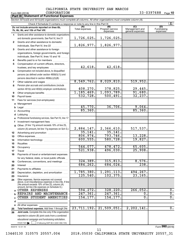$\frac{1}{1}$ 

 $\frac{1}{1}$ 

|          |                                                                                                                            |                       | CALIFORNIA STATE UNIVERSITY SAN MARCOS |                                           |                                |
|----------|----------------------------------------------------------------------------------------------------------------------------|-----------------------|----------------------------------------|-------------------------------------------|--------------------------------|
|          | CORPORATION<br>Form 990 (2018)                                                                                             |                       |                                        |                                           | 33-0397688<br>Page $10$        |
|          | <b>Part IX   Statement of Functional Expenses</b>                                                                          |                       |                                        |                                           |                                |
|          | Section 501(c)(3) and 501(c)(4) organizations must complete all columns. All other organizations must complete column (A). |                       |                                        |                                           |                                |
|          |                                                                                                                            |                       |                                        |                                           | $\mathbf{X}$                   |
|          | Do not include amounts reported on lines 6b,<br>7b, 8b, 9b, and 10b of Part VIII.                                          | (A)<br>Total expenses | (B)<br>Program service<br>expenses     | (C)<br>Management and<br>general expenses | (D)<br>Fundraising<br>expenses |
| 1        | Grants and other assistance to domestic organizations                                                                      |                       |                                        |                                           |                                |
|          | and domestic governments. See Part IV, line 21<br>$\ddotsc$                                                                | 1,726,025.            | 1,726,025.                             |                                           |                                |
| 2        | Grants and other assistance to domestic                                                                                    |                       |                                        |                                           |                                |
|          | individuals. See Part IV, line 22                                                                                          | 1,826,977.            | 1,826,977.                             |                                           |                                |
| 3        | Grants and other assistance to foreign                                                                                     |                       |                                        |                                           |                                |
|          | organizations, foreign governments, and foreign                                                                            |                       |                                        |                                           |                                |
|          | individuals. See Part IV, lines 15 and 16                                                                                  |                       |                                        |                                           |                                |
| 4        | Benefits paid to or for members                                                                                            |                       |                                        |                                           |                                |
| 5        | Compensation of current officers, directors,                                                                               |                       |                                        |                                           |                                |
|          | trustees, and key employees                                                                                                | 42,618.               | 42,618.                                |                                           |                                |
| 6        | Compensation not included above, to disqualified                                                                           |                       |                                        |                                           |                                |
|          | persons (as defined under section 4958(f)(1)) and                                                                          |                       |                                        |                                           |                                |
|          | persons described in section 4958(c)(3)(B)<br>$\sim$                                                                       |                       |                                        |                                           |                                |
| 7        | Other salaries and wages                                                                                                   | 8,549,762.            | 8,029,810.                             | 519,952.                                  |                                |
| 8        | Pension plan accruals and contributions (include                                                                           |                       |                                        |                                           |                                |
|          | section 401(k) and 403(b) employer contributions)                                                                          | 408,270.              | 378,825.                               | 29,445.                                   |                                |
| 9        |                                                                                                                            | 1,185,469.            | 1,093,789.                             | 91,680.                                   |                                |
| 10       |                                                                                                                            | 532,728.              | 500, 491.                              | 32, 237.                                  |                                |
| 11       | Fees for services (non-employees):                                                                                         |                       |                                        |                                           |                                |
| a        |                                                                                                                            |                       |                                        |                                           |                                |
| b        |                                                                                                                            | 45,770.<br>85,360.    | 36,706.                                | 9,064.<br>85,360.                         |                                |
|          |                                                                                                                            |                       |                                        |                                           |                                |
|          |                                                                                                                            |                       |                                        |                                           |                                |
|          | Professional fundraising services. See Part IV, line 17                                                                    |                       |                                        |                                           |                                |
| f.       | Investment management fees                                                                                                 |                       |                                        |                                           |                                |
| q        | Other. (If line 11g amount exceeds 10% of line 25,                                                                         | 2,884,147.            | 2,366,610.                             | 517,537.                                  |                                |
|          | column (A) amount, list line 11g expenses on Sch O.)                                                                       | 35,141.               | 35,141.                                |                                           |                                |
| 12       |                                                                                                                            | 806,974.              | 793,746.                               | 13,228.                                   |                                |
| 13       |                                                                                                                            | 600, 555.             | 580,728.                               | 19,827.                                   |                                |
| 14       |                                                                                                                            |                       |                                        |                                           |                                |
| 15<br>16 |                                                                                                                            | 544,077.              | 478,472.                               | 65,605.                                   |                                |
| 17       | Travel                                                                                                                     | 521,938.              | 496,030.                               | 25,908.                                   |                                |
| 18       | Payments of travel or entertainment expenses                                                                               |                       |                                        |                                           |                                |
|          | for any federal, state, or local public officials                                                                          |                       |                                        |                                           |                                |
| 19       | Conferences, conventions, and meetings                                                                                     | 324, 389.             | 315,813.                               | 8,576.                                    |                                |
| 20       | Interest                                                                                                                   | 684, 262.             | 684,024.                               | 238.                                      |                                |
| 21       |                                                                                                                            |                       |                                        |                                           |                                |
| 22       | Depreciation, depletion, and amortization                                                                                  | 1,785,380.            | 1, 291, 113.                           | 494,267.                                  |                                |
| 23       | Insurance                                                                                                                  | 125,540.              | 102, 375.                              | 23, 165.                                  |                                |
| 24       | Other expenses. Itemize expenses not covered<br>above. (List miscellaneous expenses in line 24e. If line                   |                       |                                        |                                           |                                |
|          | 24e amount exceeds 10% of line 25, column (A)<br>amount, list line 24e expenses on Schedule O.)                            |                       |                                        |                                           |                                |
| a        | OTHER EXPENSES                                                                                                             | 594, 272.             | 328, 220.                              | 266,052.                                  | 0.                             |
|          | REPAIRS AND MAINTENANCE                                                                                                    | 247, 361.             | 247, 361.                              | $\overline{0}$ .                          | $\overline{0}$ .               |

**e** All other expenses

832010 12-31-18

Check here

**d**

**25 26**

Check here  $\begin{array}{c} \begin{array}{|c} \hline \end{array} \end{array}$  if following SOP 98-2 (ASC 958-720)

reported in column (B) joint costs from a combined educational campaign and fundraising solicitation.

**Total functional expenses.**  Add lines 1 through 24e **Joint costs.** Complete this line only if the organization

11

**c** OTHER STUDENT AMENITIES 154,177. 154,177. 0. 0.

Form (2018) **990**

13440130 310575 20557.004 2018.05030 CALIFORNIA STATE UNIVERSITY 20557\_31

23,711,192. 21,509,051. 2,202,141. 0.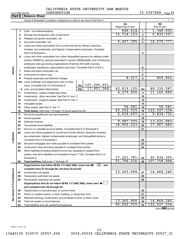| Form 990 (2018) |  |  |
|-----------------|--|--|

|                 | CAUIFORNIA SIAIE | <b>זודמעם אדמט</b> | ועמכ | כטטאמעי |        |      |
|-----------------|------------------|--------------------|------|---------|--------|------|
| Form 990 (2018) | CORPORATION      |                    |      |         | 397688 | Page |
| ____            |                  |                    |      |         |        |      |

|                      | Part X   | <b>Balance Sheet</b>                                                                                                         |  |             |                          |                         |                                     |
|----------------------|----------|------------------------------------------------------------------------------------------------------------------------------|--|-------------|--------------------------|-------------------------|-------------------------------------|
|                      |          |                                                                                                                              |  |             |                          |                         |                                     |
|                      |          |                                                                                                                              |  |             | (A)<br>Beginning of year |                         | (B)<br>End of year                  |
|                      | 1        |                                                                                                                              |  |             | 646, 614.                | $\mathbf{1}$            | 1,349,000.                          |
|                      | 2        |                                                                                                                              |  |             | 10, 714, 153.            | $\overline{2}$          | 5,835,557.                          |
|                      | з        |                                                                                                                              |  |             |                          | 3                       |                                     |
|                      | 4        |                                                                                                                              |  |             | 6,497,395.               | $\overline{\mathbf{4}}$ | 14,075,777.                         |
|                      | 5        | Loans and other receivables from current and former officers, directors,                                                     |  |             |                          |                         |                                     |
|                      |          | trustees, key employees, and highest compensated employees. Complete                                                         |  |             |                          |                         |                                     |
|                      |          | Part II of Schedule L                                                                                                        |  |             |                          | 5                       |                                     |
|                      | 6        | Loans and other receivables from other disqualified persons (as defined under                                                |  |             |                          |                         |                                     |
|                      |          | section $4958(f)(1)$ , persons described in section $4958(c)(3)(B)$ , and contributing                                       |  |             |                          |                         |                                     |
|                      |          | employers and sponsoring organizations of section 501(c)(9) voluntary                                                        |  |             |                          |                         |                                     |
|                      |          | employees' beneficiary organizations (see instr). Complete Part II of Sch L                                                  |  |             |                          | 6                       |                                     |
|                      | 7        |                                                                                                                              |  |             |                          | $\overline{7}$          |                                     |
|                      | 8        |                                                                                                                              |  |             |                          | 8                       |                                     |
|                      | 9        | Prepaid expenses and deferred charges                                                                                        |  |             | 8,217.                   | 9                       | 809, 852.                           |
|                      | 10a      | Land, buildings, and equipment: cost or other                                                                                |  |             |                          |                         |                                     |
|                      |          | basis. Complete Part VI of Schedule D    10a   107, 290, 951.                                                                |  | 17,951,364. | 42,819,155.              |                         | 89, 339, 587.                       |
| Assets               | b        |                                                                                                                              |  |             | 4, 279, 900.             | 10 <sub>c</sub>         | 11, 160, 880.                       |
|                      | 11       |                                                                                                                              |  |             |                          | 11                      |                                     |
|                      | 12       |                                                                                                                              |  |             |                          | 12                      |                                     |
|                      | 13       |                                                                                                                              |  | 13          |                          |                         |                                     |
|                      | 14<br>15 |                                                                                                                              |  |             | 56,581.                  | 14<br>15                | 56, 581.                            |
|                      | 16       |                                                                                                                              |  |             | 65,022,015.              | 16                      | 122,627,234.                        |
|                      | 17       |                                                                                                                              |  |             | 5,616,657.               | 17                      | 9,434,731.                          |
|                      | 18       |                                                                                                                              |  |             |                          | 18                      |                                     |
|                      | 19       |                                                                                                                              |  |             | 9,987,555.               | 19                      | 13,521,983.                         |
|                      | 20       |                                                                                                                              |  |             | 18,950,023.              | 20                      | 17,967,885.                         |
|                      | 21       | Escrow or custodial account liability. Complete Part IV of Schedule D                                                        |  |             |                          | 21                      |                                     |
|                      | 22       | Loans and other payables to current and former officers, directors, trustees,                                                |  |             |                          |                         |                                     |
| Liabilities          |          | key employees, highest compensated employees, and disqualified persons.                                                      |  |             |                          |                         |                                     |
|                      |          |                                                                                                                              |  |             |                          | 22                      |                                     |
|                      | 23       | Secured mortgages and notes payable to unrelated third parties                                                               |  |             |                          | 23                      |                                     |
|                      | 24       | Unsecured notes and loans payable to unrelated third parties                                                                 |  |             |                          | 24                      |                                     |
|                      | 25       | Other liabilities (including federal income tax, payables to related third                                                   |  |             |                          |                         |                                     |
|                      |          | parties, and other liabilities not included on lines 17-24). Complete Part X of                                              |  |             |                          |                         |                                     |
|                      |          | Schedule D                                                                                                                   |  |             | 17,201,781.              | 25                      | 66,834,395.                         |
|                      | 26       |                                                                                                                              |  |             | 51,756,016.              | 26                      | 107,758,994.                        |
|                      |          | Organizations that follow SFAS 117 (ASC 958), check here $\blacktriangleright \begin{array}{c} \boxed{X} \\ \end{array}$ and |  |             |                          |                         |                                     |
|                      |          | complete lines 27 through 29, and lines 33 and 34.                                                                           |  |             |                          |                         |                                     |
|                      | 27       |                                                                                                                              |  |             | 13, 265, 999.            | 27                      | 14,868,240.                         |
| <b>Fund Balances</b> | 28       |                                                                                                                              |  |             |                          | 28                      |                                     |
|                      | 29       | Permanently restricted net assets                                                                                            |  |             |                          | 29                      |                                     |
|                      |          | Organizations that do not follow SFAS 117 (ASC 958), check here $\blacktriangleright$                                        |  |             |                          |                         |                                     |
|                      |          | and complete lines 30 through 34.                                                                                            |  |             |                          |                         |                                     |
| Net Assets or        | 30       |                                                                                                                              |  |             |                          | 30<br>31                |                                     |
|                      | 31<br>32 | Paid-in or capital surplus, or land, building, or equipment fund                                                             |  |             |                          | 32                      |                                     |
|                      | 33       | Retained earnings, endowment, accumulated income, or other funds                                                             |  |             | 13,265,999.              | 33                      | 14,868,240.                         |
|                      | 34       |                                                                                                                              |  |             | 65,022,015.              | 34                      | 122,627,234.                        |
|                      |          |                                                                                                                              |  |             |                          |                         | $F_{\text{arm}}$ QQ $\Omega$ (2019) |

Form (2018) **990**

832011 12-31-18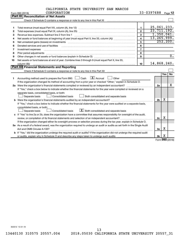|             | CALIFORNIA STATE UNIVERSITY SAN MARCOS |  |
|-------------|----------------------------------------|--|
| CORPORATION |                                        |  |

|    | CORPORATION<br>Form 990 (2018)                                                                                                                                                                                                      |                | 33-0397688     |     | Page 12          |  |  |
|----|-------------------------------------------------------------------------------------------------------------------------------------------------------------------------------------------------------------------------------------|----------------|----------------|-----|------------------|--|--|
|    | <b>Part XI Reconciliation of Net Assets</b>                                                                                                                                                                                         |                |                |     |                  |  |  |
|    |                                                                                                                                                                                                                                     |                |                |     |                  |  |  |
|    |                                                                                                                                                                                                                                     |                |                |     |                  |  |  |
| 1  |                                                                                                                                                                                                                                     | $\mathbf{1}$   | 25,061,233.    |     |                  |  |  |
| 2  |                                                                                                                                                                                                                                     | $\mathbf{2}$   | 23, 711, 192.  |     |                  |  |  |
| з  | Revenue less expenses. Subtract line 2 from line 1                                                                                                                                                                                  | 3              | 1,350,041.     |     |                  |  |  |
| 4  |                                                                                                                                                                                                                                     | 4              | 13, 265, 999.  |     | 252, 200.        |  |  |
| 5  | 5<br>Net unrealized gains (losses) on investments [11] matter than the control of the control of the control of the control of the control of the control of the control of the control of the control of the control of the contro |                |                |     |                  |  |  |
| 6  | Donated services and use of facilities                                                                                                                                                                                              | 6              |                |     |                  |  |  |
| 7  | Investment expenses                                                                                                                                                                                                                 | $\overline{7}$ |                |     |                  |  |  |
| 8  | Prior period adjustments                                                                                                                                                                                                            | 8              |                |     |                  |  |  |
| 9  |                                                                                                                                                                                                                                     | 9              |                |     | $\overline{0}$ . |  |  |
| 10 | Net assets or fund balances at end of year. Combine lines 3 through 9 (must equal Part X, line 33,                                                                                                                                  |                |                |     |                  |  |  |
|    | column (B))                                                                                                                                                                                                                         | 10             | 14,868,240.    |     |                  |  |  |
|    | Part XII Financial Statements and Reporting                                                                                                                                                                                         |                |                |     |                  |  |  |
|    |                                                                                                                                                                                                                                     |                |                |     |                  |  |  |
|    |                                                                                                                                                                                                                                     |                |                | Yes | <b>No</b>        |  |  |
| 1  | Accounting method used to prepare the Form 990: $\Box$ Cash $\Box X$ Accrual<br>$\Box$ Other                                                                                                                                        |                |                |     |                  |  |  |
|    | If the organization changed its method of accounting from a prior year or checked "Other," explain in Schedule O.                                                                                                                   |                |                |     |                  |  |  |
|    |                                                                                                                                                                                                                                     |                | 2a             |     | x                |  |  |
|    | If "Yes," check a box below to indicate whether the financial statements for the year were compiled or reviewed on a                                                                                                                |                |                |     |                  |  |  |
|    | separate basis, consolidated basis, or both:                                                                                                                                                                                        |                |                |     |                  |  |  |
|    | Both consolidated and separate basis<br>Separate basis<br>Consolidated basis                                                                                                                                                        |                |                |     |                  |  |  |
|    |                                                                                                                                                                                                                                     |                | 2 <sub>b</sub> | х   |                  |  |  |
|    | If "Yes," check a box below to indicate whether the financial statements for the year were audited on a separate basis,                                                                                                             |                |                |     |                  |  |  |
|    | consolidated basis, or both:                                                                                                                                                                                                        |                |                |     |                  |  |  |
|    | $\boxed{\textbf{X}}$ Both consolidated and separate basis<br>Consolidated basis<br>Separate basis                                                                                                                                   |                |                |     |                  |  |  |
|    | c If "Yes" to line 2a or 2b, does the organization have a committee that assumes responsibility for oversight of the audit,                                                                                                         |                |                |     |                  |  |  |
|    |                                                                                                                                                                                                                                     |                | 2c             | х   |                  |  |  |
|    | If the organization changed either its oversight process or selection process during the tax year, explain in Schedule O.                                                                                                           |                |                |     |                  |  |  |
|    | 3a As a result of a federal award, was the organization required to undergo an audit or audits as set forth in the Single Audit                                                                                                     |                |                |     |                  |  |  |
|    |                                                                                                                                                                                                                                     |                | За             | х   |                  |  |  |
|    | <b>b</b> If "Yes," did the organization undergo the required audit or audits? If the organization did not undergo the required audit                                                                                                |                |                |     |                  |  |  |
|    |                                                                                                                                                                                                                                     |                | 3 <sub>b</sub> | х   |                  |  |  |

Form (2018) **990**

832012 12-31-18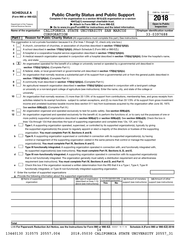| <b>SCHEDULE A</b>                                                        |                                                            |                                                                                                                                                                                                                                                 |     |                                                                |                                                      | OMB No. 1545-0047                                   |
|--------------------------------------------------------------------------|------------------------------------------------------------|-------------------------------------------------------------------------------------------------------------------------------------------------------------------------------------------------------------------------------------------------|-----|----------------------------------------------------------------|------------------------------------------------------|-----------------------------------------------------|
| (Form 990 or 990-EZ)                                                     |                                                            | <b>Public Charity Status and Public Support</b><br>Complete if the organization is a section 501(c)(3) organization or a section                                                                                                                |     |                                                                |                                                      |                                                     |
|                                                                          |                                                            | 4947(a)(1) nonexempt charitable trust.                                                                                                                                                                                                          |     |                                                                |                                                      |                                                     |
| Department of the Treasury<br>Internal Revenue Service                   |                                                            | Attach to Form 990 or Form 990-EZ.                                                                                                                                                                                                              |     |                                                                |                                                      | <b>Open to Public</b><br>Inspection                 |
|                                                                          |                                                            | Go to www.irs.gov/Form990 for instructions and the latest information.                                                                                                                                                                          |     |                                                                |                                                      |                                                     |
| Name of the organization                                                 | CORPORATION                                                | CALIFORNIA STATE UNIVERSITY SAN MARCOS                                                                                                                                                                                                          |     |                                                                |                                                      | <b>Employer identification number</b><br>33-0397688 |
| Part I                                                                   |                                                            | Reason for Public Charity Status (All organizations must complete this part.) See instructions.                                                                                                                                                 |     |                                                                |                                                      |                                                     |
|                                                                          |                                                            |                                                                                                                                                                                                                                                 |     |                                                                |                                                      |                                                     |
|                                                                          |                                                            | The organization is not a private foundation because it is: (For lines 1 through 12, check only one box.)                                                                                                                                       |     |                                                                |                                                      |                                                     |
| 1                                                                        |                                                            | A church, convention of churches, or association of churches described in <b>section 170(b)(1)(A)(i).</b>                                                                                                                                       |     |                                                                |                                                      |                                                     |
| 2                                                                        |                                                            | A school described in section 170(b)(1)(A)(ii). (Attach Schedule E (Form 990 or 990-EZ).)                                                                                                                                                       |     |                                                                |                                                      |                                                     |
| 3<br>4                                                                   |                                                            | A hospital or a cooperative hospital service organization described in section 170(b)(1)(A)(iii).                                                                                                                                               |     |                                                                |                                                      |                                                     |
| city, and state:                                                         |                                                            | A medical research organization operated in conjunction with a hospital described in section 170(b)(1)(A)(iii). Enter the hospital's name,                                                                                                      |     |                                                                |                                                      |                                                     |
| $\mathbf{X}$<br>5                                                        |                                                            | An organization operated for the benefit of a college or university owned or operated by a governmental unit described in                                                                                                                       |     |                                                                |                                                      |                                                     |
|                                                                          | section 170(b)(1)(A)(iv). (Complete Part II.)              |                                                                                                                                                                                                                                                 |     |                                                                |                                                      |                                                     |
| 6                                                                        |                                                            | A federal, state, or local government or governmental unit described in section 170(b)(1)(A)(v).                                                                                                                                                |     |                                                                |                                                      |                                                     |
| 7                                                                        |                                                            | An organization that normally receives a substantial part of its support from a governmental unit or from the general public described in                                                                                                       |     |                                                                |                                                      |                                                     |
|                                                                          | section 170(b)(1)(A)(vi). (Complete Part II.)              |                                                                                                                                                                                                                                                 |     |                                                                |                                                      |                                                     |
| 8                                                                        |                                                            | A community trust described in section 170(b)(1)(A)(vi). (Complete Part II.)                                                                                                                                                                    |     |                                                                |                                                      |                                                     |
| 9                                                                        |                                                            | An agricultural research organization described in section 170(b)(1)(A)(ix) operated in conjunction with a land-grant college                                                                                                                   |     |                                                                |                                                      |                                                     |
|                                                                          |                                                            | or university or a non-land-grant college of agriculture (see instructions). Enter the name, city, and state of the college or                                                                                                                  |     |                                                                |                                                      |                                                     |
| university:                                                              |                                                            |                                                                                                                                                                                                                                                 |     |                                                                |                                                      |                                                     |
| 10                                                                       |                                                            | An organization that normally receives: (1) more than 33 1/3% of its support from contributions, membership fees, and gross receipts from                                                                                                       |     |                                                                |                                                      |                                                     |
|                                                                          |                                                            | activities related to its exempt functions - subject to certain exceptions, and (2) no more than 33 1/3% of its support from gross investment                                                                                                   |     |                                                                |                                                      |                                                     |
|                                                                          |                                                            | income and unrelated business taxable income (less section 511 tax) from businesses acquired by the organization after June 30, 1975.                                                                                                           |     |                                                                |                                                      |                                                     |
|                                                                          | See section 509(a)(2). (Complete Part III.)                |                                                                                                                                                                                                                                                 |     |                                                                |                                                      |                                                     |
| 11                                                                       |                                                            | An organization organized and operated exclusively to test for public safety. See section 509(a)(4).                                                                                                                                            |     |                                                                |                                                      |                                                     |
| 12                                                                       |                                                            | An organization organized and operated exclusively for the benefit of, to perform the functions of, or to carry out the purposes of one or                                                                                                      |     |                                                                |                                                      |                                                     |
|                                                                          |                                                            | more publicly supported organizations described in section 509(a)(1) or section 509(a)(2). See section 509(a)(3). Check the box in                                                                                                              |     |                                                                |                                                      |                                                     |
|                                                                          |                                                            | lines 12a through 12d that describes the type of supporting organization and complete lines 12e, 12f, and 12g.                                                                                                                                  |     |                                                                |                                                      |                                                     |
| а                                                                        |                                                            | Type I. A supporting organization operated, supervised, or controlled by its supported organization(s), typically by giving                                                                                                                     |     |                                                                |                                                      |                                                     |
|                                                                          |                                                            | the supported organization(s) the power to regularly appoint or elect a majority of the directors or trustees of the supporting                                                                                                                 |     |                                                                |                                                      |                                                     |
|                                                                          | organization. You must complete Part IV, Sections A and B. |                                                                                                                                                                                                                                                 |     |                                                                |                                                      |                                                     |
| b                                                                        |                                                            | Type II. A supporting organization supervised or controlled in connection with its supported organization(s), by having<br>control or management of the supporting organization vested in the same persons that control or manage the supported |     |                                                                |                                                      |                                                     |
|                                                                          |                                                            | organization(s). You must complete Part IV, Sections A and C.                                                                                                                                                                                   |     |                                                                |                                                      |                                                     |
| с                                                                        |                                                            | Type III functionally integrated. A supporting organization operated in connection with, and functionally integrated with,                                                                                                                      |     |                                                                |                                                      |                                                     |
|                                                                          |                                                            | its supported organization(s) (see instructions). You must complete Part IV, Sections A, D, and E.                                                                                                                                              |     |                                                                |                                                      |                                                     |
| d                                                                        |                                                            | Type III non-functionally integrated. A supporting organization operated in connection with its supported organization(s)                                                                                                                       |     |                                                                |                                                      |                                                     |
|                                                                          |                                                            | that is not functionally integrated. The organization generally must satisfy a distribution requirement and an attentiveness                                                                                                                    |     |                                                                |                                                      |                                                     |
|                                                                          |                                                            | requirement (see instructions). You must complete Part IV, Sections A and D, and Part V.                                                                                                                                                        |     |                                                                |                                                      |                                                     |
| е                                                                        |                                                            | Check this box if the organization received a written determination from the IRS that it is a Type I, Type II, Type III                                                                                                                         |     |                                                                |                                                      |                                                     |
|                                                                          |                                                            | functionally integrated, or Type III non-functionally integrated supporting organization.                                                                                                                                                       |     |                                                                |                                                      |                                                     |
| f Enter the number of supported organizations                            |                                                            |                                                                                                                                                                                                                                                 |     |                                                                |                                                      |                                                     |
| g Provide the following information about the supported organization(s). |                                                            |                                                                                                                                                                                                                                                 |     |                                                                |                                                      |                                                     |
| (i) Name of supported                                                    | (ii) EIN                                                   | (iii) Type of organization<br>(described on lines 1-10                                                                                                                                                                                          |     | (iv) Is the organization listed<br>in your governing document? | (v) Amount of monetary<br>support (see instructions) | (vi) Amount of other                                |
| organization                                                             |                                                            | above (see instructions))                                                                                                                                                                                                                       | Yes | No                                                             |                                                      | support (see instructions)                          |
|                                                                          |                                                            |                                                                                                                                                                                                                                                 |     |                                                                |                                                      |                                                     |
|                                                                          |                                                            |                                                                                                                                                                                                                                                 |     |                                                                |                                                      |                                                     |
|                                                                          |                                                            |                                                                                                                                                                                                                                                 |     |                                                                |                                                      |                                                     |
|                                                                          |                                                            |                                                                                                                                                                                                                                                 |     |                                                                |                                                      |                                                     |
|                                                                          |                                                            |                                                                                                                                                                                                                                                 |     |                                                                |                                                      |                                                     |
|                                                                          |                                                            |                                                                                                                                                                                                                                                 |     |                                                                |                                                      |                                                     |
|                                                                          |                                                            |                                                                                                                                                                                                                                                 |     |                                                                |                                                      |                                                     |
|                                                                          |                                                            |                                                                                                                                                                                                                                                 |     |                                                                |                                                      |                                                     |
|                                                                          |                                                            |                                                                                                                                                                                                                                                 |     |                                                                |                                                      |                                                     |
| Total                                                                    |                                                            |                                                                                                                                                                                                                                                 |     |                                                                |                                                      |                                                     |
|                                                                          |                                                            | LHA For Paperwork Reduction Act Notice, see the Instructions for Form 990 or 990-EZ. 832021 10-11-18                                                                                                                                            |     |                                                                |                                                      | Schedule A (Form 990 or 990-EZ) 2018                |
|                                                                          |                                                            | 14                                                                                                                                                                                                                                              |     |                                                                |                                                      |                                                     |

|  | 13440130 310575 20557.004 |  |  |  |
|--|---------------------------|--|--|--|
|--|---------------------------|--|--|--|

13440130 310575 20557.004 2018.05030 CALIFORNIA STATE UNIVERSITY 20557\_31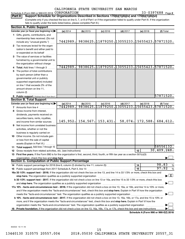#### 33-0397688 Page 2 Schedule A (Form 990 or 990-EZ) 2018  $CORPORTION$  33-0397688  $Page$

|  | Part II   Support Schedule for Organizations Described in Sections 170(b)(1)(A)(iv) and 170(b)(1)(A)(vi) |  |
|--|----------------------------------------------------------------------------------------------------------|--|
|  |                                                                                                          |  |

(Complete only if you checked the box on line 5, 7, or 8 of Part I or if the organization failed to qualify under Part III. If the organization fails to qualify under the tests listed below, please complete Part III.)

| <b>Section A. Public Support</b>                                                                                                                                                                                                                                                                                                                                           |          |           |            |            |                                              |                                              |
|----------------------------------------------------------------------------------------------------------------------------------------------------------------------------------------------------------------------------------------------------------------------------------------------------------------------------------------------------------------------------|----------|-----------|------------|------------|----------------------------------------------|----------------------------------------------|
| Calendar year (or fiscal year beginning in)                                                                                                                                                                                                                                                                                                                                | (a) 2014 | (b) 2015  | $(c)$ 2016 | $(d)$ 2017 | $(e)$ 2018                                   | (f) Total                                    |
| 1 Gifts, grants, contributions, and<br>membership fees received. (Do not                                                                                                                                                                                                                                                                                                   |          |           |            |            |                                              |                                              |
| include any "unusual grants.")                                                                                                                                                                                                                                                                                                                                             | 7442989. |           |            |            |                                              | 9838625.11879250.13055233.15655423.57871520. |
| 2 Tax revenues levied for the organ-<br>ization's benefit and either paid to                                                                                                                                                                                                                                                                                               |          |           |            |            |                                              |                                              |
| or expended on its behalf                                                                                                                                                                                                                                                                                                                                                  |          |           |            |            |                                              |                                              |
| 3 The value of services or facilities                                                                                                                                                                                                                                                                                                                                      |          |           |            |            |                                              |                                              |
| furnished by a governmental unit to                                                                                                                                                                                                                                                                                                                                        |          |           |            |            |                                              |                                              |
| the organization without charge                                                                                                                                                                                                                                                                                                                                            | 7442989. |           |            |            | 9838625.11879250.13055233.15655423.57871520. |                                              |
| 4 Total. Add lines 1 through 3                                                                                                                                                                                                                                                                                                                                             |          |           |            |            |                                              |                                              |
| 5 The portion of total contributions                                                                                                                                                                                                                                                                                                                                       |          |           |            |            |                                              |                                              |
| by each person (other than a<br>governmental unit or publicly                                                                                                                                                                                                                                                                                                              |          |           |            |            |                                              |                                              |
| supported organization) included                                                                                                                                                                                                                                                                                                                                           |          |           |            |            |                                              |                                              |
| on line 1 that exceeds 2% of the                                                                                                                                                                                                                                                                                                                                           |          |           |            |            |                                              |                                              |
| amount shown on line 11,                                                                                                                                                                                                                                                                                                                                                   |          |           |            |            |                                              |                                              |
| column (f)                                                                                                                                                                                                                                                                                                                                                                 |          |           |            |            |                                              |                                              |
| 6 Public support. Subtract line 5 from line 4.                                                                                                                                                                                                                                                                                                                             |          |           |            |            |                                              | 57871520.                                    |
| <b>Section B. Total Support</b>                                                                                                                                                                                                                                                                                                                                            |          |           |            |            |                                              |                                              |
| Calendar year (or fiscal year beginning in) $\blacktriangleright$                                                                                                                                                                                                                                                                                                          | (a) 2014 | (b) 2015  | $(c)$ 2016 | $(d)$ 2017 | (e) 2018                                     | (f) Total                                    |
| <b>7</b> Amounts from line 4                                                                                                                                                                                                                                                                                                                                               | 7442989. |           |            |            | 9838625.11879250.13055233.15655423.57871520. |                                              |
| 8 Gross income from interest,                                                                                                                                                                                                                                                                                                                                              |          |           |            |            |                                              |                                              |
| dividends, payments received on                                                                                                                                                                                                                                                                                                                                            |          |           |            |            |                                              |                                              |
| securities loans, rents, royalties,                                                                                                                                                                                                                                                                                                                                        |          |           |            |            |                                              |                                              |
| and income from similar sources                                                                                                                                                                                                                                                                                                                                            | 145,952. | 154, 567. | 153,431.   | 58,074.    | 172,588.                                     | 684,612.                                     |
| <b>9</b> Net income from unrelated business                                                                                                                                                                                                                                                                                                                                |          |           |            |            |                                              |                                              |
| activities, whether or not the                                                                                                                                                                                                                                                                                                                                             |          |           |            |            |                                              |                                              |
| business is regularly carried on                                                                                                                                                                                                                                                                                                                                           |          |           |            |            |                                              |                                              |
| 10 Other income. Do not include gain                                                                                                                                                                                                                                                                                                                                       |          |           |            |            |                                              |                                              |
| or loss from the sale of capital                                                                                                                                                                                                                                                                                                                                           |          |           |            |            |                                              |                                              |
| assets (Explain in Part VI.)                                                                                                                                                                                                                                                                                                                                               |          |           |            |            |                                              |                                              |
| 11 Total support. Add lines 7 through 10                                                                                                                                                                                                                                                                                                                                   |          |           |            |            |                                              | 58556132.                                    |
| 12 Gross receipts from related activities, etc. (see instructions)                                                                                                                                                                                                                                                                                                         |          |           |            |            | 12                                           | 30,409,248.                                  |
| 13 First five years. If the Form 990 is for the organization's first, second, third, fourth, or fifth tax year as a section 501(c)(3)                                                                                                                                                                                                                                      |          |           |            |            |                                              |                                              |
| organization, check this box and stop here<br><b>Section C. Computation of Public Support Percentage</b>                                                                                                                                                                                                                                                                   |          |           |            |            |                                              |                                              |
|                                                                                                                                                                                                                                                                                                                                                                            |          |           |            |            |                                              | 98.83                                        |
|                                                                                                                                                                                                                                                                                                                                                                            |          |           |            |            | 14<br>15                                     | %<br>97.92                                   |
| 16a 33 1/3% support test - 2018. If the organization did not check the box on line 13, and line 14 is 33 1/3% or more, check this box and                                                                                                                                                                                                                                  |          |           |            |            |                                              | $\%$                                         |
|                                                                                                                                                                                                                                                                                                                                                                            |          |           |            |            |                                              | $\blacktriangleright$ $\mathbf{X}$           |
| stop here. The organization qualifies as a publicly supported organization manufactured content and the content of the state of the state of the state of the state of the state of the state of the state of the state of the<br>b 33 1/3% support test - 2017. If the organization did not check a box on line 13 or 16a, and line 15 is 33 1/3% or more, check this box |          |           |            |            |                                              |                                              |
|                                                                                                                                                                                                                                                                                                                                                                            |          |           |            |            |                                              |                                              |
| 17a 10% -facts-and-circumstances test - 2018. If the organization did not check a box on line 13, 16a, or 16b, and line 14 is 10% or more,                                                                                                                                                                                                                                 |          |           |            |            |                                              |                                              |
| and if the organization meets the "facts-and-circumstances" test, check this box and stop here. Explain in Part VI how the organization                                                                                                                                                                                                                                    |          |           |            |            |                                              |                                              |
|                                                                                                                                                                                                                                                                                                                                                                            |          |           |            |            |                                              |                                              |
| b 10% -facts-and-circumstances test - 2017. If the organization did not check a box on line 13, 16a, 16b, or 17a, and line 15 is 10% or                                                                                                                                                                                                                                    |          |           |            |            |                                              |                                              |
| more, and if the organization meets the "facts-and-circumstances" test, check this box and stop here. Explain in Part VI how the                                                                                                                                                                                                                                           |          |           |            |            |                                              |                                              |
| organization meets the "facts-and-circumstances" test. The organization qualifies as a publicly supported organization                                                                                                                                                                                                                                                     |          |           |            |            |                                              |                                              |
| 18 Private foundation. If the organization did not check a box on line 13, 16a, 16b, 17a, or 17b, check this box and see instructions.                                                                                                                                                                                                                                     |          |           |            |            |                                              |                                              |
|                                                                                                                                                                                                                                                                                                                                                                            |          |           |            |            |                                              | Schedule A (Form 990 or 990-EZ) 2018         |

832022 10-11-18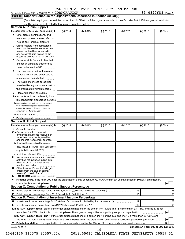## Schedule A (Form 990 or 990-EZ) 2018  $CORPORTION$  33-0397688  $Page$

**Part III Support Schedule for Organizations Described in Section 509(a)(2)** 

(Complete only if you checked the box on line 10 of Part I or if the organization failed to qualify under Part II. If the organization fails to qualify under the tests listed below, please complete Part II.)

|              | Calendar year (or fiscal year beginning in)                                                                                                                                                                                                               | (a) 2014 | (b) 2015 | $(c)$ 2016 | $(d)$ 2017 |    | (e) 2018 | (f) Total                            |
|--------------|-----------------------------------------------------------------------------------------------------------------------------------------------------------------------------------------------------------------------------------------------------------|----------|----------|------------|------------|----|----------|--------------------------------------|
|              | 1 Gifts, grants, contributions, and                                                                                                                                                                                                                       |          |          |            |            |    |          |                                      |
|              | membership fees received. (Do not                                                                                                                                                                                                                         |          |          |            |            |    |          |                                      |
|              | include any "unusual grants.")                                                                                                                                                                                                                            |          |          |            |            |    |          |                                      |
| $\mathbf{2}$ | Gross receipts from admissions,<br>merchandise sold or services per-<br>formed, or facilities furnished in<br>any activity that is related to the<br>organization's tax-exempt purpose                                                                    |          |          |            |            |    |          |                                      |
| 3            | Gross receipts from activities that                                                                                                                                                                                                                       |          |          |            |            |    |          |                                      |
|              | are not an unrelated trade or bus-                                                                                                                                                                                                                        |          |          |            |            |    |          |                                      |
|              | iness under section 513                                                                                                                                                                                                                                   |          |          |            |            |    |          |                                      |
| 4            | Tax revenues levied for the organ-                                                                                                                                                                                                                        |          |          |            |            |    |          |                                      |
|              | ization's benefit and either paid to<br>or expended on its behalf<br>.                                                                                                                                                                                    |          |          |            |            |    |          |                                      |
| 5            | The value of services or facilities                                                                                                                                                                                                                       |          |          |            |            |    |          |                                      |
|              | furnished by a governmental unit to<br>the organization without charge                                                                                                                                                                                    |          |          |            |            |    |          |                                      |
| 6            | Total. Add lines 1 through 5                                                                                                                                                                                                                              |          |          |            |            |    |          |                                      |
|              |                                                                                                                                                                                                                                                           |          |          |            |            |    |          |                                      |
|              | 7a Amounts included on lines 1, 2, and<br>3 received from disqualified persons                                                                                                                                                                            |          |          |            |            |    |          |                                      |
|              | <b>b</b> Amounts included on lines 2 and 3 received                                                                                                                                                                                                       |          |          |            |            |    |          |                                      |
|              | from other than disqualified persons that<br>exceed the greater of \$5,000 or 1% of the<br>amount on line 13 for the year                                                                                                                                 |          |          |            |            |    |          |                                      |
|              | c Add lines 7a and 7b                                                                                                                                                                                                                                     |          |          |            |            |    |          |                                      |
|              | 8 Public support. (Subtract line 7c from line 6.)                                                                                                                                                                                                         |          |          |            |            |    |          |                                      |
|              | <b>Section B. Total Support</b>                                                                                                                                                                                                                           |          |          |            |            |    |          |                                      |
|              | Calendar year (or fiscal year beginning in)                                                                                                                                                                                                               | (a) 2014 | (b) 2015 | $(c)$ 2016 | $(d)$ 2017 |    | (e) 2018 | (f) Total                            |
|              | 9 Amounts from line 6                                                                                                                                                                                                                                     |          |          |            |            |    |          |                                      |
|              | <b>10a</b> Gross income from interest,<br>dividends, payments received on<br>securities loans, rents, royalties,<br>and income from similar sources                                                                                                       |          |          |            |            |    |          |                                      |
|              | <b>b</b> Unrelated business taxable income                                                                                                                                                                                                                |          |          |            |            |    |          |                                      |
|              | (less section 511 taxes) from businesses                                                                                                                                                                                                                  |          |          |            |            |    |          |                                      |
|              |                                                                                                                                                                                                                                                           |          |          |            |            |    |          |                                      |
|              | acquired after June 30, 1975                                                                                                                                                                                                                              |          |          |            |            |    |          |                                      |
|              | c Add lines 10a and 10b<br>Net income from unrelated business<br>activities not included in line 10b.<br>whether or not the business is                                                                                                                   |          |          |            |            |    |          |                                      |
|              | regularly carried on<br><b>12</b> Other income. Do not include gain<br>or loss from the sale of capital                                                                                                                                                   |          |          |            |            |    |          |                                      |
|              | assets (Explain in Part VI.)<br>13 Total support. (Add lines 9, 10c, 11, and 12.)                                                                                                                                                                         |          |          |            |            |    |          |                                      |
|              | 14 First five years. If the Form 990 is for the organization's first, second, third, fourth, or fifth tax year as a section 501(c)(3) organization,                                                                                                       |          |          |            |            |    |          |                                      |
|              |                                                                                                                                                                                                                                                           |          |          |            |            |    |          |                                      |
|              | check this box and stop here <i>machine and content and content and states and stop here</i> and stop here and stop the content and stop here and stop here and stop here and stop here and stop here and stop here and stop here a                       |          |          |            |            |    |          |                                      |
|              | Section C. Computation of Public Support Percentage                                                                                                                                                                                                       |          |          |            |            | 15 |          |                                      |
|              |                                                                                                                                                                                                                                                           |          |          |            |            | 16 |          |                                      |
|              |                                                                                                                                                                                                                                                           |          |          |            |            |    |          |                                      |
|              | Section D. Computation of Investment Income Percentage                                                                                                                                                                                                    |          |          |            |            |    |          |                                      |
|              |                                                                                                                                                                                                                                                           |          |          |            |            | 17 |          |                                      |
|              |                                                                                                                                                                                                                                                           |          |          |            |            | 18 |          |                                      |
|              | 19a 33 1/3% support tests - 2018. If the organization did not check the box on line 14, and line 15 is more than 33 1/3%, and line 17 is not                                                                                                              |          |          |            |            |    |          |                                      |
|              | more than 33 1/3%, check this box and stop here. The organization qualifies as a publicly supported organization<br>b 33 1/3% support tests - 2017. If the organization did not check a box on line 14 or line 19a, and line 16 is more than 33 1/3%, and |          |          |            |            |    |          |                                      |
|              | line 18 is not more than 33 1/3%, check this box and stop here. The organization qualifies as a publicly supported organization                                                                                                                           |          |          |            |            |    |          | %<br>%<br>%<br>%                     |
| 11           | 832023 10-11-18                                                                                                                                                                                                                                           |          |          |            |            |    |          | Schedule A (Form 990 or 990-EZ) 2018 |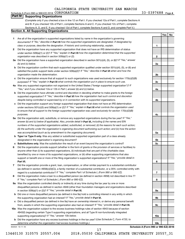# **Part IV Supporting Organizations**

(Complete only if you checked a box in line 12 on Part I. If you checked 12a of Part I, complete Sections A and B. If you checked 12b of Part I, complete Sections A and C. If you checked 12c of Part I, complete Sections A, D, and E. If you checked 12d of Part I, complete Sections A and D, and complete Part V.)

## **Section A. All Supporting Organizations**

- **1** Are all of the organization's supported organizations listed by name in the organization's governing documents? If "No," describe in Part VI how the supported organizations are designated. If designated by *class or purpose, describe the designation. If historic and continuing relationship, explain.*
- **2** Did the organization have any supported organization that does not have an IRS determination of status under section 509(a)(1) or (2)? If "Yes," explain in Part **VI** how the organization determined that the supported *organization was described in section 509(a)(1) or (2).*
- **3a** Did the organization have a supported organization described in section 501(c)(4), (5), or (6)? If "Yes," answer *(b) and (c) below.*
- **b** Did the organization confirm that each supported organization qualified under section 501(c)(4), (5), or (6) and satisfied the public support tests under section 509(a)(2)? If "Yes," describe in Part VI when and how the *organization made the determination.*
- **c** Did the organization ensure that all support to such organizations was used exclusively for section 170(c)(2)(B) purposes? If "Yes," explain in Part VI what controls the organization put in place to ensure such use.
- **4 a** *If* Was any supported organization not organized in the United States ("foreign supported organization")? *"Yes," and if you checked 12a or 12b in Part I, answer (b) and (c) below.*
- **b** Did the organization have ultimate control and discretion in deciding whether to make grants to the foreign supported organization? If "Yes," describe in Part VI how the organization had such control and discretion *despite being controlled or supervised by or in connection with its supported organizations.*
- **c** Did the organization support any foreign supported organization that does not have an IRS determination under sections 501(c)(3) and 509(a)(1) or (2)? If "Yes," explain in Part VI what controls the organization used *to ensure that all support to the foreign supported organization was used exclusively for section 170(c)(2)(B) purposes.*
- **5a** Did the organization add, substitute, or remove any supported organizations during the tax year? If "Yes," answer (b) and (c) below (if applicable). Also, provide detail in **Part VI,** including (i) the names and EIN *numbers of the supported organizations added, substituted, or removed; (ii) the reasons for each such action; (iii) the authority under the organization's organizing document authorizing such action; and (iv) how the action was accomplished (such as by amendment to the organizing document).*
- **b Type I or Type II only.** Was any added or substituted supported organization part of a class already designated in the organization's organizing document?
- **c Substitutions only.**  Was the substitution the result of an event beyond the organization's control?
- **6** Did the organization provide support (whether in the form of grants or the provision of services or facilities) to **Part VI.** support or benefit one or more of the filing organization's supported organizations? If "Yes," provide detail in anyone other than (i) its supported organizations, (ii) individuals that are part of the charitable class benefited by one or more of its supported organizations, or (iii) other supporting organizations that also
- **7** Did the organization provide a grant, loan, compensation, or other similar payment to a substantial contributor regard to a substantial contributor? If "Yes," complete Part I of Schedule L (Form 990 or 990-EZ). (as defined in section 4958(c)(3)(C)), a family member of a substantial contributor, or a 35% controlled entity with
- **8** Did the organization make a loan to a disqualified person (as defined in section 4958) not described in line 7? *If "Yes," complete Part I of Schedule L (Form 990 or 990-EZ).*
- **9 a** Was the organization controlled directly or indirectly at any time during the tax year by one or more in section 509(a)(1) or (2))? If "Yes," provide detail in **Part VI.** disqualified persons as defined in section 4946 (other than foundation managers and organizations described
- **b** Did one or more disqualified persons (as defined in line 9a) hold a controlling interest in any entity in which the supporting organization had an interest? If "Yes," provide detail in Part VI.
- **c** Did a disqualified person (as defined in line 9a) have an ownership interest in, or derive any personal benefit from, assets in which the supporting organization also had an interest? If "Yes," provide detail in Part VI.
- **10 a** Was the organization subject to the excess business holdings rules of section 4943 because of section supporting organizations)? If "Yes," answer 10b below. 4943(f) (regarding certain Type II supporting organizations, and all Type III non-functionally integrated
	- **b** Did the organization have any excess business holdings in the tax year? (Use Schedule C, Form 4720, to *determine whether the organization had excess business holdings.)*

832024 10-11-18

**Schedule A (Form 990 or 990-EZ) 2018**

13440130 310575 20557.004 2018.05030 CALIFORNIA STATE UNIVERSITY 20557\_31

17

**4b 4c 5a 5b 5c 6 7 8 9a 9b 9c 10a 10b**

**1**

**2**

**3a**

**3b**

**3c**

**4a**

**Yes No**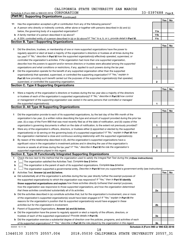33-0397688 Page 5 Schedule A (Form 990 or 990-EZ) 2018  $CORPORTION$  33-0397688  $Page$ 

|    | Part IV<br><b>Supporting Organizations (continued)</b>                                                                          |                 |     |    |
|----|---------------------------------------------------------------------------------------------------------------------------------|-----------------|-----|----|
|    |                                                                                                                                 |                 | Yes | No |
| 11 | Has the organization accepted a gift or contribution from any of the following persons?                                         |                 |     |    |
|    | a A person who directly or indirectly controls, either alone or together with persons described in (b) and (c)                  |                 |     |    |
|    | below, the governing body of a supported organization?                                                                          | 11a             |     |    |
|    | <b>b</b> A family member of a person described in (a) above?                                                                    | 11 <sub>b</sub> |     |    |
|    | c A 35% controlled entity of a person described in (a) or (b) above? If "Yes" to a, b, or c, provide detail in Part VI.         | 11c             |     |    |
|    | <b>Section B. Type I Supporting Organizations</b>                                                                               |                 |     |    |
|    |                                                                                                                                 |                 | Yes | No |
| 1  | Did the directors, trustees, or membership of one or more supported organizations have the power to                             |                 |     |    |
|    | regularly appoint or elect at least a majority of the organization's directors or trustees at all times during the              |                 |     |    |
|    | tax year? If "No," describe in Part VI how the supported organization(s) effectively operated, supervised, or                   |                 |     |    |
|    | controlled the organization's activities. If the organization had more than one supported organization,                         |                 |     |    |
|    | describe how the powers to appoint and/or remove directors or trustees were allocated among the supported                       |                 |     |    |
|    | organizations and what conditions or restrictions, if any, applied to such powers during the tax year.                          | 1               |     |    |
| 2  | Did the organization operate for the benefit of any supported organization other than the supported                             |                 |     |    |
|    | organization(s) that operated, supervised, or controlled the supporting organization? If "Yes," explain in                      |                 |     |    |
|    | Part VI how providing such benefit carried out the purposes of the supported organization(s) that operated,                     |                 |     |    |
|    | supervised, or controlled the supporting organization.                                                                          | 2               |     |    |
|    | <b>Section C. Type II Supporting Organizations</b>                                                                              |                 |     |    |
|    |                                                                                                                                 |                 | Yes | No |
| 1. | Were a majority of the organization's directors or trustees during the tax year also a majority of the directors                |                 |     |    |
|    | or trustees of each of the organization's supported organization(s)? If "No," describe in Part VI how control                   |                 |     |    |
|    | or management of the supporting organization was vested in the same persons that controlled or managed                          |                 |     |    |
|    | the supported organization(s).                                                                                                  | 1               |     |    |
|    | <b>Section D. All Type III Supporting Organizations</b>                                                                         |                 |     |    |
|    |                                                                                                                                 |                 | Yes | No |
| 1  | Did the organization provide to each of its supported organizations, by the last day of the fifth month of the                  |                 |     |    |
|    | organization's tax year, (i) a written notice describing the type and amount of support provided during the prior tax           |                 |     |    |
|    | year, (ii) a copy of the Form 990 that was most recently filed as of the date of notification, and (iii) copies of the          |                 |     |    |
|    | organization's governing documents in effect on the date of notification, to the extent not previously provided?                | 1               |     |    |
| 2  | Were any of the organization's officers, directors, or trustees either (i) appointed or elected by the supported                |                 |     |    |
|    | organization(s) or (ii) serving on the governing body of a supported organization? If "No," explain in Part VI how              |                 |     |    |
|    | the organization maintained a close and continuous working relationship with the supported organization(s).                     | 2               |     |    |
| 3  | By reason of the relationship described in (2), did the organization's supported organizations have a                           |                 |     |    |
|    | significant voice in the organization's investment policies and in directing the use of the organization's                      |                 |     |    |
|    | income or assets at all times during the tax year? If "Yes," describe in Part VI the role the organization's                    |                 |     |    |
|    | supported organizations played in this regard.                                                                                  | з               |     |    |
|    | Section E. Type III Functionally Integrated Supporting Organizations                                                            |                 |     |    |
| 1  | Check the box next to the method that the organization used to satisfy the Integral Part Test during the yealsee instructions). |                 |     |    |
| a  | The organization satisfied the Activities Test. Complete line 2 below.                                                          |                 |     |    |
| b  | The organization is the parent of each of its supported organizations. Complete line 3 below.                                   |                 |     |    |
| с  | The organization supported a governmental entity. Describe in Part VI how you supported a government entity (see instructions). |                 |     |    |
| 2  | Activities Test. Answer (a) and (b) below.                                                                                      |                 | Yes | No |
| а  | Did substantially all of the organization's activities during the tax year directly further the exempt purposes of              |                 |     |    |
|    | the supported organization(s) to which the organization was responsive? If "Yes," then in Part VI identify                      |                 |     |    |
|    | those supported organizations and explain how these activities directly furthered their exempt purposes,                        |                 |     |    |
|    | how the organization was responsive to those supported organizations, and how the organization determined                       |                 |     |    |
|    | that these activities constituted substantially all of its activities.                                                          | 2a              |     |    |
| b  | Did the activities described in (a) constitute activities that, but for the organization's involvement, one or more             |                 |     |    |
|    | of the organization's supported organization(s) would have been engaged in? If "Yes," explain in Part VI the                    |                 |     |    |
|    | reasons for the organization's position that its supported organization(s) would have engaged in these                          |                 |     |    |
|    | activities but for the organization's involvement.                                                                              | 2b              |     |    |
| 3  | Parent of Supported Organizations. Answer (a) and (b) below.                                                                    |                 |     |    |
| а  | Did the organization have the power to regularly appoint or elect a majority of the officers, directors, or                     |                 |     |    |
|    | trustees of each of the supported organizations? Provide details in Part VI.                                                    | За              |     |    |
|    | <b>b</b> Did the organization exercise a substantial degree of direction over the policies, programs, and activities of each    |                 |     |    |
|    | of its supported organizations? If "Yes," describe in Part VI the role played by the organization in this regard.               | 3b              |     |    |
|    | Schedule A (Form 990 or 990-EZ) 2018<br>832025 10-11-18<br>18                                                                   |                 |     |    |
|    |                                                                                                                                 |                 |     |    |

<sup>13440130 310575 20557.004 2018.05030</sup> CALIFORNIA STATE UNIVERSITY 20557\_31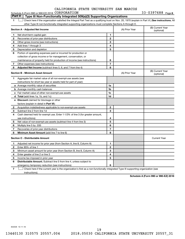#### **1 Letter or if the organization satisfied the Integral Part Test as a qualifying trust on Nov. 20, 1970 (explain in Part VI.) See instructions. All Section A - Adjusted Net Income 1 2 3 4 5 6 7 8 1 2 3 4 5 6 7 Adjusted Net Income** (subtract lines 5, 6, and 7 from line 4) **8 8 Section B - Minimum Asset Amount 1 2 3 4 5 6 7 8 a** Average monthly value of securities **b** Average monthly cash balances **c** Fair market value of other non-exempt-use assets **d Total**  (add lines 1a, 1b, and 1c) **e Discount** claimed for blockage or other **1a 1b 1c 1d 2 3 4 5 6 7 8** factors (explain in detail in Part VI): **Minimum Asset Amount**  (add line 7 to line 6) **Section C - Distributable Amount 1 2 3 4 5 6 1 2 3 4 5 6** Distributable Amount. Subtract line 5 from line 4, unless subject to other Type III non-functionally integrated supporting organizations must complete Sections A through E. (B) Current Year (A) Prior Year Net short-term capital gain Recoveries of prior-year distributions Other gross income (see instructions) Add lines 1 through 3 Depreciation and depletion Portion of operating expenses paid or incurred for production or collection of gross income or for management, conservation, or maintenance of property held for production of income (see instructions) Other expenses (see instructions) (B) Current Year  $(A)$  Prior Year  $\left\{\n\begin{array}{ccc}\n\end{array}\n\right\}$  (optional) Aggregate fair market value of all non-exempt-use assets (see instructions for short tax year or assets held for part of year): Acquisition indebtedness applicable to non-exempt-use assets Subtract line 2 from line 1d Cash deemed held for exempt use. Enter 1-1/2% of line 3 (for greater amount, see instructions) Net value of non-exempt-use assets (subtract line 4 from line 3) Multiply line 5 by .035 Recoveries of prior-year distributions Current Year Adjusted net income for prior year (from Section A, line 8, Column A) Enter 85% of line 1 Minimum asset amount for prior year (from Section B, line 8, Column A) Enter greater of line 2 or line 3 Income tax imposed in prior year emergency temporary reduction (see instructions) **Part V Type III Non-Functionally Integrated 509(a)(3) Supporting Organizations**   $\Box$

**7** Check here if the current year is the organization's first as a non-functionally integrated Type III supporting organization (see † instructions).

**Schedule A (Form 990 or 990-EZ) 2018**

832026 10-11-18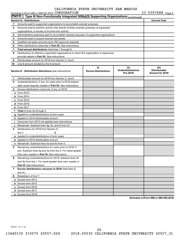|               | Schedule A (Form 990 or 990-EZ) 2018 CORPORATION                                           |                                    |                                               | 33-0397688 Page 7                                |
|---------------|--------------------------------------------------------------------------------------------|------------------------------------|-----------------------------------------------|--------------------------------------------------|
| <b>Part V</b> | Type III Non-Functionally Integrated 509(a)(3) Supporting Organizations (continued)        |                                    |                                               |                                                  |
|               | <b>Section D - Distributions</b>                                                           |                                    |                                               | <b>Current Year</b>                              |
| 1             | Amounts paid to supported organizations to accomplish exempt purposes                      |                                    |                                               |                                                  |
| 2             | Amounts paid to perform activity that directly furthers exempt purposes of supported       |                                    |                                               |                                                  |
|               | organizations, in excess of income from activity                                           |                                    |                                               |                                                  |
| З             | Administrative expenses paid to accomplish exempt purposes of supported organizations      |                                    |                                               |                                                  |
| 4             | Amounts paid to acquire exempt-use assets                                                  |                                    |                                               |                                                  |
| 5             | Qualified set-aside amounts (prior IRS approval required)                                  |                                    |                                               |                                                  |
| 6             | Other distributions (describe in <b>Part VI</b> ). See instructions.                       |                                    |                                               |                                                  |
| 7             | Total annual distributions. Add lines 1 through 6.                                         |                                    |                                               |                                                  |
| 8             | Distributions to attentive supported organizations to which the organization is responsive |                                    |                                               |                                                  |
|               | (provide details in Part VI). See instructions.                                            |                                    |                                               |                                                  |
| 9             | Distributable amount for 2018 from Section C, line 6                                       |                                    |                                               |                                                  |
| 10            | Line 8 amount divided by line 9 amount                                                     |                                    |                                               |                                                  |
|               | <b>Section E - Distribution Allocations (see instructions)</b>                             | (i)<br><b>Excess Distributions</b> | (ii)<br><b>Underdistributions</b><br>Pre-2018 | (iii)<br><b>Distributable</b><br>Amount for 2018 |
| 1.            | Distributable amount for 2018 from Section C, line 6                                       |                                    |                                               |                                                  |
| 2             | Underdistributions, if any, for years prior to 2018 (reason-                               |                                    |                                               |                                                  |
|               | able cause required-explain in Part VI). See instructions.                                 |                                    |                                               |                                                  |
| 3             | Excess distributions carryover, if any, to 2018                                            |                                    |                                               |                                                  |
|               | <b>a</b> From 2013                                                                         |                                    |                                               |                                                  |
|               | $b$ From 2014                                                                              |                                    |                                               |                                                  |
|               | c From 2015                                                                                |                                    |                                               |                                                  |
|               | d From 2016                                                                                |                                    |                                               |                                                  |
|               | e From 2017                                                                                |                                    |                                               |                                                  |
|               | f Total of lines 3a through e                                                              |                                    |                                               |                                                  |
|               | g Applied to underdistributions of prior years                                             |                                    |                                               |                                                  |
|               | <b>h</b> Applied to 2018 distributable amount                                              |                                    |                                               |                                                  |
| Ť.            | Carryover from 2013 not applied (see instructions)                                         |                                    |                                               |                                                  |
|               | Remainder. Subtract lines 3g, 3h, and 3i from 3f.                                          |                                    |                                               |                                                  |
| 4             | Distributions for 2018 from Section D.                                                     |                                    |                                               |                                                  |
|               | line $7:$                                                                                  |                                    |                                               |                                                  |
|               | a Applied to underdistributions of prior years                                             |                                    |                                               |                                                  |
|               | <b>b</b> Applied to 2018 distributable amount                                              |                                    |                                               |                                                  |
|               | <b>c</b> Remainder. Subtract lines 4a and 4b from 4.                                       |                                    |                                               |                                                  |
| 5             | Remaining underdistributions for years prior to 2018, if                                   |                                    |                                               |                                                  |
|               | any. Subtract lines 3g and 4a from line 2. For result greater                              |                                    |                                               |                                                  |
|               | than zero, explain in Part VI. See instructions.                                           |                                    |                                               |                                                  |
| 6             | Remaining underdistributions for 2018. Subtract lines 3h                                   |                                    |                                               |                                                  |
|               | and 4b from line 1. For result greater than zero, explain in                               |                                    |                                               |                                                  |
|               | <b>Part VI.</b> See instructions.                                                          |                                    |                                               |                                                  |
| 7             | Excess distributions carryover to 2019. Add lines 3j                                       |                                    |                                               |                                                  |
|               | and 4c.                                                                                    |                                    |                                               |                                                  |
| 8             | Breakdown of line 7:                                                                       |                                    |                                               |                                                  |
|               | a Excess from 2014                                                                         |                                    |                                               |                                                  |
|               | <b>b</b> Excess from 2015                                                                  |                                    |                                               |                                                  |
|               | c Excess from 2016                                                                         |                                    |                                               |                                                  |
|               | d Excess from 2017                                                                         |                                    |                                               |                                                  |
|               | e Excess from 2018                                                                         |                                    |                                               |                                                  |

**Schedule A (Form 990 or 990-EZ) 2018**

832027 10-11-18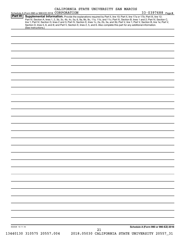|                 |                                                                                                                                                                                                                                                                                                                                                                                                                                                                                                                                                                                                                                                 |  | CALIFORNIA STATE UNIVERSITY SAN MARCOS          | 33-0397688 Page 8                    |  |
|-----------------|-------------------------------------------------------------------------------------------------------------------------------------------------------------------------------------------------------------------------------------------------------------------------------------------------------------------------------------------------------------------------------------------------------------------------------------------------------------------------------------------------------------------------------------------------------------------------------------------------------------------------------------------------|--|-------------------------------------------------|--------------------------------------|--|
| <b>Part VI</b>  | Schedule A (Form 990 or 990-EZ) 2018 CORPORATION<br>Supplemental Information. Provide the explanations required by Part II, line 10; Part II, line 17a or 17b; Part III, line 12;<br>Part IV, Section A, lines 1, 2, 3b, 3c, 4b, 4c, 5a, 6, 9a, 9b, 9c, 11a, 11b, and 11c; Part IV, Section B, lines 1 and 2; Part IV, Section C,<br>line 1; Part IV, Section D, lines 2 and 3; Part IV, Section E, lines 1c, 2a, 2b, 3a, and 3b; Part V, line 1; Part V, Section B, line 1e; Part V,<br>Section D, lines 5, 6, and 8; and Part V, Section E, lines 2, 5, and 6. Also complete this part for any additional information.<br>(See instructions.) |  |                                                 |                                      |  |
|                 |                                                                                                                                                                                                                                                                                                                                                                                                                                                                                                                                                                                                                                                 |  |                                                 |                                      |  |
|                 |                                                                                                                                                                                                                                                                                                                                                                                                                                                                                                                                                                                                                                                 |  |                                                 |                                      |  |
|                 |                                                                                                                                                                                                                                                                                                                                                                                                                                                                                                                                                                                                                                                 |  |                                                 |                                      |  |
|                 |                                                                                                                                                                                                                                                                                                                                                                                                                                                                                                                                                                                                                                                 |  |                                                 |                                      |  |
|                 |                                                                                                                                                                                                                                                                                                                                                                                                                                                                                                                                                                                                                                                 |  |                                                 |                                      |  |
|                 |                                                                                                                                                                                                                                                                                                                                                                                                                                                                                                                                                                                                                                                 |  |                                                 |                                      |  |
|                 |                                                                                                                                                                                                                                                                                                                                                                                                                                                                                                                                                                                                                                                 |  |                                                 |                                      |  |
|                 |                                                                                                                                                                                                                                                                                                                                                                                                                                                                                                                                                                                                                                                 |  |                                                 |                                      |  |
|                 |                                                                                                                                                                                                                                                                                                                                                                                                                                                                                                                                                                                                                                                 |  |                                                 |                                      |  |
|                 |                                                                                                                                                                                                                                                                                                                                                                                                                                                                                                                                                                                                                                                 |  |                                                 |                                      |  |
|                 |                                                                                                                                                                                                                                                                                                                                                                                                                                                                                                                                                                                                                                                 |  |                                                 |                                      |  |
|                 |                                                                                                                                                                                                                                                                                                                                                                                                                                                                                                                                                                                                                                                 |  |                                                 |                                      |  |
|                 |                                                                                                                                                                                                                                                                                                                                                                                                                                                                                                                                                                                                                                                 |  |                                                 |                                      |  |
|                 |                                                                                                                                                                                                                                                                                                                                                                                                                                                                                                                                                                                                                                                 |  |                                                 |                                      |  |
|                 |                                                                                                                                                                                                                                                                                                                                                                                                                                                                                                                                                                                                                                                 |  |                                                 |                                      |  |
|                 |                                                                                                                                                                                                                                                                                                                                                                                                                                                                                                                                                                                                                                                 |  |                                                 |                                      |  |
|                 |                                                                                                                                                                                                                                                                                                                                                                                                                                                                                                                                                                                                                                                 |  |                                                 |                                      |  |
|                 |                                                                                                                                                                                                                                                                                                                                                                                                                                                                                                                                                                                                                                                 |  |                                                 |                                      |  |
|                 |                                                                                                                                                                                                                                                                                                                                                                                                                                                                                                                                                                                                                                                 |  |                                                 |                                      |  |
|                 |                                                                                                                                                                                                                                                                                                                                                                                                                                                                                                                                                                                                                                                 |  |                                                 |                                      |  |
|                 |                                                                                                                                                                                                                                                                                                                                                                                                                                                                                                                                                                                                                                                 |  |                                                 |                                      |  |
|                 |                                                                                                                                                                                                                                                                                                                                                                                                                                                                                                                                                                                                                                                 |  |                                                 |                                      |  |
|                 |                                                                                                                                                                                                                                                                                                                                                                                                                                                                                                                                                                                                                                                 |  |                                                 |                                      |  |
|                 |                                                                                                                                                                                                                                                                                                                                                                                                                                                                                                                                                                                                                                                 |  |                                                 |                                      |  |
|                 |                                                                                                                                                                                                                                                                                                                                                                                                                                                                                                                                                                                                                                                 |  |                                                 |                                      |  |
|                 |                                                                                                                                                                                                                                                                                                                                                                                                                                                                                                                                                                                                                                                 |  |                                                 |                                      |  |
|                 |                                                                                                                                                                                                                                                                                                                                                                                                                                                                                                                                                                                                                                                 |  |                                                 |                                      |  |
|                 |                                                                                                                                                                                                                                                                                                                                                                                                                                                                                                                                                                                                                                                 |  |                                                 |                                      |  |
|                 |                                                                                                                                                                                                                                                                                                                                                                                                                                                                                                                                                                                                                                                 |  |                                                 |                                      |  |
| 832028 10-11-18 |                                                                                                                                                                                                                                                                                                                                                                                                                                                                                                                                                                                                                                                 |  | 21                                              | Schedule A (Form 990 or 990-EZ) 2018 |  |
|                 | 13440130 310575 20557.004                                                                                                                                                                                                                                                                                                                                                                                                                                                                                                                                                                                                                       |  | 2018.05030 CALIFORNIA STATE UNIVERSITY 20557_31 |                                      |  |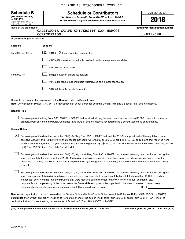Department of the Treasury Internal Revenue Service **(Form 990, 990-EZ,** \*\* PUBLIC DISCLOSURE COPY \*\*

# **Schedule B Schedule of Contributors**

**or 990-PF) | Attach to Form 990, Form 990-EZ, or Form 990-PF. | Go to www.irs.gov/Form990 for the latest information.** OMB No. 1545-0047

**2018**

**Employer identification number**

| Name of the organization |  |
|--------------------------|--|
|--------------------------|--|

| CALIFORNIA STATE UNIVERSITY SAN MARCOS |  |  |            |
|----------------------------------------|--|--|------------|
| CORPORATION                            |  |  | 33-0397688 |

| Organization type (check one): |  |
|--------------------------------|--|

| Filers of:         | Section:                                                                           |
|--------------------|------------------------------------------------------------------------------------|
| Form 990 or 990-EZ | $ \mathbf{X} $ 501(c)( 3) (enter number) organization                              |
|                    | $4947(a)(1)$ nonexempt charitable trust <b>not</b> treated as a private foundation |
|                    | 527 political organization                                                         |
| Form 990-PF        | 501(c)(3) exempt private foundation                                                |
|                    | 4947(a)(1) nonexempt charitable trust treated as a private foundation              |
|                    | 501(c)(3) taxable private foundation                                               |

Check if your organization is covered by the General Rule or a Special Rule.

**Note:**  Only a section 501(c)(7), (8), or (10) organization can check boxes for both the General Rule and a Special Rule. See instructions.

## **General Rule**

 $\Box$ 

For an organization filing Form 990, 990-EZ, or 990-PF that received, during the year, contributions totaling \$5,000 or more (in money or property) from any one contributor. Complete Parts I and II. See instructions for determining a contributor's total contributions.

### **Special Rules**

any one contributor, during the year, total contributions of the greater of (1) \$5,000; or (2) 2% of the amount on (i) Form 990, Part VIII, line 1h;  $\boxed{\text{X}}$  For an organization described in section 501(c)(3) filing Form 990 or 990-EZ that met the 33 1/3% support test of the regulations under sections 509(a)(1) and 170(b)(1)(A)(vi), that checked Schedule A (Form 990 or 990-EZ), Part II, line 13, 16a, or 16b, and that received from or (ii) Form 990-EZ, line 1. Complete Parts I and II.

year, total contributions of more than \$1,000 *exclusively* for religious, charitable, scientific, literary, or educational purposes, or for the For an organization described in section 501(c)(7), (8), or (10) filing Form 990 or 990-EZ that received from any one contributor, during the prevention of cruelty to children or animals. Complete Parts I (entering "N/A" in column (b) instead of the contributor name and address), II, and III.  $\Box$ 

purpose. Don't complete any of the parts unless the General Rule applies to this organization because it received nonexclusively year, contributions exclusively for religious, charitable, etc., purposes, but no such contributions totaled more than \$1,000. If this box is checked, enter here the total contributions that were received during the year for an exclusively religious, charitable, etc., For an organization described in section 501(c)(7), (8), or (10) filing Form 990 or 990-EZ that received from any one contributor, during the religious, charitable, etc., contributions totaling \$5,000 or more during the year  $~\ldots\ldots\ldots\ldots\ldots\ldots\ldots\ldots\ldots\blacktriangleright~$ \$  $\Box$ 

**Caution:**  An organization that isn't covered by the General Rule and/or the Special Rules doesn't file Schedule B (Form 990, 990-EZ, or 990-PF),  **must** but it answer "No" on Part IV, line 2, of its Form 990; or check the box on line H of its Form 990-EZ or on its Form 990-PF, Part I, line 2, to certify that it doesn't meet the filing requirements of Schedule B (Form 990, 990-EZ, or 990-PF).

**For Paperwork Reduction Act Notice, see the instructions for Form 990, 990-EZ, or 990-PF. Schedule B (Form 990, 990-EZ, or 990-PF) (2018)** LHA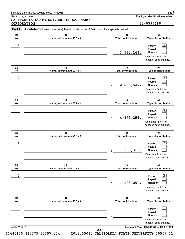## Schedule B (Form 990, 990-EZ, or 990-PF) (2018)

Name of organization

CALIFORNIA STATE UNIVERSITY SAN MARCOS CORPORATION 33-0397688

**Employer identification number**

| Part I          | Contributors (see instructions). Use duplicate copies of Part I if additional space is needed. |                                   |                                                                                                                                     |
|-----------------|------------------------------------------------------------------------------------------------|-----------------------------------|-------------------------------------------------------------------------------------------------------------------------------------|
| (a)<br>No.      | (b)<br>Name, address, and ZIP + 4                                                              | (c)<br><b>Total contributions</b> | (d)<br>Type of contribution                                                                                                         |
| 1               |                                                                                                | 3, 512, 143.<br>$\frac{1}{2}$     | $\lfloor x \rfloor$<br>Person<br>Payroll<br>Noncash<br>(Complete Part II for<br>noncash contributions.)                             |
| (a)<br>No.      | (b)<br>Name, address, and ZIP + 4                                                              | (c)<br><b>Total contributions</b> | (d)<br>Type of contribution                                                                                                         |
| 2               |                                                                                                | 2,635,549.<br>$\mathsf{\$}$       | $\lfloor x \rfloor$<br>Person<br>Payroll<br>Noncash<br>(Complete Part II for<br>noncash contributions.)                             |
| (a)<br>No.      | (b)<br>Name, address, and ZIP + 4                                                              | (c)<br><b>Total contributions</b> | (d)<br>Type of contribution                                                                                                         |
| 3               |                                                                                                | 4,875,256.<br>\$                  | $\lfloor x \rfloor$<br>Person<br>Payroll<br>Noncash<br>(Complete Part II for<br>noncash contributions.)                             |
| (a)<br>No.      | (b)<br>Name, address, and ZIP + 4                                                              | (c)<br><b>Total contributions</b> | (d)<br>Type of contribution                                                                                                         |
| 4               |                                                                                                | 506, 315.<br>\$                   | $\mathbf{X}$<br>Person<br>Payroll<br>Noncash<br>(Complete Part II for<br>noncash contributions.)                                    |
| (a)<br>No.      | (b)<br>Name, address, and ZIP + 4                                                              | (c)<br><b>Total contributions</b> | (d)<br>Type of contribution                                                                                                         |
| 5               |                                                                                                | 1,228,251.<br>\$                  | $\mathbf{X}$<br>Person<br>Payroll<br><b>Noncash</b><br>(Complete Part II for<br>noncash contributions.)                             |
| (a)<br>No.      | (b)<br>Name, address, and ZIP + 4                                                              | (c)<br><b>Total contributions</b> | (d)<br>Type of contribution                                                                                                         |
| 823452 11-08-18 |                                                                                                | \$                                | Person<br>Payroll<br>Noncash<br>(Complete Part II for<br>noncash contributions.)<br>Schedule B (Form 990, 990-EZ, or 990-PF) (2018) |
|                 | 23                                                                                             |                                   |                                                                                                                                     |

13440130 310575 20557.004 2018.05030 CALIFORNIA STATE UNIVERSITY 20557\_31

**2**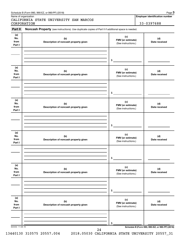| Part II                      | Noncash Property (see instructions). Use duplicate copies of Part II if additional space is needed. |                                                 |                                                 |
|------------------------------|-----------------------------------------------------------------------------------------------------|-------------------------------------------------|-------------------------------------------------|
| (a)<br>No.<br>from<br>Part I | (b)<br>Description of noncash property given                                                        | (c)<br>FMV (or estimate)<br>(See instructions.) | (d)<br>Date received                            |
|                              |                                                                                                     |                                                 |                                                 |
|                              |                                                                                                     | $\$$                                            |                                                 |
| (a)<br>No.<br>from<br>Part I | (b)<br>Description of noncash property given                                                        | (c)<br>FMV (or estimate)<br>(See instructions.) | (d)<br>Date received                            |
|                              |                                                                                                     |                                                 |                                                 |
|                              |                                                                                                     | \$                                              |                                                 |
| (a)<br>No.<br>from<br>Part I | (b)<br>Description of noncash property given                                                        | (c)<br>FMV (or estimate)<br>(See instructions.) | (d)<br>Date received                            |
|                              |                                                                                                     |                                                 |                                                 |
|                              |                                                                                                     | \$                                              |                                                 |
| (a)<br>No.<br>from           | (b)<br>Description of noncash property given                                                        | (c)<br>FMV (or estimate)<br>(See instructions.) | (d)<br>Date received                            |
| Part I                       |                                                                                                     |                                                 |                                                 |
|                              |                                                                                                     |                                                 |                                                 |
|                              |                                                                                                     | \$                                              |                                                 |
| (a)<br>No.<br>from           | (b)<br>Description of noncash property given                                                        | (c)<br>FMV (or estimate)                        | (d)<br>Date received                            |
| Part I                       |                                                                                                     | (See instructions.)                             |                                                 |
|                              |                                                                                                     |                                                 |                                                 |
|                              |                                                                                                     | \$                                              |                                                 |
| (a)<br>No.<br>from<br>Part I | (b)<br>Description of noncash property given                                                        | (c)<br>FMV (or estimate)<br>(See instructions.) | (d)<br>Date received                            |
|                              |                                                                                                     |                                                 |                                                 |
|                              |                                                                                                     | \$                                              |                                                 |
| 823453 11-08-18              |                                                                                                     |                                                 | Schedule B (Form 990, 990-EZ, or 990-PF) (2018) |

Name of organization

CALIFORNIA STATE UNIVERSITY SAN MARCOS CORPORATION 33-0397688

**Employer identification number**

13440130 310575 20557.004 2018.05030 CALIFORNIA STATE UNIVERSITY 20557\_31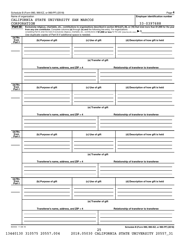|                   | Name of organization<br>CALIFORNIA STATE UNIVERSITY SAN MARCOS                                                                                           |                                          | <b>Employer identification number</b>                                                                                                                          |  |  |  |  |  |
|-------------------|----------------------------------------------------------------------------------------------------------------------------------------------------------|------------------------------------------|----------------------------------------------------------------------------------------------------------------------------------------------------------------|--|--|--|--|--|
|                   | CORPORATION                                                                                                                                              |                                          | 33-0397688                                                                                                                                                     |  |  |  |  |  |
| Part III          | from any one contributor. Complete columns (a) through (e) and the following line entry. For organizations                                               |                                          | Exclusively religious, charitable, etc., contributions to organizations described in section 501(c)(7), (8), or (10) that total more than \$1,000 for the year |  |  |  |  |  |
|                   | completing Part III, enter the total of exclusively religious, charitable, etc., contributions of \$1,000 or less for the year. (Enter this info. once.) |                                          |                                                                                                                                                                |  |  |  |  |  |
| (a) No.           | Use duplicate copies of Part III if additional space is needed.                                                                                          |                                          |                                                                                                                                                                |  |  |  |  |  |
| `from             | (b) Purpose of gift                                                                                                                                      | (c) Use of gift                          | (d) Description of how gift is held                                                                                                                            |  |  |  |  |  |
| Part I            |                                                                                                                                                          |                                          |                                                                                                                                                                |  |  |  |  |  |
|                   |                                                                                                                                                          |                                          |                                                                                                                                                                |  |  |  |  |  |
|                   |                                                                                                                                                          |                                          |                                                                                                                                                                |  |  |  |  |  |
|                   |                                                                                                                                                          |                                          |                                                                                                                                                                |  |  |  |  |  |
|                   |                                                                                                                                                          | (e) Transfer of gift                     |                                                                                                                                                                |  |  |  |  |  |
|                   | Transferee's name, address, and ZIP + 4                                                                                                                  |                                          | Relationship of transferor to transferee                                                                                                                       |  |  |  |  |  |
|                   |                                                                                                                                                          |                                          |                                                                                                                                                                |  |  |  |  |  |
|                   |                                                                                                                                                          |                                          |                                                                                                                                                                |  |  |  |  |  |
|                   |                                                                                                                                                          |                                          |                                                                                                                                                                |  |  |  |  |  |
| (a) No.           |                                                                                                                                                          |                                          |                                                                                                                                                                |  |  |  |  |  |
| `from<br>Part I   | (b) Purpose of gift                                                                                                                                      | (c) Use of gift                          | (d) Description of how gift is held                                                                                                                            |  |  |  |  |  |
|                   |                                                                                                                                                          |                                          |                                                                                                                                                                |  |  |  |  |  |
|                   |                                                                                                                                                          |                                          |                                                                                                                                                                |  |  |  |  |  |
|                   |                                                                                                                                                          |                                          |                                                                                                                                                                |  |  |  |  |  |
|                   | (e) Transfer of gift                                                                                                                                     |                                          |                                                                                                                                                                |  |  |  |  |  |
|                   |                                                                                                                                                          |                                          |                                                                                                                                                                |  |  |  |  |  |
|                   | Transferee's name, address, and ZIP + 4                                                                                                                  | Relationship of transferor to transferee |                                                                                                                                                                |  |  |  |  |  |
|                   |                                                                                                                                                          |                                          |                                                                                                                                                                |  |  |  |  |  |
|                   |                                                                                                                                                          |                                          |                                                                                                                                                                |  |  |  |  |  |
|                   |                                                                                                                                                          |                                          |                                                                                                                                                                |  |  |  |  |  |
| $(a)$ No.<br>from | (b) Purpose of gift                                                                                                                                      | (c) Use of gift                          | (d) Description of how gift is held                                                                                                                            |  |  |  |  |  |
| Part I            |                                                                                                                                                          |                                          |                                                                                                                                                                |  |  |  |  |  |
|                   |                                                                                                                                                          |                                          |                                                                                                                                                                |  |  |  |  |  |
|                   |                                                                                                                                                          |                                          |                                                                                                                                                                |  |  |  |  |  |
|                   |                                                                                                                                                          |                                          |                                                                                                                                                                |  |  |  |  |  |
|                   | (e) Transfer of gift                                                                                                                                     |                                          |                                                                                                                                                                |  |  |  |  |  |
|                   | Transferee's name, address, and ZIP + 4                                                                                                                  |                                          | Relationship of transferor to transferee                                                                                                                       |  |  |  |  |  |
|                   |                                                                                                                                                          |                                          |                                                                                                                                                                |  |  |  |  |  |
|                   |                                                                                                                                                          |                                          |                                                                                                                                                                |  |  |  |  |  |
|                   |                                                                                                                                                          |                                          |                                                                                                                                                                |  |  |  |  |  |
| (a) No.<br>from   |                                                                                                                                                          |                                          |                                                                                                                                                                |  |  |  |  |  |
| Part I            | (b) Purpose of gift                                                                                                                                      | (c) Use of gift                          | (d) Description of how gift is held                                                                                                                            |  |  |  |  |  |
|                   |                                                                                                                                                          |                                          |                                                                                                                                                                |  |  |  |  |  |
|                   |                                                                                                                                                          |                                          |                                                                                                                                                                |  |  |  |  |  |
|                   |                                                                                                                                                          |                                          |                                                                                                                                                                |  |  |  |  |  |
|                   | (e) Transfer of gift                                                                                                                                     |                                          |                                                                                                                                                                |  |  |  |  |  |
|                   |                                                                                                                                                          |                                          |                                                                                                                                                                |  |  |  |  |  |
|                   | Transferee's name, address, and ZIP + 4                                                                                                                  |                                          | Relationship of transferor to transferee                                                                                                                       |  |  |  |  |  |
|                   |                                                                                                                                                          |                                          |                                                                                                                                                                |  |  |  |  |  |
|                   |                                                                                                                                                          |                                          |                                                                                                                                                                |  |  |  |  |  |
|                   |                                                                                                                                                          |                                          |                                                                                                                                                                |  |  |  |  |  |
|                   |                                                                                                                                                          |                                          |                                                                                                                                                                |  |  |  |  |  |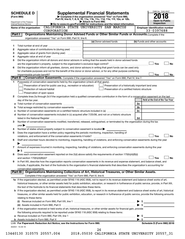|         | <b>SCHEDULE D</b>              |                                                                                       | <b>Supplemental Financial Statements</b>                                                                                                                                                                                                                                                                                                                           |                              | OMB No. 1545-0047                     |
|---------|--------------------------------|---------------------------------------------------------------------------------------|--------------------------------------------------------------------------------------------------------------------------------------------------------------------------------------------------------------------------------------------------------------------------------------------------------------------------------------------------------------------|------------------------------|---------------------------------------|
|         | (Form 990)                     |                                                                                       | Complete if the organization answered "Yes" on Form 990,                                                                                                                                                                                                                                                                                                           |                              |                                       |
|         | Department of the Treasury     |                                                                                       | Part IV, line 6, 7, 8, 9, 10, 11a, 11b, 11c, 11d, 11e, 11f, 12a, or 12b.<br>Attach to Form 990.                                                                                                                                                                                                                                                                    |                              | <b>Open to Public</b>                 |
|         | Internal Revenue Service       |                                                                                       | Go to www.irs.gov/Form990 for instructions and the latest information.                                                                                                                                                                                                                                                                                             |                              | <b>Inspection</b>                     |
|         | Name of the organization       |                                                                                       | CALIFORNIA STATE UNIVERSITY SAN MARCOS                                                                                                                                                                                                                                                                                                                             |                              | <b>Employer identification number</b> |
|         | Part I                         | CORPORATION                                                                           | Organizations Maintaining Donor Advised Funds or Other Similar Funds or Accounts. Complete if the                                                                                                                                                                                                                                                                  |                              | 33-0397688                            |
|         |                                | organization answered "Yes" on Form 990, Part IV, line 6.                             |                                                                                                                                                                                                                                                                                                                                                                    |                              |                                       |
|         |                                |                                                                                       | (a) Donor advised funds                                                                                                                                                                                                                                                                                                                                            | (b) Funds and other accounts |                                       |
| 1       |                                |                                                                                       |                                                                                                                                                                                                                                                                                                                                                                    |                              |                                       |
| 2       |                                | Aggregate value of contributions to (during year)                                     |                                                                                                                                                                                                                                                                                                                                                                    |                              |                                       |
| з       |                                | Aggregate value of grants from (during year)                                          |                                                                                                                                                                                                                                                                                                                                                                    |                              |                                       |
| 4       |                                |                                                                                       |                                                                                                                                                                                                                                                                                                                                                                    |                              |                                       |
| 5       |                                |                                                                                       | Did the organization inform all donors and donor advisors in writing that the assets held in donor advised funds                                                                                                                                                                                                                                                   |                              |                                       |
|         |                                |                                                                                       |                                                                                                                                                                                                                                                                                                                                                                    |                              | Yes<br><b>No</b>                      |
| 6       |                                |                                                                                       | Did the organization inform all grantees, donors, and donor advisors in writing that grant funds can be used only                                                                                                                                                                                                                                                  |                              |                                       |
|         |                                |                                                                                       | for charitable purposes and not for the benefit of the donor or donor advisor, or for any other purpose conferring                                                                                                                                                                                                                                                 |                              |                                       |
| Part II | impermissible private benefit? |                                                                                       | Conservation Easements. Complete if the organization answered "Yes" on Form 990, Part IV, line 7.                                                                                                                                                                                                                                                                  |                              | Yes<br>No                             |
| 1       |                                | Purpose(s) of conservation easements held by the organization (check all that apply). |                                                                                                                                                                                                                                                                                                                                                                    |                              |                                       |
|         |                                | Preservation of land for public use (e.g., recreation or education)                   | Preservation of a historically important land area                                                                                                                                                                                                                                                                                                                 |                              |                                       |
|         | Protection of natural habitat  |                                                                                       | Preservation of a certified historic structure                                                                                                                                                                                                                                                                                                                     |                              |                                       |
|         | Preservation of open space     |                                                                                       |                                                                                                                                                                                                                                                                                                                                                                    |                              |                                       |
| 2       |                                |                                                                                       | Complete lines 2a through 2d if the organization held a qualified conservation contribution in the form of a conservation easement on the last                                                                                                                                                                                                                     |                              |                                       |
|         | day of the tax year.           |                                                                                       |                                                                                                                                                                                                                                                                                                                                                                    |                              | Held at the End of the Tax Year       |
| а       |                                |                                                                                       |                                                                                                                                                                                                                                                                                                                                                                    | 2a                           |                                       |
| b       |                                | Total acreage restricted by conservation easements                                    |                                                                                                                                                                                                                                                                                                                                                                    | 2b                           |                                       |
| с       |                                |                                                                                       |                                                                                                                                                                                                                                                                                                                                                                    | 2c                           |                                       |
| d       |                                |                                                                                       | Number of conservation easements included in (c) acquired after 7/25/06, and not on a historic structure                                                                                                                                                                                                                                                           |                              |                                       |
| 3       |                                |                                                                                       | listed in the National Register [111] [12] https://www.marray.com/marray.com/marray-information-information-information-information-information-information-information-information-information-information-information-inform<br>Number of conservation easements modified, transferred, released, extinguished, or terminated by the organization during the tax | 2d                           |                                       |
|         | year                           |                                                                                       |                                                                                                                                                                                                                                                                                                                                                                    |                              |                                       |
| 4       |                                | Number of states where property subject to conservation easement is located >         |                                                                                                                                                                                                                                                                                                                                                                    |                              |                                       |
| 5       |                                |                                                                                       | Does the organization have a written policy regarding the periodic monitoring, inspection, handling of                                                                                                                                                                                                                                                             |                              |                                       |
|         |                                | violations, and enforcement of the conservation easements it holds?                   |                                                                                                                                                                                                                                                                                                                                                                    |                              | Yes<br><b>No</b>                      |
| 6       |                                |                                                                                       | Staff and volunteer hours devoted to monitoring, inspecting, handling of violations, and enforcing conservation easements during the year                                                                                                                                                                                                                          |                              |                                       |
|         |                                |                                                                                       |                                                                                                                                                                                                                                                                                                                                                                    |                              |                                       |
| 7       |                                |                                                                                       | Amount of expenses incurred in monitoring, inspecting, handling of violations, and enforcing conservation easements during the year                                                                                                                                                                                                                                |                              |                                       |
|         | $\blacktriangleright$ \$       |                                                                                       |                                                                                                                                                                                                                                                                                                                                                                    |                              |                                       |
| 8       |                                |                                                                                       | Does each conservation easement reported on line 2(d) above satisfy the requirements of section 170(h)(4)(B)(i)                                                                                                                                                                                                                                                    |                              | Yes<br><b>No</b>                      |
| 9       |                                |                                                                                       | In Part XIII, describe how the organization reports conservation easements in its revenue and expense statement, and balance sheet, and                                                                                                                                                                                                                            |                              |                                       |
|         |                                |                                                                                       | include, if applicable, the text of the footnote to the organization's financial statements that describes the organization's accounting for                                                                                                                                                                                                                       |                              |                                       |
|         | conservation easements.        |                                                                                       |                                                                                                                                                                                                                                                                                                                                                                    |                              |                                       |
|         |                                |                                                                                       | Part III   Organizations Maintaining Collections of Art, Historical Treasures, or Other Similar Assets.                                                                                                                                                                                                                                                            |                              |                                       |
|         |                                | Complete if the organization answered "Yes" on Form 990, Part IV, line 8.             |                                                                                                                                                                                                                                                                                                                                                                    |                              |                                       |
|         |                                |                                                                                       | 1a If the organization elected, as permitted under SFAS 116 (ASC 958), not to report in its revenue statement and balance sheet works of art,                                                                                                                                                                                                                      |                              |                                       |
|         |                                |                                                                                       | historical treasures, or other similar assets held for public exhibition, education, or research in furtherance of public service, provide, in Part XIII,                                                                                                                                                                                                          |                              |                                       |
|         |                                | the text of the footnote to its financial statements that describes these items.      |                                                                                                                                                                                                                                                                                                                                                                    |                              |                                       |
| b       |                                |                                                                                       | If the organization elected, as permitted under SFAS 116 (ASC 958), to report in its revenue statement and balance sheet works of art, historical                                                                                                                                                                                                                  |                              |                                       |
|         |                                |                                                                                       | treasures, or other similar assets held for public exhibition, education, or research in furtherance of public service, provide the following amounts                                                                                                                                                                                                              |                              |                                       |
|         | relating to these items:       |                                                                                       |                                                                                                                                                                                                                                                                                                                                                                    |                              |                                       |
|         |                                |                                                                                       | (ii) Assets included in Form 990, Part X [11] Marson Marson Marson Marson Marson Marson Marson Marson Marson M                                                                                                                                                                                                                                                     |                              |                                       |
| 2       |                                |                                                                                       | If the organization received or held works of art, historical treasures, or other similar assets for financial gain, provide                                                                                                                                                                                                                                       |                              |                                       |
|         |                                |                                                                                       | the following amounts required to be reported under SFAS 116 (ASC 958) relating to these items:                                                                                                                                                                                                                                                                    |                              |                                       |
| а       |                                |                                                                                       |                                                                                                                                                                                                                                                                                                                                                                    | SS.                          |                                       |
|         |                                |                                                                                       |                                                                                                                                                                                                                                                                                                                                                                    | -\$                          |                                       |
|         |                                | LHA For Paperwork Reduction Act Notice, see the Instructions for Form 990.            |                                                                                                                                                                                                                                                                                                                                                                    |                              | Schedule D (Form 990) 2018            |
|         | 832051 10-29-18                |                                                                                       |                                                                                                                                                                                                                                                                                                                                                                    |                              |                                       |
|         |                                |                                                                                       | 26                                                                                                                                                                                                                                                                                                                                                                 |                              |                                       |

| วรกวก |  |  | CA. | ι. |  |
|-------|--|--|-----|----|--|

13440130 310575 20557.004 2018.05030 CALIFORNIA STATE UNIVERSITY 20557\_31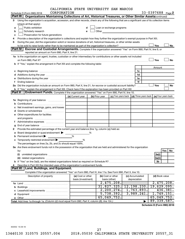|        | CORPORATION                                                                                                                                                                                                                    | CADIFORNIA SIAIE UNIVERSIII SAN MARCOS |   |                |                           |                                      |     |        | 33-0397688 Page 2   |
|--------|--------------------------------------------------------------------------------------------------------------------------------------------------------------------------------------------------------------------------------|----------------------------------------|---|----------------|---------------------------|--------------------------------------|-----|--------|---------------------|
|        | Schedule D (Form 990) 2018<br>Part III   Organizations Maintaining Collections of Art, Historical Treasures, or Other Similar Assets (continued)                                                                               |                                        |   |                |                           |                                      |     |        |                     |
|        |                                                                                                                                                                                                                                |                                        |   |                |                           |                                      |     |        |                     |
| 3      | Using the organization's acquisition, accession, and other records, check any of the following that are a significant use of its collection items<br>(check all that apply):                                                   |                                        |   |                |                           |                                      |     |        |                     |
|        | Public exhibition                                                                                                                                                                                                              |                                        |   |                |                           |                                      |     |        |                     |
| a      |                                                                                                                                                                                                                                | d                                      |   |                | Loan or exchange programs |                                      |     |        |                     |
| b      | Scholarly research                                                                                                                                                                                                             | e                                      |   | Other          |                           |                                      |     |        |                     |
| c      | Preservation for future generations                                                                                                                                                                                            |                                        |   |                |                           |                                      |     |        |                     |
| 4      | Provide a description of the organization's collections and explain how they further the organization's exempt purpose in Part XIII.                                                                                           |                                        |   |                |                           |                                      |     |        |                     |
| 5      | During the year, did the organization solicit or receive donations of art, historical treasures, or other similar assets                                                                                                       |                                        |   |                |                           |                                      |     |        |                     |
|        |                                                                                                                                                                                                                                |                                        |   |                |                           |                                      | Yes |        | No                  |
|        | <b>Part IV</b><br><b>Escrow and Custodial Arrangements.</b> Complete if the organization answered "Yes" on Form 990, Part IV, line 9, or                                                                                       |                                        |   |                |                           |                                      |     |        |                     |
|        | reported an amount on Form 990, Part X, line 21.                                                                                                                                                                               |                                        |   |                |                           |                                      |     |        |                     |
|        | 1a Is the organization an agent, trustee, custodian or other intermediary for contributions or other assets not included                                                                                                       |                                        |   |                |                           |                                      |     |        |                     |
|        | on Form 990, Part X? [11] matter contracts and contracts and contracts are contracted and contracts are contracted and contract and contract of the contract of the contract of the contract of the contract of the contract o |                                        |   |                |                           |                                      | Yes |        | <b>No</b>           |
|        | b If "Yes," explain the arrangement in Part XIII and complete the following table:                                                                                                                                             |                                        |   |                |                           |                                      |     |        |                     |
|        |                                                                                                                                                                                                                                |                                        |   |                |                           |                                      |     | Amount |                     |
|        |                                                                                                                                                                                                                                |                                        |   |                |                           | 1c                                   |     |        |                     |
|        |                                                                                                                                                                                                                                |                                        |   |                |                           | 1d                                   |     |        |                     |
|        | Distributions during the year manufactured and continuum control of the state of the control of the year manufactured and the year manufactured and the year manufactured and the state of the state of the state of the state |                                        |   |                |                           | 1е                                   |     |        |                     |
| f      | Ending balance measurements are all the contract of the contract of the contract of the contract of the contract of the contract of the contract of the contract of the contract of the contract of the contract of the contra |                                        |   |                |                           | 1f                                   |     |        |                     |
|        | 2a Did the organization include an amount on Form 990, Part X, line 21, for escrow or custodial account liability?                                                                                                             |                                        |   |                |                           |                                      | Yes |        | No                  |
|        | <b>b</b> If "Yes," explain the arrangement in Part XIII. Check here if the explanation has been provided on Part XIII                                                                                                          |                                        |   |                |                           |                                      |     |        |                     |
| Part V | Endowment Funds. Complete if the organization answered "Yes" on Form 990, Part IV, line 10.                                                                                                                                    |                                        |   |                |                           |                                      |     |        |                     |
|        |                                                                                                                                                                                                                                | (a) Current year                       |   | (b) Prior year | (c) Two years back        | $\vert$ (d) Three years back $\vert$ |     |        | (e) Four years back |
| 1a     | Beginning of year balance                                                                                                                                                                                                      |                                        |   |                |                           |                                      |     |        |                     |
|        |                                                                                                                                                                                                                                |                                        |   |                |                           |                                      |     |        |                     |
|        | Net investment earnings, gains, and losses                                                                                                                                                                                     |                                        |   |                |                           |                                      |     |        |                     |
|        |                                                                                                                                                                                                                                |                                        |   |                |                           |                                      |     |        |                     |
|        | e Other expenditures for facilities                                                                                                                                                                                            |                                        |   |                |                           |                                      |     |        |                     |
|        |                                                                                                                                                                                                                                |                                        |   |                |                           |                                      |     |        |                     |
| f.     |                                                                                                                                                                                                                                |                                        |   |                |                           |                                      |     |        |                     |
| g      |                                                                                                                                                                                                                                |                                        |   |                |                           |                                      |     |        |                     |
| 2      | Provide the estimated percentage of the current year end balance (line 1g, column (a)) held as:                                                                                                                                |                                        |   |                |                           |                                      |     |        |                     |
| а      | Board designated or quasi-endowment >                                                                                                                                                                                          |                                        | % |                |                           |                                      |     |        |                     |
|        | Permanent endowment                                                                                                                                                                                                            | %                                      |   |                |                           |                                      |     |        |                     |
|        | Temporarily restricted endowment                                                                                                                                                                                               | %                                      |   |                |                           |                                      |     |        |                     |
|        | The percentages on lines 2a, 2b, and 2c should equal 100%.                                                                                                                                                                     |                                        |   |                |                           |                                      |     |        |                     |
|        | 3a Are there endowment funds not in the possession of the organization that are held and administered for the organization                                                                                                     |                                        |   |                |                           |                                      |     |        |                     |
|        | by:                                                                                                                                                                                                                            |                                        |   |                |                           |                                      |     |        | Yes<br>No           |
|        | (i)                                                                                                                                                                                                                            |                                        |   |                |                           |                                      |     | 3a(i)  |                     |
|        |                                                                                                                                                                                                                                |                                        |   |                |                           |                                      |     | 3a(ii) |                     |
|        |                                                                                                                                                                                                                                |                                        |   |                |                           |                                      |     | 3b     |                     |
|        | Describe in Part XIII the intended uses of the organization's endowment funds.                                                                                                                                                 |                                        |   |                |                           |                                      |     |        |                     |
|        | Land, Buildings, and Equipment.<br>Part VI                                                                                                                                                                                     |                                        |   |                |                           |                                      |     |        |                     |
|        | Complete if the organization answered "Yes" on Form 990, Part IV, line 11a. See Form 990, Part X, line 10.                                                                                                                     |                                        |   |                |                           |                                      |     |        |                     |
|        | Description of property                                                                                                                                                                                                        | (a) Cost or other                      |   |                | (b) Cost or other         | (c) Accumulated                      |     |        | (d) Book value      |
|        |                                                                                                                                                                                                                                | basis (investment)                     |   | basis (other)  |                           | depreciation                         |     |        |                     |
|        |                                                                                                                                                                                                                                |                                        |   |                | 2,475,208.                |                                      |     |        | 2,475,208.          |
| b      |                                                                                                                                                                                                                                |                                        |   |                | 31,827,325.               | 12, 198, 230.                        |     |        | 19,629,095.         |
|        | Leasehold improvements                                                                                                                                                                                                         |                                        |   |                | 2, 200, 274.              | 1,763,893.                           |     |        | 436,381.            |
|        |                                                                                                                                                                                                                                |                                        |   |                | 5,738,392.                | 3,989,241.                           |     |        | 1,749,151.          |
|        |                                                                                                                                                                                                                                |                                        |   |                | 65,049,752.               |                                      |     |        | 65,049,752.         |
|        | e Other<br>Total. Add lines 1a through 1e. (Column (d) must equal Form 990, Part X, column (B), line 10c.)                                                                                                                     |                                        |   |                |                           |                                      |     |        | 89,339,587.         |
|        |                                                                                                                                                                                                                                |                                        |   |                |                           |                                      |     |        |                     |

**Schedule D (Form 990) 2018**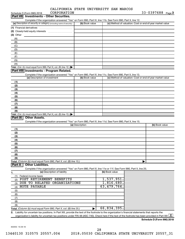|              | CALIFORNIA STATE UNIVERSITY SAN MARCOS |  |
|--------------|----------------------------------------|--|
| ------------ |                                        |  |

| CORPORATION<br>Schedule D (Form 990) 2018                                                                                                                        |                 |                | $33 - 0397688$ Page 3                                     |
|------------------------------------------------------------------------------------------------------------------------------------------------------------------|-----------------|----------------|-----------------------------------------------------------|
| Part VII Investments - Other Securities.                                                                                                                         |                 |                |                                                           |
| Complete if the organization answered "Yes" on Form 990, Part IV, line 11b. See Form 990, Part X, line 12.                                                       |                 |                |                                                           |
| (a) Description of security or category (including name of security)                                                                                             | (b) Book value  |                | (c) Method of valuation: Cost or end-of-year market value |
|                                                                                                                                                                  |                 |                |                                                           |
|                                                                                                                                                                  |                 |                |                                                           |
| (3) Other                                                                                                                                                        |                 |                |                                                           |
| (A)                                                                                                                                                              |                 |                |                                                           |
| (B)                                                                                                                                                              |                 |                |                                                           |
| (C)                                                                                                                                                              |                 |                |                                                           |
| (D)                                                                                                                                                              |                 |                |                                                           |
| (E)                                                                                                                                                              |                 |                |                                                           |
| (F)                                                                                                                                                              |                 |                |                                                           |
| (G)                                                                                                                                                              |                 |                |                                                           |
| (H)                                                                                                                                                              |                 |                |                                                           |
| Total. (Col. (b) must equal Form 990, Part X, col. (B) line 12.)                                                                                                 |                 |                |                                                           |
| Part VIII Investments - Program Related.                                                                                                                         |                 |                |                                                           |
|                                                                                                                                                                  |                 |                |                                                           |
| Complete if the organization answered "Yes" on Form 990, Part IV, line 11c. See Form 990, Part X, line 13.<br>(a) Description of investment                      | (b) Book value  |                | (c) Method of valuation: Cost or end-of-year market value |
|                                                                                                                                                                  |                 |                |                                                           |
| (1)                                                                                                                                                              |                 |                |                                                           |
| (2)                                                                                                                                                              |                 |                |                                                           |
| (3)                                                                                                                                                              |                 |                |                                                           |
| (4)                                                                                                                                                              |                 |                |                                                           |
| (5)                                                                                                                                                              |                 |                |                                                           |
| (6)                                                                                                                                                              |                 |                |                                                           |
| (7)                                                                                                                                                              |                 |                |                                                           |
| (8)                                                                                                                                                              |                 |                |                                                           |
| (9)                                                                                                                                                              |                 |                |                                                           |
| Total. (Col. (b) must equal Form 990, Part X, col. (B) line 13.)                                                                                                 |                 |                |                                                           |
| Part IX<br><b>Other Assets.</b>                                                                                                                                  |                 |                |                                                           |
| Complete if the organization answered "Yes" on Form 990, Part IV, line 11d. See Form 990, Part X, line 15.                                                       |                 |                |                                                           |
|                                                                                                                                                                  | (a) Description |                | (b) Book value                                            |
| (1)                                                                                                                                                              |                 |                |                                                           |
| (2)                                                                                                                                                              |                 |                |                                                           |
| (3)                                                                                                                                                              |                 |                |                                                           |
| (4)                                                                                                                                                              |                 |                |                                                           |
| (5)                                                                                                                                                              |                 |                |                                                           |
| (6)                                                                                                                                                              |                 |                |                                                           |
| (7)                                                                                                                                                              |                 |                |                                                           |
| (8)                                                                                                                                                              |                 |                |                                                           |
| (9)                                                                                                                                                              |                 |                |                                                           |
| Total. (Column (b) must equal Form 990, Part X, col. (B) line 15.)                                                                                               |                 |                |                                                           |
| <b>Other Liabilities.</b><br>Part X                                                                                                                              |                 |                |                                                           |
| Complete if the organization answered "Yes" on Form 990, Part IV, line 11e or 11f. See Form 990, Part X, line 25.                                                |                 |                |                                                           |
| (a) Description of liability<br>1.                                                                                                                               |                 | (b) Book value |                                                           |
| Federal income taxes<br>(1)                                                                                                                                      |                 |                |                                                           |
| POST RETIREMENT BENEFITS<br>(2)                                                                                                                                  |                 | 1,537,951.     |                                                           |
| DUE TO RELATED ORGANIZATIONS<br>(3)                                                                                                                              |                 | 1,816,680.     |                                                           |
| <b>NOTE PAYABLE</b>                                                                                                                                              |                 | 63,479,764     |                                                           |
| (4)                                                                                                                                                              |                 |                |                                                           |
| (5)                                                                                                                                                              |                 |                |                                                           |
| (6)                                                                                                                                                              |                 |                |                                                           |
| (7)                                                                                                                                                              |                 |                |                                                           |
| (8)                                                                                                                                                              |                 |                |                                                           |
| (9)                                                                                                                                                              |                 |                |                                                           |
| Total. (Column (b) must equal Form 990, Part X, col. (B) line 25.)                                                                                               |                 | 66,834,395.    |                                                           |
| 2. Liability for uncertain tax positions. In Part XIII, provide the text of the footnote to the organization's financial statements that reports the             |                 |                |                                                           |
| organization's liability for uncertain tax positions under FIN 48 (ASC 740). Check here if the text of the footnote has been provided in Part XIII $\lfloor$ X = |                 |                |                                                           |

**Schedule D (Form 990) 2018**

832053 10-29-18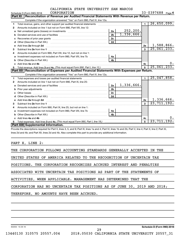|  | CALIFORNIA STATE UNIVERSITY SAN MARCOS |  |
|--|----------------------------------------|--|
|  |                                        |  |

|              | CORPORATION<br>Schedule D (Form 990) 2018                                                                                                                                                                                           |                |            |                | 33-0397688 $_{Page 4}$ |    |
|--------------|-------------------------------------------------------------------------------------------------------------------------------------------------------------------------------------------------------------------------------------|----------------|------------|----------------|------------------------|----|
|              | Reconciliation of Revenue per Audited Financial Statements With Revenue per Return.<br><b>Part XI</b>                                                                                                                               |                |            |                |                        |    |
|              | Complete if the organization answered "Yes" on Form 990, Part IV, line 12a.                                                                                                                                                         |                |            |                |                        |    |
| 1.           | Total revenue, gains, and other support per audited financial statements                                                                                                                                                            |                |            | $\blacksquare$ | 26,650,099.            |    |
| $\mathbf{2}$ | Amounts included on line 1 but not on Form 990, Part VIII, line 12:                                                                                                                                                                 |                |            |                |                        |    |
| a            | Net unrealized gains (losses) on investments [111] [12] matter and all the unrealized gains (losses) on investments                                                                                                                 | 2a             | 252, 200.  |                |                        |    |
| b            |                                                                                                                                                                                                                                     | 2 <sub>b</sub> | 1,336,666. |                |                        |    |
| c            | Recoveries of prior year grants [111] Martin Marcoveries and prior year of prior year grants [11] Marcoveries                                                                                                                       | 2c             |            |                |                        |    |
| d            |                                                                                                                                                                                                                                     | 2d             |            |                |                        |    |
| e            | Add lines 2a through 2d                                                                                                                                                                                                             |                |            | 2e             | 1,588,866.             |    |
| 3            |                                                                                                                                                                                                                                     |                |            | $\mathbf{3}$   | 25,061,233.            |    |
| 4            | Amounts included on Form 990, Part VIII, line 12, but not on line 1:                                                                                                                                                                |                |            |                |                        |    |
| a            |                                                                                                                                                                                                                                     | 4a             |            |                |                        |    |
| b            |                                                                                                                                                                                                                                     | 4 <sub>b</sub> |            |                |                        |    |
| c.           | Add lines 4a and 4b                                                                                                                                                                                                                 |                |            | 4c             |                        | υ. |
| 5.           |                                                                                                                                                                                                                                     |                |            | 5              | 25,061,233.            |    |
|              |                                                                                                                                                                                                                                     |                |            |                |                        |    |
|              | Part XII   Reconciliation of Expenses per Audited Financial Statements With Expenses per Return.                                                                                                                                    |                |            |                |                        |    |
|              | Complete if the organization answered "Yes" on Form 990, Part IV, line 12a.                                                                                                                                                         |                |            |                |                        |    |
| 1            |                                                                                                                                                                                                                                     |                |            | $\blacksquare$ | 25,047,858.            |    |
| 2            | Amounts included on line 1 but not on Form 990, Part IX, line 25:                                                                                                                                                                   |                |            |                |                        |    |
| a            |                                                                                                                                                                                                                                     | 2a             | 1,336,666. |                |                        |    |
| b            | Prior year adjustments www.communication.com/www.communication.com/www.com/                                                                                                                                                         | 2 <sub>b</sub> |            |                |                        |    |
| C            |                                                                                                                                                                                                                                     | 2c             |            |                |                        |    |
| d            |                                                                                                                                                                                                                                     | 2d             |            |                |                        |    |
|              | Add lines 2a through 2d <b>contained a contained a contained a contained a</b> contained a contact the state of the state of the state of the state of the state of the state of the state of the state of the state of the state o |                |            | 2e             | 1,336,666.             |    |
| 3            |                                                                                                                                                                                                                                     |                |            | $\mathbf{a}$   | 23, 711, 192.          |    |
| 4            | Amounts included on Form 990, Part IX, line 25, but not on line 1:                                                                                                                                                                  |                |            |                |                        |    |
| a            |                                                                                                                                                                                                                                     | 4a             |            |                |                        |    |
| b            |                                                                                                                                                                                                                                     | 4 <sub>b</sub> |            |                |                        |    |
|              | Add lines 4a and 4b                                                                                                                                                                                                                 |                |            | 4c             |                        | ο. |
| 5.           | Part XIII Supplemental Information.                                                                                                                                                                                                 |                |            | $\overline{5}$ | 23,711,192.            |    |

Provide the descriptions required for Part II, lines 3, 5, and 9; Part III, lines 1a and 4; Part IV, lines 1b and 2b; Part V, line 4; Part X, line 2; Part XI, lines 2d and 4b; and Part XII, lines 2d and 4b. Also complete this part to provide any additional information.

# PART X, LINE 2:

| THE CORPORATION FOLLOWS ACCOUNTING STANDARDS GENERALLY ACCEPTED IN THE   |  |  |  |  |  |  |  |
|--------------------------------------------------------------------------|--|--|--|--|--|--|--|
| UNITED STATES OF AMERICA RELATED TO THE RECOGNITION OF UNCERTAIN TAX     |  |  |  |  |  |  |  |
| POSITIONS. THE CORPORATION RECOGNIZES ACCRUED INTEREST AND PENALTIES     |  |  |  |  |  |  |  |
| ASSOCIATED WITH UNCERTAIN TAX POSITIONS AS PART OF THE STATEMENTS OF     |  |  |  |  |  |  |  |
| ACTIVITIES, WHEN APPLICABLE. MANAGEMENT HAS DETERMINED THAT THE          |  |  |  |  |  |  |  |
| CORPORATION HAS NO UNCERTAIN TAX POSITIONS AS OF JUNE 30, 2019 AND 2018; |  |  |  |  |  |  |  |
| THEREFORE, NO AMOUNTS HAVE BEEN ACCRUED.                                 |  |  |  |  |  |  |  |
|                                                                          |  |  |  |  |  |  |  |
|                                                                          |  |  |  |  |  |  |  |

832054 10-29-18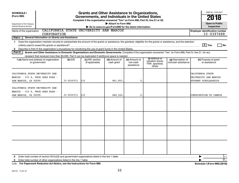| <b>SCHEDULE I</b><br>(Form 990)<br>Department of the Treasury<br><b>Internal Revenue Service</b>                                                                                                                                                                                                                                                                                                                                                                                               |            | <b>Grants and Other Assistance to Organizations,</b><br>Governments, and Individuals in the United States<br>Complete if the organization answered "Yes" on Form 990, Part IV, line 21 or 22. | Attach to Form 990.<br>Go to www.irs.gov/Form990 for the latest information. |                                         |                                                                |                                          | OMB No. 1545-0047<br>2018<br><b>Open to Public</b><br>Inspection  |
|------------------------------------------------------------------------------------------------------------------------------------------------------------------------------------------------------------------------------------------------------------------------------------------------------------------------------------------------------------------------------------------------------------------------------------------------------------------------------------------------|------------|-----------------------------------------------------------------------------------------------------------------------------------------------------------------------------------------------|------------------------------------------------------------------------------|-----------------------------------------|----------------------------------------------------------------|------------------------------------------|-------------------------------------------------------------------|
| Name of the organization<br>CORPORATION                                                                                                                                                                                                                                                                                                                                                                                                                                                        |            | CALIFORNIA STATE UNIVERSITY SAN MARCOS                                                                                                                                                        |                                                                              |                                         |                                                                |                                          | <b>Employer identification number</b><br>33-0397688               |
| Part I<br><b>General Information on Grants and Assistance</b>                                                                                                                                                                                                                                                                                                                                                                                                                                  |            |                                                                                                                                                                                               |                                                                              |                                         |                                                                |                                          |                                                                   |
| Does the organization maintain records to substantiate the amount of the grants or assistance, the grantees' eligibility for the grants or assistance, and the selection<br>$\mathbf 1$<br>Describe in Part IV the organization's procedures for monitoring the use of grant funds in the United States.<br>2<br>Part II<br>Grants and Other Assistance to Domestic Organizations and Domestic Governments. Complete if the organization answered "Yes" on Form 990, Part IV, line 21, for any |            |                                                                                                                                                                                               |                                                                              |                                         |                                                                |                                          | $\boxed{\text{X}}$ Yes<br>l No                                    |
| recipient that received more than \$5,000. Part II can be duplicated if additional space is needed.                                                                                                                                                                                                                                                                                                                                                                                            |            |                                                                                                                                                                                               |                                                                              |                                         |                                                                |                                          |                                                                   |
| <b>1 (a)</b> Name and address of organization<br>or government                                                                                                                                                                                                                                                                                                                                                                                                                                 | (b) EIN    | (c) IRC section<br>(if applicable)                                                                                                                                                            | (d) Amount of<br>cash grant                                                  | (e) Amount of<br>non-cash<br>assistance | (f) Method of<br>valuation (book,<br>FMV, appraisal,<br>other) | (g) Description of<br>noncash assistance | (h) Purpose of grant<br>or assistance                             |
| CALIFORNIA STATE UNIVERSITY SAN<br>MARCOS - 333 S. TWIN OAKS ROAD -<br>SAN MARCOS, CA 92096                                                                                                                                                                                                                                                                                                                                                                                                    | 33-0535371 | 115                                                                                                                                                                                           | 881,803,                                                                     | $\mathbf{0}$                            |                                                                |                                          | CALIFORNIA STATE<br>UNIVERSITY SAN MARCOS<br>STUDENT SCHOLARSHIPS |
| CALIFORNIA STATE UNIVERSITY SAN<br>MARCOS - 333 S. TWIN OAKS ROAD -<br>SAN MARCOS, CA 92096                                                                                                                                                                                                                                                                                                                                                                                                    | 33-0535371 | 115                                                                                                                                                                                           | 844, 222.                                                                    | 0                                       |                                                                |                                          | CONTRIBUTION TO CAMPUS                                            |
|                                                                                                                                                                                                                                                                                                                                                                                                                                                                                                |            |                                                                                                                                                                                               |                                                                              |                                         |                                                                |                                          |                                                                   |
|                                                                                                                                                                                                                                                                                                                                                                                                                                                                                                |            |                                                                                                                                                                                               |                                                                              |                                         |                                                                |                                          |                                                                   |
|                                                                                                                                                                                                                                                                                                                                                                                                                                                                                                |            |                                                                                                                                                                                               |                                                                              |                                         |                                                                |                                          |                                                                   |
|                                                                                                                                                                                                                                                                                                                                                                                                                                                                                                |            |                                                                                                                                                                                               |                                                                              |                                         |                                                                |                                          |                                                                   |
| 2<br>Enter total number of other organizations listed in the line 1 table<br>3                                                                                                                                                                                                                                                                                                                                                                                                                 |            |                                                                                                                                                                                               |                                                                              |                                         |                                                                |                                          | ı.<br>$\overline{0}$ .                                            |

**For Paperwork Reduction Act Notice, see the Instructions for Form 990. Schedule I (Form 990) (2018)** LHA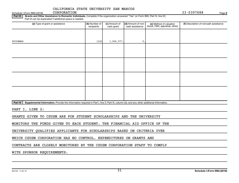CORPORATION 33-0397688

**2**

Part III | Grants and Other Assistance to Domestic Individuals. Complete if the organization answered "Yes" on Form 990, Part IV, line 22. Part III can be duplicated if additional space is needed.

| (a) Type of grant or assistance | (b) Number of<br>recipients | (c) Amount of<br>cash grant | (d) Amount of non-<br>cash assistance | (e) Method of valuation<br>(book, FMV, appraisal, other) | (f) Description of noncash assistance |
|---------------------------------|-----------------------------|-----------------------------|---------------------------------------|----------------------------------------------------------|---------------------------------------|
|                                 |                             |                             |                                       |                                                          |                                       |
| STIPENDS                        | 1221                        | 1,826,977.                  | $\mathfrak o$ .                       |                                                          |                                       |
|                                 |                             |                             |                                       |                                                          |                                       |
|                                 |                             |                             |                                       |                                                          |                                       |
|                                 |                             |                             |                                       |                                                          |                                       |
|                                 |                             |                             |                                       |                                                          |                                       |
|                                 |                             |                             |                                       |                                                          |                                       |
|                                 |                             |                             |                                       |                                                          |                                       |
|                                 |                             |                             |                                       |                                                          |                                       |
|                                 |                             |                             |                                       |                                                          |                                       |

Part IV | Supplemental Information. Provide the information required in Part I, line 2; Part III, column (b); and any other additional information.

PART I, LINE 2:

GRANTS GIVEN TO CSUSM ARE FOR STUDENT SCHOLARSHIPS AND THE UNIVERSITY

MONITORS THE FUNDS GIVEN TO EACH STUDENT. THE FINANCIAL AID OFFICE OF THE

UNIVERSITY QUALIFIES APPLICANTS FOR SCHOLARSHIPS BASED ON CRITERIA OVER

WHICH CSUSM CORPORATION HAS NO CONTROL. EXPENDITURES ON GRANTS AND

CONTRACTS ARE CLOSELY MONITORED BY THE CSUSM CORPORATION STAFF TO COMPLY

WITH SPONSOR REQUIREMENTS.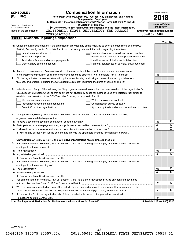|    | <b>Compensation Information</b><br><b>SCHEDULE J</b> |                                                                                                                           |                                       |                            | OMB No. 1545-0047 |                         |  |  |  |
|----|------------------------------------------------------|---------------------------------------------------------------------------------------------------------------------------|---------------------------------------|----------------------------|-------------------|-------------------------|--|--|--|
|    | (Form 990)                                           | For certain Officers, Directors, Trustees, Key Employees, and Highest                                                     |                                       | 2018                       |                   |                         |  |  |  |
|    |                                                      | <b>Compensated Employees</b>                                                                                              |                                       |                            |                   |                         |  |  |  |
|    | Department of the Treasury                           | Complete if the organization answered "Yes" on Form 990, Part IV, line 23.<br>Attach to Form 990.                         |                                       | <b>Open to Public</b>      |                   |                         |  |  |  |
|    | Internal Revenue Service                             | Go to www.irs.gov/Form990 for instructions and the latest information.<br>CALIFORNIA STATE UNIVERSITY SAN MARCOS          |                                       | Inspection                 |                   |                         |  |  |  |
|    | Name of the organization                             |                                                                                                                           | <b>Employer identification number</b> |                            |                   |                         |  |  |  |
|    |                                                      | CORPORATION                                                                                                               |                                       | 33-0397688                 |                   |                         |  |  |  |
|    | Part I                                               | <b>Questions Regarding Compensation</b>                                                                                   |                                       |                            |                   |                         |  |  |  |
|    |                                                      |                                                                                                                           |                                       |                            | Yes               | No                      |  |  |  |
|    |                                                      | 1a Check the appropriate box(es) if the organization provided any of the following to or for a person listed on Form 990, |                                       |                            |                   |                         |  |  |  |
|    |                                                      | Part VII, Section A, line 1a. Complete Part III to provide any relevant information regarding these items.                |                                       |                            |                   |                         |  |  |  |
|    | First-class or charter travel                        | Housing allowance or residence for personal use                                                                           |                                       |                            |                   |                         |  |  |  |
|    | Travel for companions                                | Payments for business use of personal residence                                                                           |                                       |                            |                   |                         |  |  |  |
|    |                                                      | Health or social club dues or initiation fees<br>Tax indemnification and gross-up payments                                |                                       |                            |                   |                         |  |  |  |
|    |                                                      | Discretionary spending account<br>Personal services (such as maid, chauffeur, chef)                                       |                                       |                            |                   |                         |  |  |  |
|    |                                                      |                                                                                                                           |                                       |                            |                   |                         |  |  |  |
|    |                                                      | <b>b</b> If any of the boxes on line 1a are checked, did the organization follow a written policy regarding payment or    |                                       |                            |                   |                         |  |  |  |
|    |                                                      |                                                                                                                           |                                       | 1b                         |                   |                         |  |  |  |
| 2  |                                                      | Did the organization require substantiation prior to reimbursing or allowing expenses incurred by all directors,          |                                       |                            |                   |                         |  |  |  |
|    |                                                      |                                                                                                                           |                                       | $\mathbf{2}$               |                   |                         |  |  |  |
|    |                                                      |                                                                                                                           |                                       |                            |                   |                         |  |  |  |
| 3  |                                                      | Indicate which, if any, of the following the filing organization used to establish the compensation of the organization's |                                       |                            |                   |                         |  |  |  |
|    |                                                      | CEO/Executive Director. Check all that apply. Do not check any boxes for methods used by a related organization to        |                                       |                            |                   |                         |  |  |  |
|    |                                                      | establish compensation of the CEO/Executive Director, but explain in Part III.                                            |                                       |                            |                   |                         |  |  |  |
|    | Compensation committee                               | Written employment contract                                                                                               |                                       |                            |                   |                         |  |  |  |
|    |                                                      | Independent compensation consultant<br>Compensation survey or study                                                       |                                       |                            |                   |                         |  |  |  |
|    |                                                      | Form 990 of other organizations<br>Approval by the board or compensation committee                                        |                                       |                            |                   |                         |  |  |  |
|    |                                                      |                                                                                                                           |                                       |                            |                   |                         |  |  |  |
| 4  |                                                      | During the year, did any person listed on Form 990, Part VII, Section A, line 1a, with respect to the filing              |                                       |                            |                   |                         |  |  |  |
|    | organization or a related organization:              |                                                                                                                           |                                       |                            |                   | x                       |  |  |  |
| а  |                                                      | Receive a severance payment or change-of-control payment?                                                                 |                                       | 4a                         |                   | $\overline{\textbf{x}}$ |  |  |  |
| b  |                                                      |                                                                                                                           |                                       | 4b<br>4c                   |                   | X                       |  |  |  |
| c  |                                                      | If "Yes" to any of lines 4a-c, list the persons and provide the applicable amounts for each item in Part III.             |                                       |                            |                   |                         |  |  |  |
|    |                                                      |                                                                                                                           |                                       |                            |                   |                         |  |  |  |
|    |                                                      | Only section 501(c)(3), 501(c)(4), and 501(c)(29) organizations must complete lines 5-9.                                  |                                       |                            |                   |                         |  |  |  |
|    |                                                      | For persons listed on Form 990, Part VII, Section A, line 1a, did the organization pay or accrue any compensation         |                                       |                            |                   |                         |  |  |  |
|    | contingent on the revenues of:                       |                                                                                                                           |                                       |                            |                   |                         |  |  |  |
|    |                                                      |                                                                                                                           |                                       | 5a                         |                   | x                       |  |  |  |
|    |                                                      |                                                                                                                           |                                       | 5b                         |                   | $\overline{\text{X}}$   |  |  |  |
|    |                                                      | If "Yes" on line 5a or 5b, describe in Part III.                                                                          |                                       |                            |                   |                         |  |  |  |
| 6. |                                                      | For persons listed on Form 990, Part VII, Section A, line 1a, did the organization pay or accrue any compensation         |                                       |                            |                   |                         |  |  |  |
|    | contingent on the net earnings of:                   |                                                                                                                           |                                       |                            |                   |                         |  |  |  |
|    |                                                      |                                                                                                                           |                                       | 6a                         |                   | x                       |  |  |  |
|    |                                                      |                                                                                                                           |                                       | 6b                         |                   | $\overline{\text{X}}$   |  |  |  |
|    |                                                      | If "Yes" on line 6a or 6b, describe in Part III.                                                                          |                                       |                            |                   |                         |  |  |  |
|    |                                                      | 7 For persons listed on Form 990, Part VII, Section A, line 1a, did the organization provide any nonfixed payments        |                                       |                            |                   |                         |  |  |  |
|    |                                                      |                                                                                                                           |                                       | 7                          |                   | x                       |  |  |  |
| 8  |                                                      | Were any amounts reported on Form 990, Part VII, paid or accrued pursuant to a contract that was subject to the           |                                       |                            |                   |                         |  |  |  |
|    |                                                      |                                                                                                                           |                                       | 8                          |                   | х                       |  |  |  |
| 9  |                                                      | If "Yes" on line 8, did the organization also follow the rebuttable presumption procedure described in                    |                                       |                            |                   |                         |  |  |  |
|    |                                                      |                                                                                                                           |                                       | 9                          |                   |                         |  |  |  |
|    |                                                      | LHA For Paperwork Reduction Act Notice, see the Instructions for Form 990.                                                |                                       | Schedule J (Form 990) 2018 |                   |                         |  |  |  |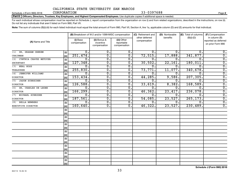Schedule J (Form 990) 2018  $CORPORTION$  33 - 0397688 CORPORATION

**2**

Part II | Officers, Directors, Trustees, Key Employees, and Highest Compensated Employees. Use duplicate copies if additional space is needed.

For each individual whose compensation must be reported on Schedule J, report compensation from the organization on row (i) and from related organizations, described in the instructions, on row (ii). Do not list any individuals that aren't listed on Form 990, Part VII.

Note: The sum of columns (B)(i)-(iii) for each listed individual must equal the total amount of Form 990, Part VII, Section A, line 1a, applicable column (D) and (E) amounts for that individual.

|                            |      | (B) Breakdown of W-2 and/or 1099-MISC compensation |                             | (C) Retirement and          | (D) Nontaxable                 | (E) Total of columns | (F) Compensation |                                                            |  |
|----------------------------|------|----------------------------------------------------|-----------------------------|-----------------------------|--------------------------------|----------------------|------------------|------------------------------------------------------------|--|
| (A) Name and Title         |      | (i) Base<br>compensation                           | (ii) Bonus &<br>incentive   | (iii) Other<br>reportable   | other deferred<br>compensation | benefits             | $(B)(i)-(D)$     | in column (B)<br>reported as deferred<br>on prior Form 990 |  |
|                            |      |                                                    | compensation                | compensation                |                                |                      |                  |                                                            |  |
| DR. GRAHAM OBEREM<br>(1)   | (i)  | 0.                                                 | Ο.                          | 0.                          | 0.                             | 0.                   | $\Omega$ .       | $0$ .                                                      |  |
| CHAIRMAN                   | (ii) | 251,474.                                           | $\overline{0}$ .            | $\overline{\mathbf{0}}$ .   | 72,515.                        | 17,888.              | 341,877.         | $\overline{0}$ .                                           |  |
| (2) CYNTHIA CHAVEZ METOYER | (i)  | 0.                                                 | $\overline{0}$ .            | 0.                          | 0.                             | 0.                   | $\overline{0}$ . | $\overline{0}$ .                                           |  |
| SECRETARY                  | (i)  | 127, 348.                                          | $\overline{0}$ .            | 0.                          | 30,502.                        | 22,161               | 180,011          | $\overline{0}$ .                                           |  |
| (3) NEAL HOSS              | (i)  | $\overline{0}$ .                                   | σ.                          | $\overline{0}$ .            | $\Omega$ .                     | 0                    | $\Omega$         | $\overline{0}$ .                                           |  |
| TREASURER                  | (ii) | 255,830.                                           | σ.                          | $\overline{\mathfrak{o}}$ . | 73,771.                        | 11,077               | 340,678.         | $\overline{0}$ .                                           |  |
| (4) JENNIFER WILLIAMS      | (i)  | Ο.                                                 | σ.                          | $\overline{0}$ .            | $\Omega$ .                     | 0.                   | $\overline{0}$   | $\overline{0}$ .                                           |  |
| <b>DIRECTOR</b>            | (ii) | 153,434.                                           | $\overline{\mathfrak{o}}$ . | $\overline{\mathbf{0}}$ .   | 44,285.                        | 9,586.               | 207, 305.        | $\overline{0}$ .                                           |  |
| (5) JASON SCHREIBER        | (i)  | Ο.                                                 | $\overline{\mathfrak{o}}$ . | $\overline{\mathbf{0}}$ .   | 0.                             | 0.                   | $\overline{0}$ . | $\overline{0}$ .                                           |  |
| <b>DIRECTOR</b>            | (ii) | 126,588.                                           | $\overline{0}$ .            | $\overline{\mathbf{0}}$ .   | 33,619.                        | 8,382.               | 168,589.         | $\overline{0}$ .                                           |  |
| (6) DR. CHARLES DE LEONE   | (i)  | Ο.                                                 | $\overline{0}$ .            | $\overline{0}$ .            | О.                             | 0.                   | $\mathbf 0$ .    | $\overline{0}$ .                                           |  |
| <b>DIRECTOR</b>            | (i)  | 166, 299.                                          | $\overline{0}$ .            | $\overline{\mathbf{0}}$ .   | 46,362.                        | 23,417               | 236,078.         | $\overline{0}$ .                                           |  |
| (7) MICHAEL SCHRODER       | (i)  | Ο.                                                 | $\overline{0}$ .            | $\overline{0}$ .            | О.                             | 0.                   | 0.               | $\overline{0}$ .                                           |  |
| <b>DIRECTOR</b>            | (ii) | 187,561.                                           | $\overline{0}$ .            | $\overline{0}$ .            | 54,085.                        | 23,527.              | 265, 173.        | $\overline{0}$ .                                           |  |
| (8) BELLA NEWBERG          | (i)  | $\overline{0}$ .                                   | $\overline{\mathfrak{o}}$ . | $\overline{0}$ .            | σ.                             | Ο.                   | $\overline{0}$ . | $\overline{0}$ .                                           |  |
| EXECUTIVE DIRECTOR         | (ii) | 160,640.                                           | $\overline{\mathfrak{o}}$ . | $\overline{0}$ .            | 46,322.                        | 23,527.              | 230,489.         | $\overline{0}$ .                                           |  |
|                            | (i)  |                                                    |                             |                             |                                |                      |                  |                                                            |  |
|                            | (ii) |                                                    |                             |                             |                                |                      |                  |                                                            |  |
|                            | (i)  |                                                    |                             |                             |                                |                      |                  |                                                            |  |
|                            | (i)  |                                                    |                             |                             |                                |                      |                  |                                                            |  |
|                            | (i)  |                                                    |                             |                             |                                |                      |                  |                                                            |  |
|                            | (i)  |                                                    |                             |                             |                                |                      |                  |                                                            |  |
|                            | (i)  |                                                    |                             |                             |                                |                      |                  |                                                            |  |
|                            | (ii) |                                                    |                             |                             |                                |                      |                  |                                                            |  |
|                            | (i)  |                                                    |                             |                             |                                |                      |                  |                                                            |  |
|                            | (i)  |                                                    |                             |                             |                                |                      |                  |                                                            |  |
|                            | (i)  |                                                    |                             |                             |                                |                      |                  |                                                            |  |
|                            | (i)  |                                                    |                             |                             |                                |                      |                  |                                                            |  |
|                            | (i)  |                                                    |                             |                             |                                |                      |                  |                                                            |  |
|                            | (i)  |                                                    |                             |                             |                                |                      |                  |                                                            |  |
|                            | (i)  |                                                    |                             |                             |                                |                      |                  |                                                            |  |
|                            | (ii) |                                                    |                             |                             |                                |                      |                  |                                                            |  |

**Schedule J (Form 990) 2018**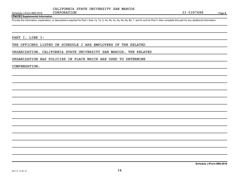Schedule J (Form 990) 2018 CORPORATION CORPORATION

### **Part III Supplemental Information**

Provide the information, explanation, or descriptions required for Part I, lines 1a, 1b, 3, 4a, 4b, 4c, 5a, 5b, 6a, 6b, 7, and 8, and for Part II. Also complete this part for any additional information.

PART I, LINE 3:

THE OFFICERS LISTED ON SCHEDULE J ARE EMPLOYEES OF THE RELATED

CORPORATION 33-0397688

ORGANIZATION, CALIFORNIA STATE UNIVERSITY SAN MARCOS. THE RELATED

ORGANIZATION HAS POLICIES IN PLACE WHICH ARE USED TO DETERMINE

COMPENSATION.

**Schedule J (Form 990) 2018**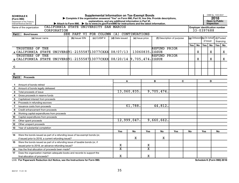|                | <b>Supplemental Information on Tax-Exempt Bonds</b><br><b>SCHEDULE K</b><br>Complete if the organization answered "Yes" on Form 990, Part IV, line 24a. Provide descriptions,<br>(Form 990)<br>explanations, and any additional information in Part VI.<br>Department of the Treasury<br>Attach to Form 990. $\triangleright$ Go to www.irs.gov/Form990 for instructions and the latest information.<br>Internal Revenue Service |                 |  |                                                                             |                 |                       |                           |                         |                     |                            |                                       | OMB No. 1545-0047<br>2018<br>Open to Public<br>Inspection |                                          |           |         |           |  |
|----------------|----------------------------------------------------------------------------------------------------------------------------------------------------------------------------------------------------------------------------------------------------------------------------------------------------------------------------------------------------------------------------------------------------------------------------------|-----------------|--|-----------------------------------------------------------------------------|-----------------|-----------------------|---------------------------|-------------------------|---------------------|----------------------------|---------------------------------------|-----------------------------------------------------------|------------------------------------------|-----------|---------|-----------|--|
|                | CALIFORNIA STATE UNIVERSITY SAN MARCOS<br>Name of the organization<br>33-0397688<br>CORPORATION                                                                                                                                                                                                                                                                                                                                  |                 |  |                                                                             |                 |                       |                           |                         |                     |                            | <b>Employer identification number</b> |                                                           |                                          |           |         |           |  |
| Part I         | <b>Bond Issues</b>                                                                                                                                                                                                                                                                                                                                                                                                               |                 |  | SEE PART VI FOR COLUMN                                                      |                 | (A)                   | <b>CONTINUATIONS</b>      |                         |                     |                            |                                       |                                                           |                                          |           |         |           |  |
|                |                                                                                                                                                                                                                                                                                                                                                                                                                                  | (a) Issuer name |  | (b) Issuer EIN                                                              | $(c)$ CUSIP $#$ | (d) Date issued       |                           | (e) Issue price         |                     | (f) Description of purpose |                                       |                                                           | (g) Defeased (h) On behalf<br>(i) Pooled |           |         |           |  |
|                |                                                                                                                                                                                                                                                                                                                                                                                                                                  |                 |  |                                                                             |                 |                       |                           |                         |                     |                            |                                       |                                                           |                                          | of issuer |         | financing |  |
|                |                                                                                                                                                                                                                                                                                                                                                                                                                                  |                 |  |                                                                             |                 |                       |                           |                         |                     |                            | Yes                                   | No                                                        | Yes                                      | <b>No</b> | Yes $ $ | No        |  |
|                | TRUSTEES OF THE                                                                                                                                                                                                                                                                                                                                                                                                                  |                 |  |                                                                             |                 |                       |                           |                         | <b>REFUND PRIOR</b> |                            |                                       |                                                           |                                          |           |         |           |  |
|                |                                                                                                                                                                                                                                                                                                                                                                                                                                  |                 |  | A CALIFORNIA STATE UNIVERS 91-2155587 13077 CXXX 08/07/13   13060835. ISSUE |                 |                       |                           |                         |                     |                            |                                       | X                                                         |                                          | X         |         | х         |  |
|                | TRUSTEES OF THE                                                                                                                                                                                                                                                                                                                                                                                                                  |                 |  |                                                                             |                 |                       |                           |                         | <b>REFUND PRIOR</b> |                            |                                       |                                                           |                                          |           |         |           |  |
|                |                                                                                                                                                                                                                                                                                                                                                                                                                                  |                 |  | B CALIFORNIA STATE UNIVERS 91-2155587 13077 CXXX 08/20/14 9,705,474. ISSUE  |                 |                       |                           |                         |                     |                            |                                       | х                                                         |                                          | x         |         | Χ         |  |
|                |                                                                                                                                                                                                                                                                                                                                                                                                                                  |                 |  |                                                                             |                 |                       |                           |                         |                     |                            |                                       |                                                           |                                          |           |         |           |  |
| C              |                                                                                                                                                                                                                                                                                                                                                                                                                                  |                 |  |                                                                             |                 |                       |                           |                         |                     |                            |                                       |                                                           |                                          |           |         |           |  |
|                |                                                                                                                                                                                                                                                                                                                                                                                                                                  |                 |  |                                                                             |                 |                       |                           |                         |                     |                            |                                       |                                                           |                                          |           |         |           |  |
| D              |                                                                                                                                                                                                                                                                                                                                                                                                                                  |                 |  |                                                                             |                 |                       |                           |                         |                     |                            |                                       |                                                           |                                          |           |         |           |  |
| Part II        | <b>Proceeds</b>                                                                                                                                                                                                                                                                                                                                                                                                                  |                 |  |                                                                             |                 |                       |                           |                         |                     |                            |                                       |                                                           |                                          |           |         |           |  |
|                |                                                                                                                                                                                                                                                                                                                                                                                                                                  |                 |  |                                                                             |                 |                       | A                         |                         | B                   | $\mathbf C$                |                                       |                                                           | D.                                       |           |         |           |  |
|                |                                                                                                                                                                                                                                                                                                                                                                                                                                  |                 |  |                                                                             |                 |                       |                           |                         |                     |                            |                                       |                                                           |                                          |           |         |           |  |
| $\mathbf{2}$   |                                                                                                                                                                                                                                                                                                                                                                                                                                  |                 |  |                                                                             |                 |                       |                           |                         |                     |                            |                                       |                                                           |                                          |           |         |           |  |
| 3              |                                                                                                                                                                                                                                                                                                                                                                                                                                  |                 |  |                                                                             |                 |                       | 13,060,835.<br>9,705,474. |                         |                     |                            |                                       |                                                           |                                          |           |         |           |  |
| 4              |                                                                                                                                                                                                                                                                                                                                                                                                                                  |                 |  |                                                                             |                 |                       |                           |                         |                     |                            |                                       |                                                           |                                          |           |         |           |  |
| 5              |                                                                                                                                                                                                                                                                                                                                                                                                                                  |                 |  |                                                                             |                 |                       |                           |                         |                     |                            |                                       |                                                           |                                          |           |         |           |  |
| 6              | Proceeds in refunding escrows                                                                                                                                                                                                                                                                                                                                                                                                    |                 |  |                                                                             |                 |                       |                           |                         |                     |                            |                                       |                                                           |                                          |           |         |           |  |
| $\overline{7}$ |                                                                                                                                                                                                                                                                                                                                                                                                                                  |                 |  |                                                                             |                 |                       | 61,788.<br>44,812.        |                         |                     |                            |                                       |                                                           |                                          |           |         |           |  |
| 8              | Credit enhancement from proceeds                                                                                                                                                                                                                                                                                                                                                                                                 |                 |  |                                                                             |                 |                       |                           |                         |                     |                            |                                       |                                                           |                                          |           |         |           |  |
| 9              |                                                                                                                                                                                                                                                                                                                                                                                                                                  |                 |  |                                                                             |                 |                       |                           |                         |                     |                            |                                       |                                                           |                                          |           |         |           |  |
| 10             |                                                                                                                                                                                                                                                                                                                                                                                                                                  |                 |  |                                                                             |                 |                       |                           |                         |                     |                            |                                       |                                                           |                                          |           |         |           |  |
| 11             | Other spent proceeds                                                                                                                                                                                                                                                                                                                                                                                                             |                 |  |                                                                             |                 |                       | 12,999,047.               |                         | 9,660,662.          |                            |                                       |                                                           |                                          |           |         |           |  |
| 12             |                                                                                                                                                                                                                                                                                                                                                                                                                                  |                 |  |                                                                             |                 |                       |                           |                         |                     |                            |                                       |                                                           |                                          |           |         |           |  |
| 13             |                                                                                                                                                                                                                                                                                                                                                                                                                                  |                 |  |                                                                             |                 |                       |                           |                         |                     |                            |                                       |                                                           |                                          |           |         |           |  |
|                |                                                                                                                                                                                                                                                                                                                                                                                                                                  |                 |  |                                                                             |                 | Yes                   | No                        | Yes                     | No                  | Yes                        | No                                    |                                                           | <b>Yes</b>                               |           | No      |           |  |
| 14             |                                                                                                                                                                                                                                                                                                                                                                                                                                  |                 |  | Were the bonds issued as part of a refunding issue of tax-exempt bonds (or, |                 |                       |                           |                         |                     |                            |                                       |                                                           |                                          |           |         |           |  |
|                |                                                                                                                                                                                                                                                                                                                                                                                                                                  |                 |  |                                                                             |                 |                       | X                         |                         | х                   |                            |                                       |                                                           |                                          |           |         |           |  |
| 15             |                                                                                                                                                                                                                                                                                                                                                                                                                                  |                 |  | Were the bonds issued as part of a refunding issue of taxable bonds (or, if |                 |                       |                           |                         |                     |                            |                                       |                                                           |                                          |           |         |           |  |
|                |                                                                                                                                                                                                                                                                                                                                                                                                                                  |                 |  |                                                                             |                 | x                     |                           | х                       |                     |                            |                                       |                                                           |                                          |           |         |           |  |
| 16             | Has the final allocation of proceeds been made?                                                                                                                                                                                                                                                                                                                                                                                  |                 |  |                                                                             |                 | $\overline{\text{x}}$ |                           | $\overline{\texttt{x}}$ |                     |                            |                                       |                                                           |                                          |           |         |           |  |
| 17             |                                                                                                                                                                                                                                                                                                                                                                                                                                  |                 |  | Does the organization maintain adequate books and records to support the    |                 |                       |                           |                         |                     |                            |                                       |                                                           |                                          |           |         |           |  |
|                |                                                                                                                                                                                                                                                                                                                                                                                                                                  |                 |  |                                                                             |                 | X                     |                           | х                       |                     |                            |                                       |                                                           |                                          |           |         |           |  |

**For Paperwork Reduction Act Notice, see the Instructions for Form 990. Schedule K (Form 990) 2018** LHA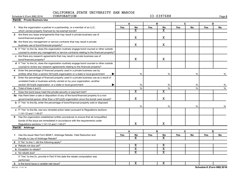#### **2 Part III Private Business Use A B C D 1** Was the organization a partner in a partnership, or a member of an LLC, **2** Are there any lease arrangements that may result in private business use of **Yes No Yes No Yes No Yes No 3a** Are there any management or service contracts that may result in private **b** If "Yes" to line 3a, does the organization routinely engage bond counsel or other outside **c** Are there any research agreements that may result in private business use of **d** If "Yes" to line 3c, does the organization routinely engage bond counsel or other outside **4** Enter the percentage of financed property used in a private business use by **5** Enter the percentage of financed property used in a private business use as a result of **6** Total of lines 4 and 5 **7 8 a** Has there been a sale or disposition of any of the bond-financed property to a non-**9** Has the organization established written procedures to ensure that all nonqualified **b** If "Yes" to line 8a, enter the percentage of bond-financed property sold or disposed **c** If "Yes" to line 8a, was any remedial action taken pursuant to Regulations sections **Part IV Arbitrage A B C D 1** Has the issuer filed Form 8038-T, Arbitrage Rebate, Yield Reduction and **2** If "No" to line 1, did the following apply? **3** Is the bond issue a variable rate issue? **Yes No Yes No Yes No Yes No a** Rebate not due yet? **b** Exception to rebate? **c** No rebate due? Schedule K (Form 990) 2018 CORPORATION CORPORATION which owned property financed by tax-exempt bonds? .................... bond-financed property? ~~~~~~~~~~~~~~~~~~~~~~~~~~~~~~~ business use of bond-financed property? counsel to review any management or service contracts relating to the financed property? bond-financed property? counsel to review any research agreements relating to the financed property? entities other than a section 501(c)(3) organization or a state or local government  $\ldots$   $\blacktriangleright$  |  $\blacktriangleright$  |  $\blacktriangleright$  |  $\blacktriangleright$  |  $\blacktriangleright$  |  $\blacktriangleright$  |  $\blacktriangleright$  |  $\blacktriangleright$  |  $\blacktriangleright$  |  $\blacktriangleright$  |  $\blacktriangleright$  |  $\blacktriangleright$  |  $\blacktriangleright$  | unrelated trade or business activity carried on by your organization, another section 501(c)(3) organization, or a state or local government  $\ldots$  $\ldots$  $\ldots$  $\ldots$   $\blacksquare$ Total of lines 4 and 5 % % % % Does the bond issue meet the private security or payment test? governmental person other than a 501(c)(3) organization since the bonds were issued? of % % % % 1.141-12 and 1.145-2? bonds of the issue are remediated in accordance with the requirements under Regulations sections 1.141-12 and 1.145-2? Penalty in Lieu of Arbitrage Rebate? If "Yes" to line 2c, provide in Part VI the date the rebate computation was performed CORPORATION  $\mathbf{x}$  |  $\mathbf{x}$  $\mathbf{x}$  |  $\mathbf{x}$  $\mathbf{x}$  |  $\mathbf{x}$  $\mathbf{x}$  |  $\mathbf{x}$  $X \qquad | \qquad X$  $\mathbf{x}$  |  $\mathbf{x}$  $\mathbf{x}$  |  $\mathbf{x}$  $X \qquad | \qquad X$  $X \qquad | \qquad X$  $X \qquad | \qquad X$  $\mathbf{x}$  |  $\mathbf{x}$  $\mathbf{x}$  |  $\mathbf{x}$

**Schedule K (Form 990) 2018**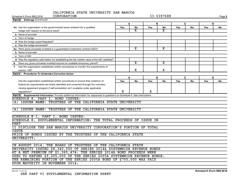| CORPORATION<br>Schedule K (Form 990) 2018                                                                                   |             |                         |     | 33-0397688              |     |             |     | Page 3 |
|-----------------------------------------------------------------------------------------------------------------------------|-------------|-------------------------|-----|-------------------------|-----|-------------|-----|--------|
| Part IV Arbitrage (Continued)                                                                                               |             |                         |     |                         |     |             |     |        |
|                                                                                                                             |             | Α                       |     | В                       |     | C           | D   |        |
| 4a Has the organization or the governmental issuer entered into a qualified                                                 | <b>Yes</b>  | No                      | Yes | No                      | Yes | No          | Yes | No     |
|                                                                                                                             |             | x                       |     | $\overline{\mathbf{X}}$ |     |             |     |        |
|                                                                                                                             |             |                         |     |                         |     |             |     |        |
|                                                                                                                             |             |                         |     |                         |     |             |     |        |
|                                                                                                                             |             |                         |     |                         |     |             |     |        |
|                                                                                                                             |             |                         |     |                         |     |             |     |        |
| 5a Were gross proceeds invested in a guaranteed investment contract (GIC)?                                                  |             | $\overline{\texttt{x}}$ |     | $\overline{\mathbf{X}}$ |     |             |     |        |
|                                                                                                                             |             |                         |     |                         |     |             |     |        |
|                                                                                                                             |             |                         |     |                         |     |             |     |        |
| d Was the regulatory safe harbor for establishing the fair market value of the GIC satisfied?                               |             |                         |     |                         |     |             |     |        |
| 6 Were any gross proceeds invested beyond an available temporary period?                                                    |             | X                       |     | х                       |     |             |     |        |
| 7 Has the organization established written procedures to monitor the requirements of                                        |             |                         |     |                         |     |             |     |        |
|                                                                                                                             |             | x                       |     | X                       |     |             |     |        |
| <b>Procedures To Undertake Corrective Action</b><br>Part V                                                                  |             |                         |     |                         |     |             |     |        |
|                                                                                                                             | A           |                         |     | B                       |     | $\mathbf C$ | D   |        |
| Has the organization established written procedures to ensure that violations of                                            | Yes         | <b>No</b>               | Yes | <b>No</b>               | Yes | <b>No</b>   | Yes | No     |
| federal tax requirements are timely identified and corrected through the voluntary                                          |             |                         |     |                         |     |             |     |        |
| closing agreement program if self-remediation isn't available under applicable                                              |             |                         |     |                         |     |             |     |        |
| regulations?                                                                                                                | $\mathbf X$ |                         | x   |                         |     |             |     |        |
| Part VI Supplemental Information. Provide additional information for responses to questions on Schedule K. See instructions |             |                         |     |                         |     |             |     |        |
| SCHEDULE K, PART I, BOND ISSUES:                                                                                            |             |                         |     |                         |     |             |     |        |
| (A) ISSUER NAME: TRUSTEES OF THE CALIFORNIA STATE UNIVERSITY                                                                |             |                         |     |                         |     |             |     |        |
|                                                                                                                             |             |                         |     |                         |     |             |     |        |
| (A) ISSUER NAME: TRUSTEES OF THE CALIFORNIA STATE UNIVERSITY                                                                |             |                         |     |                         |     |             |     |        |
|                                                                                                                             |             |                         |     |                         |     |             |     |        |
| SCHEDULE K-1, PART I, BOND ISSUES:                                                                                          |             |                         |     |                         |     |             |     |        |
| SCHEDULE K, SUPPLEMENTAL INFORMATION: THE TOTAL PROCEEDS OF ISSUE IN                                                        |             |                         |     |                         |     |             |     |        |
| <b>PART</b>                                                                                                                 |             |                         |     |                         |     |             |     |        |
| II DISCLOSE THE SAN MARCOS UNIVERSITY CORPORATION'S PORTION OF TOTAL                                                        |             |                         |     |                         |     |             |     |        |
| <b>ISSUE</b>                                                                                                                |             |                         |     |                         |     |             |     |        |
| PRICE OF BONDS ISSUED BY THE TRUSTEES OF THE CALIFORNIA STATE                                                               |             |                         |     |                         |     |             |     |        |
| UNIVERSITY.                                                                                                                 |             |                         |     |                         |     |             |     |        |
|                                                                                                                             |             |                         |     |                         |     |             |     |        |
| IN AUGUST 2014, THE BOARD OF TRUSTEES OF THE CALIFORNIA STATE                                                               |             |                         |     |                         |     |             |     |        |
| UNIVERSITY ISSUED \$8,340,000 OF SERIES 2014A SYSTEMWIDE REVENUE BONDS                                                      |             |                         |     |                         |     |             |     |        |
| AT A NET PREMIUM OF \$1,365,474. THE SERIES 2014A BOND PROCEEDS WERE                                                        |             |                         |     |                         |     |             |     |        |
| USED TO REFUND \$9,205,000 OF THE SERIES 2005A SYSTEMWIDE REVENUE BONDS.                                                    |             |                         |     |                         |     |             |     |        |
| THE REMAINING PORTION OF THE SERIES 2005A BOND OF \$705,000 WAS PAID                                                        |             |                         |     |                         |     |             |     |        |
| UPON MATURITY IN NOVEMBER 2014.                                                                                             |             |                         |     |                         |     |             |     |        |

832123 11-01-18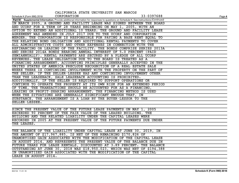| CALIFORNIA STATE UNIVERSITY SAN MARCOS                                                                                                  |        |
|-----------------------------------------------------------------------------------------------------------------------------------------|--------|
| CORPORATION<br>33-0397688<br>Schedule K (Form 990) 2018                                                                                 | Page 4 |
| Part VI Supplemental Information. Provide additional information for responses to questions on Schedule K. See instructions (Continued) |        |
| IN MARCH 2005, A GROUND AND FACILITY LEASE WAS SIGNED BETWEEN THE BOARD                                                                 |        |
| AND UCORP FOR A TERM OF 28 YEARS BEGINNING ON MAY 1, 2005, WITH AN                                                                      |        |
| OPTION TO EXTEND AN ADDITIONAL 10 YEARS. THE GROUND AND FACILITY LEASE                                                                  |        |
| AGREEMENT WAS AMENDED IN JULY 2017 DUE TO THE UCORP AND CORPORATION                                                                     |        |
| MERGER. THE CORPORATION IS RESPONSIBLE FOR PAYING A BASE RENT EQUAL TO                                                                  |        |
| THE RELATING BOND OBLIGATION AND ADDITIONAL RENTAL PAYMENTS TO COVER                                                                    |        |
| ALL ADMINISTRATIVE COSTS AND OTHER EXPENSES IN CONNECTION WITH THE                                                                      |        |
| REFINANCING OR LEASING OF THE FACILITY. THE BONDS COMPRISE SERIES 2013A                                                                 |        |
| AND SERIES 2014A BONDS BEARING ANNUAL INTEREST OF 5.0 PERCENT (PAID                                                                     |        |
| SEMIANNUALLY). RENTAL PAYMENTS ARE SECURED BY A PLEDGE OF ALL UCORP                                                                     |        |
| REVENUES. THE LEASE OBLIGATION DUE TO THE BOARD IS TREATED AS A                                                                         |        |
| FINANCING ARRANGEMENT. ACCOUNTING PRINCIPLES GENERALLY ACCEPTED IN THE                                                                  |        |
| UNITED STATES OF AMERICA PRECLUDE RECOGNITION OF A REAL ESTATE SALE                                                                     |        |
| WHERE THERE IS CONTINUING INVOLVEMENT WITH THE PROPERTY ON THE PART OF                                                                  |        |
| THE SELLER. IF THE SELLER-LESSEE HAS ANY CONTINUING INVOLVEMENT OTHER                                                                   |        |
| THAN THE LEASEBACK, SALE LEASEBACK ACCOUNTING IS PROHIBITED.                                                                            |        |
| ADDITIONALLY, IF THE SELLER IS REQUIRED TO SUPPORT OPERATIONS OR                                                                        |        |
| CONTINUE TO OPERATE THE PROPERTY AT ITS OWN RISK FOR AN EXTENDED PERIOD                                                                 |        |
| OF TIME, THE TRANSACTIONS SHOULD BE ACCOUNTED FOR AS A FINANCING,                                                                       |        |
| LEASING OR PROFIT-SHARING ARRANGEMENT. THE FINANCING METHOD IS USED                                                                     |        |
| WHEN THE SITUATIONS ARE GENERALLY SIGNIFICANT ENOUGH THAT, IN                                                                           |        |
| SUBSTANCE, THE ARRANGEMENT IS A LOAN BY THE BUYER-LESSOR TO THE                                                                         |        |
| SELLER-LESSEE.                                                                                                                          |        |
|                                                                                                                                         |        |
| SINCE THE PRESENT VALUE OF THE FUTURE LEASE PAYMENTS ON MAY 1, 2005                                                                     |        |
| EXCEEDED 90 PERCENT OF THE FAIR VALUE OF THE LEASED BUILDING, THE                                                                       |        |
| BUILDING AND THE RELATED LIABILITY UNDER THE CAPITAL LEASES WERE                                                                        |        |
| RECORDED IN 2005 AT THE PRESENT VALUE OF THE FUTURE PAYMENTS DUE UNDER                                                                  |        |
| THE LEASES.                                                                                                                             |        |
|                                                                                                                                         |        |
| THE BALANCE OF THE LIABILITY UNDER CAPITAL LEASE AT JUNE 30, 2019, IN                                                                   |        |
| THE AMOUNT OF \$17,967,885, IS NET OF THE REMAINING \$170,826 OF                                                                        |        |
| UNAMORTIZED GAIN ASSOCIATED WITH THE MODIFICATION OF THE CAPITAL LEASE                                                                  |        |
| IN AUGUST 2014, AND REPRESENTS THE PRESENT VALUE OF THE BALANCE DUE IN                                                                  |        |
| FUTURE YEARS FOR LEASE RENTALS, DISCOUNTED AT 3.89 PERCENT. THE BALANCE                                                                 |        |
| OUTSTANDING AT JUNE 30, 2018 WAS \$18,950,023, WHICH WAS NET OF \$194,388                                                               |        |
| IN UNAMORTIZED GAIN ASSOCIATED WITH THE MODIFICATION OF THE CAPITAL                                                                     |        |
| LEASE IN AUGUST 2014.                                                                                                                   |        |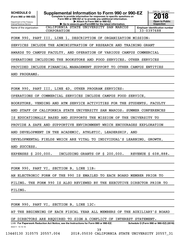**(Form 990 or 990-EZ)**

Department of the Treasury Internal Revenue Service Name of the organization

**Complete to provide information for responses to specific questions on Form 990 or 990-EZ or to provide any additional information.** SCHEDULE O **Supplemental Information to Form 990 or 990-EZ 2018**<br>(Form 990 or 990-EZ) Complete to provide information for responses to specific questions on

**| Attach to Form 990 or 990-EZ. | Go to www.irs.gov/Form990 for the latest information.**

CALIFORNIA STATE UNIVERSITY SAN MARCOS



CORPORATION 33-0397688

FORM 990, PART III, LINE 1, DESCRIPTION OF ORGANIZATION MISSION:

SERVICES INCLUDE THE ADMINISTRATION OF RESEARCH AND TRAINING GRANT

AWARDS TO CAMPUS FACULTY, AND OPERATION OF VARIOUS CAMPUS COMMERCIAL

OPERATIONS INCLUDING THE BOOKSTORE AND FOOD SERVICES. OTHER SERVICES

PROVIDED INCLUDE FINANCIAL MANAGEMENT SUPPORT TO OTHER CAMPUS ENTITIES

AND PROGRAMS.

FORM 990, PART III, LINE 4D, OTHER PROGRAM SERVICES:

OPERATIONS OF COMMERCIAL SERVICES INCLUDE CAMPUS FOOD SERVICE,

BOOKSTORE, VENDING AND ATM SERVICE ACTIVITIES FOR THE STUDENTS, FACULTY

AND STAFF OF CALIFORNIA STATE UNIVERSITY SAN MARCOS. SUMMER CONFERENCES

IS EDUCATIONALLY BASED AND SUPPORTS THE MISSION OF THE UNIVERSITY TO

PROVIDE A SAFE AND SUPPORTIVE ENVIRONMENT WHICH ENCOURAGES EXPLORATION

AND DEVELOPMENT IN THE ACADEMIC, ATHLETIC, LEADERSHIP, AND

DEVELOPMENTAL FIELDS WHICH ARE VITAL TO INDIVIDUAL'S LEARNING, GROWTH,

AND SUCCESS.

EXPENSES \$ 200,000. INCLUDING GRANTS OF \$ 200,000. REVENUE \$ 608,888.

FORM 990, PART VI, SECTION B, LINE 11B:

AN ELECTRONIC FORM OF THE 990 IS EMAILED TO EACH BOARD MEMBER PRIOR TO

FILING. THE FORM 990 IS ALSO REVIEWED BY THE EXECUTIVE DIRECTOR PRIOR TO

FILING.

FORM 990, PART VI, SECTION B, LINE 12C:

AT THE BEGINNING OF EACH FISCAL YEAR ALL MEMBERS OF THE AUXILIARY'S BOARD

OF DIRECTORS ARE REQUIRED TO SIGN A CONFLICT OF INTEREST STATEMENT.

832211 10-10-18 LHA For Paperwork Reduction Act Notice, see the Instructions for Form 990 or 990-EZ. Schedule O (Form 990 or 990-EZ) (2018) 39

13440130 310575 20557.004 2018.05030 CALIFORNIA STATE UNIVERSITY 20557\_31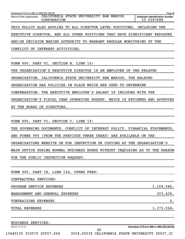| Schedule O (Form 990 or 990-EZ) (2018)                                         | Page 2                                              |
|--------------------------------------------------------------------------------|-----------------------------------------------------|
| Name of the organization CALIFORNIA STATE UNIVERSITY SAN MARCOS<br>CORPORATION | <b>Employer identification number</b><br>33-0397688 |
| THIS POLICY ALSO APPLIES TO ALL DIRECTOR LEVEL POSITIONS, INCLUDING THE        |                                                     |
| EXECUTIVE DIRECTOR, AND ALL OTHER POSITIONS THAT HAVE SIGNIFICANT EXPOSURE     |                                                     |
| AND/OR DECISION MAKING AUTHORITY TO WARRANT REGULAR MONITORING OF THE          |                                                     |
| CONFLICT OF INTEREST ACTIVITIES.                                               |                                                     |

FORM 990, PART VI, SECTION B, LINE 15:

THE ORGANIZATION'S EXECUTIVE DIRECTOR IS AN EMPLOYEE OF THE RELATED

ORGANIZATION, CALIFORNIA STATE UNIVERSITY SAN MARCOS. THE RELATED

ORGANIZATION HAS POLICIES IN PLACE WHICH ARE USED TO DETERMINE

COMPENSATION. THE EXECUTIVE EMPLOYEE'S SALARY IS INCLUDED WITH THE

ORGANIZATION'S FISCAL YEAR OPERATING BUDGET, WHICH IS REVIEWED AND APPROVED BY THE BOARD OF DIRECTORS.

|  |  | FORM 990, PART VI, SECTION C, LINE 19:                                   |  |  |  |  |  |  |  |                                                                             |
|--|--|--------------------------------------------------------------------------|--|--|--|--|--|--|--|-----------------------------------------------------------------------------|
|  |  |                                                                          |  |  |  |  |  |  |  | THE GOVERNING DOCUMENTS, CONFLICT OF INTEREST POLICY, FINANCIAL STATEMENTS, |
|  |  | AND FORMS 990 (FROM THE PREVIOUS THREE YEARS) ARE AVAILABLE ON THE       |  |  |  |  |  |  |  |                                                                             |
|  |  | ORGANIZATIONS WEBSITE OR FOR INSPECTION OR COPYING AT THE ORGANIZATION'S |  |  |  |  |  |  |  |                                                                             |
|  |  |                                                                          |  |  |  |  |  |  |  | MAIN OFFICE DURING NORMAL BUSINESS HOURS WITHOUT INQUIRING AS TO THE REASON |
|  |  | FOR THE PUBLIC INSPECTION REQUEST.                                       |  |  |  |  |  |  |  |                                                                             |

FORM 990, PART IX, LINE 11G, OTHER FEES:

CONTRACTUAL SERVICES:

PROGRAM SERVICE EXPENSES 1,169,586.

MANAGEMENT AND GENERAL EXPENSES 203,438.

FUNDRAISING EXPENSES 0.

TOTAL EXPENSES 1,373,024.

BUSINESS SERVICES:

832212 10-10-18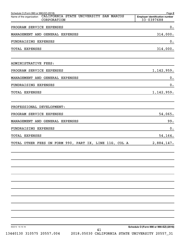| Schedule O (Form 990 or 990-EZ) (2018)<br>CALIFORNIA STATE UNIVERSITY SAN MARCOS<br>Name of the organization | Page 2<br><b>Employer identification number</b> |
|--------------------------------------------------------------------------------------------------------------|-------------------------------------------------|
| CORPORATION                                                                                                  | 33-0397688                                      |
| PROGRAM SERVICE EXPENSES                                                                                     | 0.                                              |
| MANAGEMENT AND GENERAL EXPENSES                                                                              | 314,000.                                        |
| FUNDRAISING EXPENSES                                                                                         | 0.                                              |
| <b>TOTAL EXPENSES</b>                                                                                        | 314,000.                                        |
| ADMINISTRATIVE FEES:                                                                                         |                                                 |
| PROGRAM SERVICE EXPENSES                                                                                     | 1,142,959.                                      |
| MANAGEMENT AND GENERAL EXPENSES                                                                              | 0.                                              |
| FUNDRAISING EXPENSES                                                                                         | 0.                                              |
| <b>TOTAL EXPENSES</b>                                                                                        | 1,142,959.                                      |
| PROFESSIONAL DEVELOPMENT:                                                                                    |                                                 |
| PROGRAM SERVICE EXPENSES                                                                                     | 54,065.                                         |
| MANAGEMENT AND GENERAL EXPENSES                                                                              | 99.                                             |
| FUNDRAISING EXPENSES                                                                                         | 0.                                              |
| <b>TOTAL EXPENSES</b>                                                                                        | 54,164.                                         |
| TOTAL OTHER FEES ON FORM 990, PART IX, LINE 11G, COL A                                                       | 2,884,147.                                      |
|                                                                                                              |                                                 |
|                                                                                                              |                                                 |
|                                                                                                              |                                                 |
|                                                                                                              |                                                 |
|                                                                                                              |                                                 |
|                                                                                                              |                                                 |
|                                                                                                              |                                                 |
| 832212 10-10-18<br>41                                                                                        | Schedule O (Form 990 or 990-EZ) (2018)          |

13440130 310575 20557.004 2018.05030 CALIFORNIA STATE UNIVERSITY 20557\_31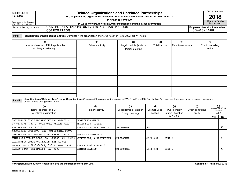| <b>SCHEDULE R</b><br>(Form 990)                                        |                                                                                                                                                                              | <b>Related Organizations and Unrelated Partnerships</b><br>> Complete if the organization answered "Yes" on Form 990, Part IV, line 33, 34, 35b, 36, or 37. | Attach to Form 990.                                 |                                      |                                             |                                     |                                                     | OMB No. 1545-0047<br>2018<br><b>Open to Public</b> |                                                      |
|------------------------------------------------------------------------|------------------------------------------------------------------------------------------------------------------------------------------------------------------------------|-------------------------------------------------------------------------------------------------------------------------------------------------------------|-----------------------------------------------------|--------------------------------------|---------------------------------------------|-------------------------------------|-----------------------------------------------------|----------------------------------------------------|------------------------------------------------------|
| Department of the Treasury<br>Internal Revenue Service                 |                                                                                                                                                                              | Go to www.irs.gov/Form990 for instructions and the latest information.                                                                                      |                                                     |                                      |                                             |                                     |                                                     | Inspection                                         |                                                      |
| Name of the organization                                               | CORPORATION                                                                                                                                                                  | CALIFORNIA STATE UNIVERSITY SAN MARCOS                                                                                                                      |                                                     |                                      |                                             |                                     | <b>Employer identification number</b><br>33-0397688 |                                                    |                                                      |
| Part I                                                                 | Identification of Disregarded Entities. Complete if the organization answered "Yes" on Form 990, Part IV, line 33.                                                           |                                                                                                                                                             |                                                     |                                      |                                             |                                     |                                                     |                                                    |                                                      |
| (a)<br>Name, address, and EIN (if applicable)<br>of disregarded entity |                                                                                                                                                                              | (b)<br>Primary activity                                                                                                                                     | (c)<br>Legal domicile (state or<br>foreign country) | (d)<br>Total income                  | (e)<br>End-of-year assets                   |                                     |                                                     | (f)<br>Direct controlling<br>entity                |                                                      |
|                                                                        |                                                                                                                                                                              |                                                                                                                                                             |                                                     |                                      |                                             |                                     |                                                     |                                                    |                                                      |
|                                                                        |                                                                                                                                                                              |                                                                                                                                                             |                                                     |                                      |                                             |                                     |                                                     |                                                    |                                                      |
|                                                                        |                                                                                                                                                                              |                                                                                                                                                             |                                                     |                                      |                                             |                                     |                                                     |                                                    |                                                      |
|                                                                        | Identification of Related Tax-Exempt Organizations. Complete if the organization answered "Yes" on Form 990, Part IV, line 34, because it had one or more related tax-exempt |                                                                                                                                                             |                                                     |                                      |                                             |                                     |                                                     |                                                    |                                                      |
| Part II                                                                | organizations during the tax year.                                                                                                                                           |                                                                                                                                                             |                                                     |                                      |                                             |                                     |                                                     |                                                    |                                                      |
|                                                                        | (a)<br>Name, address, and EIN<br>of related organization                                                                                                                     | (b)<br>Primary activity                                                                                                                                     | (c)<br>Legal domicile (state or<br>foreign country) | (d)<br><b>Exempt Code</b><br>section | (e)<br>Public charity<br>status (if section | (f)<br>Direct controlling<br>entity |                                                     |                                                    | $(g)$<br>Section 512(b)(13)<br>controlled<br>entity? |
|                                                                        |                                                                                                                                                                              |                                                                                                                                                             |                                                     |                                      | 501(c)(3)                                   |                                     |                                                     | <b>Yes</b>                                         | No                                                   |
|                                                                        | CALIFORNIA STATE UNIVERSITY SAN MARCOS -<br>33-0535371, 333 S. TWIN OAKS VALLEY ROAD                                                                                         | CALIFORNIA STATE<br>UNIVERSITY- HIGHER                                                                                                                      |                                                     |                                      |                                             |                                     |                                                     |                                                    |                                                      |
| SAN MARCOS, CA 92096                                                   |                                                                                                                                                                              | EDUCATIONAL INSTITUTION                                                                                                                                     | CALIFORNIA                                          | 115                                  |                                             |                                     |                                                     |                                                    | $\mathbf X$                                          |
|                                                                        | ASSOCIATED STUDENTS, INC. CALIFORNIA STATE                                                                                                                                   |                                                                                                                                                             |                                                     |                                      |                                             |                                     |                                                     |                                                    |                                                      |
|                                                                        | UNIVERSITY SAN MARCOS - 33-055691 333 S.<br>TWIN OAKS VALLEY ROAD, SAN MARCOS, CA 92096                                                                                      | STUDENT LEADERSHIP,<br>ACTIVITIES, & RECREATION                                                                                                             | CALIFORNIA                                          | 501(C)(3)                            | LINE 5                                      |                                     |                                                     |                                                    | х                                                    |
|                                                                        | CALIFORNIA STATE UNIVERSITY SAN MARCOS                                                                                                                                       |                                                                                                                                                             |                                                     |                                      |                                             |                                     |                                                     |                                                    |                                                      |
|                                                                        | FOUNDATION - 80-0390564, 333 S. TWIN OAKS                                                                                                                                    | <b>FUNDRAISING &amp; GRANTS</b>                                                                                                                             |                                                     |                                      |                                             |                                     |                                                     |                                                    |                                                      |
|                                                                        | VALLEY ROAD, SAN MARCOS, CA 92096                                                                                                                                            | <b>ADMINISTRATION</b>                                                                                                                                       | CALIFORNIA                                          | 501(C)(3)                            | LINE 5                                      |                                     |                                                     |                                                    | $\mathbf X$                                          |
|                                                                        |                                                                                                                                                                              |                                                                                                                                                             |                                                     |                                      |                                             |                                     |                                                     |                                                    |                                                      |
|                                                                        |                                                                                                                                                                              |                                                                                                                                                             |                                                     |                                      |                                             |                                     |                                                     |                                                    |                                                      |
|                                                                        |                                                                                                                                                                              |                                                                                                                                                             |                                                     |                                      |                                             |                                     |                                                     |                                                    |                                                      |

**For Paperwork Reduction Act Notice, see the Instructions for Form 990. Schedule R (Form 990) 2018**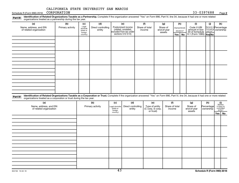Schedule R (Form 990) 2018 CORPORATION **Page 19th CORPORATION** 33-0397688 Page

Part III Identification of Related Organizations Taxable as a Partnership. Complete if the organization answered "Yes" on Form 990, Part IV, line 34, because it had one or more related<br>Read to the organizations tracted as organizations treated as a partnership during the tax year.

| (a)                                                                                                                                                                                                                                                                         | (b)              | (c)                                       | (d)                          |                     | (e)                                                                   | (f)                      | (g)                               | (h)                              |           | (i)                                           | (j)                                           | (k)                                 |  |
|-----------------------------------------------------------------------------------------------------------------------------------------------------------------------------------------------------------------------------------------------------------------------------|------------------|-------------------------------------------|------------------------------|---------------------|-----------------------------------------------------------------------|--------------------------|-----------------------------------|----------------------------------|-----------|-----------------------------------------------|-----------------------------------------------|-------------------------------------|--|
| Name, address, and EIN<br>of related organization                                                                                                                                                                                                                           | Primary activity | Legal<br>domicile<br>(state or<br>foreign | Direct controlling<br>entity |                     | Predominant income<br>(related, unrelated,<br>excluded from tax under | Share of total<br>income | Share of<br>end-of-year<br>assets | Disproportionate<br>allocations? |           | Code V-UBI<br>amount in box<br>20 of Schedule | General or Percentage<br>managing<br>partner? | ownership                           |  |
|                                                                                                                                                                                                                                                                             |                  | country)                                  |                              |                     | sections 512-514)                                                     |                          |                                   | Yes                              | <b>No</b> | K-1 (Form 1065) Yes No                        |                                               |                                     |  |
|                                                                                                                                                                                                                                                                             |                  |                                           |                              |                     |                                                                       |                          |                                   |                                  |           |                                               |                                               |                                     |  |
|                                                                                                                                                                                                                                                                             |                  |                                           |                              |                     |                                                                       |                          |                                   |                                  |           |                                               |                                               |                                     |  |
|                                                                                                                                                                                                                                                                             |                  |                                           |                              |                     |                                                                       |                          |                                   |                                  |           |                                               |                                               |                                     |  |
|                                                                                                                                                                                                                                                                             |                  |                                           |                              |                     |                                                                       |                          |                                   |                                  |           |                                               |                                               |                                     |  |
|                                                                                                                                                                                                                                                                             |                  |                                           |                              |                     |                                                                       |                          |                                   |                                  |           |                                               |                                               |                                     |  |
|                                                                                                                                                                                                                                                                             |                  |                                           |                              |                     |                                                                       |                          |                                   |                                  |           |                                               |                                               |                                     |  |
|                                                                                                                                                                                                                                                                             |                  |                                           |                              |                     |                                                                       |                          |                                   |                                  |           |                                               |                                               |                                     |  |
|                                                                                                                                                                                                                                                                             |                  |                                           |                              |                     |                                                                       |                          |                                   |                                  |           |                                               |                                               |                                     |  |
|                                                                                                                                                                                                                                                                             |                  |                                           |                              |                     |                                                                       |                          |                                   |                                  |           |                                               |                                               |                                     |  |
|                                                                                                                                                                                                                                                                             |                  |                                           |                              |                     |                                                                       |                          |                                   |                                  |           |                                               |                                               |                                     |  |
|                                                                                                                                                                                                                                                                             |                  |                                           |                              |                     |                                                                       |                          |                                   |                                  |           |                                               |                                               |                                     |  |
|                                                                                                                                                                                                                                                                             |                  |                                           |                              |                     |                                                                       |                          |                                   |                                  |           |                                               |                                               |                                     |  |
|                                                                                                                                                                                                                                                                             |                  |                                           |                              |                     |                                                                       |                          |                                   |                                  |           |                                               |                                               |                                     |  |
|                                                                                                                                                                                                                                                                             |                  |                                           |                              |                     |                                                                       |                          |                                   |                                  |           |                                               |                                               |                                     |  |
|                                                                                                                                                                                                                                                                             |                  |                                           |                              |                     |                                                                       |                          |                                   |                                  |           |                                               |                                               |                                     |  |
|                                                                                                                                                                                                                                                                             |                  |                                           |                              |                     |                                                                       |                          |                                   |                                  |           |                                               |                                               |                                     |  |
| Identification of Related Organizations Taxable as a Corporation or Trust. Complete if the organization answered "Yes" on Form 990, Part IV, line 34, because it had one or more related<br>Part IV<br>organizations treated as a corporation or trust during the tax year. |                  |                                           |                              |                     |                                                                       |                          |                                   |                                  |           |                                               |                                               |                                     |  |
| (a)                                                                                                                                                                                                                                                                         |                  |                                           | (b)                          | (c)                 | (d)                                                                   | (e)                      | (f)                               |                                  |           | (g)                                           | (h)                                           | (i)<br>Section                      |  |
| Name, address, and EIN                                                                                                                                                                                                                                                      |                  |                                           | Primary activity             | Legal domicile      | Direct controlling                                                    | Type of entity           | Share of total                    |                                  |           | Share of                                      | Percentage                                    |                                     |  |
| of related organization                                                                                                                                                                                                                                                     |                  |                                           |                              | state or<br>foreign | entity                                                                | (C corp, S corp,         | income                            |                                  |           | end-of-year                                   | ownership                                     | 512(b)(13)<br>controlled<br>entity? |  |
|                                                                                                                                                                                                                                                                             |                  |                                           |                              | country)            |                                                                       | or trust)                |                                   |                                  |           | assets                                        |                                               | Yes   No                            |  |
|                                                                                                                                                                                                                                                                             |                  |                                           |                              |                     |                                                                       |                          |                                   |                                  |           |                                               |                                               |                                     |  |
|                                                                                                                                                                                                                                                                             |                  |                                           |                              |                     |                                                                       |                          |                                   |                                  |           |                                               |                                               |                                     |  |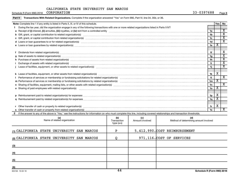Schedule R (Form 990) 2018 CORPORATION **Page 19th CORPORATION** 33-0397688 Page

|  | Part V Transactions With Related Organizations. Complete if the organization answered "Yes" on Form 990, Part IV, line 34, 35b, or 36. |
|--|----------------------------------------------------------------------------------------------------------------------------------------|
|--|----------------------------------------------------------------------------------------------------------------------------------------|

|          | Note: Complete line 1 if any entity is listed in Parts II, III, or IV of this schedule.                                                                                                                                                          |                | Yes | No                                                 |  |  |  |
|----------|--------------------------------------------------------------------------------------------------------------------------------------------------------------------------------------------------------------------------------------------------|----------------|-----|----------------------------------------------------|--|--|--|
| 1.       | During the tax year, did the organization engage in any of the following transactions with one or more related organizations listed in Parts II-IV?                                                                                              |                |     |                                                    |  |  |  |
|          |                                                                                                                                                                                                                                                  | 1a             |     | $\mathbf x$                                        |  |  |  |
|          | b Gift, grant, or capital contribution to related organization(s) [11] manufaction(s) [12] manufaction(s) content of the manufacture of the manufacture of the manufacture of the manufacture of the manufacture of the manufa                   | 1 <sub>b</sub> |     | $\overline{\mathbf{x}}$                            |  |  |  |
|          |                                                                                                                                                                                                                                                  | 1c             |     | $\overline{\texttt{x}}$<br>$\overline{\texttt{x}}$ |  |  |  |
|          | 1 <sub>d</sub><br>d Loans or loan guarantees to or for related organization(s) www.communically.com/www.communically.com/www.communically.com/www.communically.com/www.communically.com/www.communically.com/www.communically.com/www.communical |                |     |                                                    |  |  |  |
|          | e Loans or loan guarantees by related organization(s) material content and content to content the content of the content of the content of the content of the content of the content of the content of the content of the cont<br>1e             |                |     |                                                    |  |  |  |
|          |                                                                                                                                                                                                                                                  |                |     |                                                    |  |  |  |
|          | Dividends from related organization(s) machinesis and contract and contract and contract and contract and contract and contract and contract and contract and contract and contract and contract and contract and contract and                   | 1f             |     | х                                                  |  |  |  |
| a        | Sale of assets to related organization(s) www.assettion.com/www.assettion.com/www.assettion.com/www.assettion.com/www.assettion.com/www.assettion.com/www.assettion.com/www.assettion.com/www.assettion.com/www.assettion.com/                   | 1g             |     | $\overline{\mathbf{x}}$                            |  |  |  |
|          | h Purchase of assets from related organization(s) manufactured and content to content the content of assets from related organization(s)                                                                                                         | 1 <sub>h</sub> |     | $\overline{\text{x}}$                              |  |  |  |
|          | Exchange of assets with related organization(s) macrocommunically contained and an account of the set of an account of the set of an account of the set of an account of the set of an account of the set of an account of the                   | 1i.            |     | $\overline{\mathbf{x}}$                            |  |  |  |
|          |                                                                                                                                                                                                                                                  | 1j             |     | $\overline{\textnormal{x}}$                        |  |  |  |
|          |                                                                                                                                                                                                                                                  |                |     |                                                    |  |  |  |
|          |                                                                                                                                                                                                                                                  | 1k             | х   |                                                    |  |  |  |
|          |                                                                                                                                                                                                                                                  | 11             |     | $\overline{\mathbf{x}}$                            |  |  |  |
|          |                                                                                                                                                                                                                                                  | 1 <sub>m</sub> | X   |                                                    |  |  |  |
|          |                                                                                                                                                                                                                                                  | 1n             |     | $\overline{\mathbf{x}}$                            |  |  |  |
|          | o Sharing of paid employees with related organization(s) manufaction(s) and contain an example and contained and contained and contained and contained and contained and contained and contained and stated organization(s) ma                   | 1 <sub>o</sub> | х   |                                                    |  |  |  |
|          |                                                                                                                                                                                                                                                  |                |     |                                                    |  |  |  |
| <b>D</b> |                                                                                                                                                                                                                                                  | 1 <sub>p</sub> | х   |                                                    |  |  |  |
|          |                                                                                                                                                                                                                                                  | 1q             | х   |                                                    |  |  |  |
|          |                                                                                                                                                                                                                                                  |                |     |                                                    |  |  |  |
|          |                                                                                                                                                                                                                                                  | 1r             | х   |                                                    |  |  |  |
|          |                                                                                                                                                                                                                                                  | 1s             |     | $\overline{\mathbf{X}}$                            |  |  |  |
|          | 2 If the answer to any of the above is "Yes," see the instructions for information on who must complete this line, including covered relationships and transaction thresholds.                                                                   |                |     |                                                    |  |  |  |

| (a)<br>Name of related organization        | (b)<br>Transaction<br>type (a-s) | (c)<br>Amount involved | (d)<br>Method of determining amount involved |
|--------------------------------------------|----------------------------------|------------------------|----------------------------------------------|
| (1) CALIFORNIA STATE UNIVERSITY SAN MARCOS | Ρ                                |                        | 5,412,990.COST REIMBURSEMENT                 |
| (2) CALIFORNIA STATE UNIVERSITY SAN MARCOS | Q                                |                        | 971, 116. COST OF SERVICES                   |
| (3)                                        |                                  |                        |                                              |
| (4)                                        |                                  |                        |                                              |
| (5)                                        |                                  |                        |                                              |
| (6)                                        | $\Lambda$                        |                        |                                              |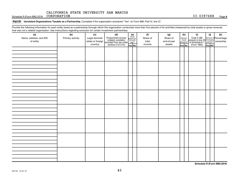Schedule R (Form 990) 2018 CORPORATION **Page 19th CORPORATION** 33-0397688 Page

Part VI Unrelated Organizations Taxable as a Partnership. Complete if the organization answered "Yes" on Form 990, Part IV, line 37.

Provide the following information for each entity taxed as a partnership through which the organization conducted more than five percent of its activities (measured by total assets or gross revenue) that was not a related organization. See instructions regarding exclusion for certain investment partnerships.

| that was not a related erganization. Occ included to regarding excludion for cortain investment partnereinper.<br>(a) | (b)              | (c)                                 |                                                                                                                                                                                                                                                                                                                         |  |  | (f)               | (g)                     |                       | (h)          | (i)                                                                                          | (i)    | $(\mathsf{k})$ |
|-----------------------------------------------------------------------------------------------------------------------|------------------|-------------------------------------|-------------------------------------------------------------------------------------------------------------------------------------------------------------------------------------------------------------------------------------------------------------------------------------------------------------------------|--|--|-------------------|-------------------------|-----------------------|--------------|----------------------------------------------------------------------------------------------|--------|----------------|
| Name, address, and EIN<br>of entity                                                                                   | Primary activity | Legal domicile<br>(state or foreign | ( <b>c)</b><br>Predominant income<br>(related, unrelated, $\begin{bmatrix} \mathbf{e} \\ \text{Areaall} \\ \text{reculated} \\ \text{exculated from tax under} \\ \text{sections 512-514} \end{bmatrix}$<br>$\begin{bmatrix} \mathbf{e} \\ \text{faill} \\ \text{parameters} \\ \text{for} \\ \text{res} \end{bmatrix}$ |  |  | Share of<br>total | Share of<br>end-of-year | Dispropor-<br>tionate | allocations? | Code V-UBI<br>amount in box 20 managing<br>of Schedule K-1 partner?<br>(Form 1065)<br>ves No |        |                |
|                                                                                                                       |                  | country)                            |                                                                                                                                                                                                                                                                                                                         |  |  | income            | assets                  | Yes No                |              |                                                                                              | Yes NO |                |
|                                                                                                                       |                  |                                     |                                                                                                                                                                                                                                                                                                                         |  |  |                   |                         |                       |              |                                                                                              |        |                |
|                                                                                                                       |                  |                                     |                                                                                                                                                                                                                                                                                                                         |  |  |                   |                         |                       |              |                                                                                              |        |                |
|                                                                                                                       |                  |                                     |                                                                                                                                                                                                                                                                                                                         |  |  |                   |                         |                       |              |                                                                                              |        |                |
|                                                                                                                       |                  |                                     |                                                                                                                                                                                                                                                                                                                         |  |  |                   |                         |                       |              |                                                                                              |        |                |
|                                                                                                                       |                  |                                     |                                                                                                                                                                                                                                                                                                                         |  |  |                   |                         |                       |              |                                                                                              |        |                |
|                                                                                                                       |                  |                                     |                                                                                                                                                                                                                                                                                                                         |  |  |                   |                         |                       |              |                                                                                              |        |                |
|                                                                                                                       |                  |                                     |                                                                                                                                                                                                                                                                                                                         |  |  |                   |                         |                       |              |                                                                                              |        |                |
|                                                                                                                       |                  |                                     |                                                                                                                                                                                                                                                                                                                         |  |  |                   |                         |                       |              |                                                                                              |        |                |
|                                                                                                                       |                  |                                     |                                                                                                                                                                                                                                                                                                                         |  |  |                   |                         |                       |              |                                                                                              |        |                |
|                                                                                                                       |                  |                                     |                                                                                                                                                                                                                                                                                                                         |  |  |                   |                         |                       |              |                                                                                              |        |                |
|                                                                                                                       |                  |                                     |                                                                                                                                                                                                                                                                                                                         |  |  |                   |                         |                       |              |                                                                                              |        |                |
|                                                                                                                       |                  |                                     |                                                                                                                                                                                                                                                                                                                         |  |  |                   |                         |                       |              |                                                                                              |        |                |
|                                                                                                                       |                  |                                     |                                                                                                                                                                                                                                                                                                                         |  |  |                   |                         |                       |              |                                                                                              |        |                |
|                                                                                                                       |                  |                                     |                                                                                                                                                                                                                                                                                                                         |  |  |                   |                         |                       |              |                                                                                              |        |                |
|                                                                                                                       |                  |                                     |                                                                                                                                                                                                                                                                                                                         |  |  |                   |                         |                       |              |                                                                                              |        |                |
|                                                                                                                       |                  |                                     |                                                                                                                                                                                                                                                                                                                         |  |  |                   |                         |                       |              |                                                                                              |        |                |
|                                                                                                                       |                  |                                     |                                                                                                                                                                                                                                                                                                                         |  |  |                   |                         |                       |              |                                                                                              |        |                |
|                                                                                                                       |                  |                                     |                                                                                                                                                                                                                                                                                                                         |  |  |                   |                         |                       |              |                                                                                              |        |                |
|                                                                                                                       |                  |                                     |                                                                                                                                                                                                                                                                                                                         |  |  |                   |                         |                       |              |                                                                                              |        |                |
|                                                                                                                       |                  |                                     |                                                                                                                                                                                                                                                                                                                         |  |  |                   |                         |                       |              |                                                                                              |        |                |
|                                                                                                                       |                  |                                     |                                                                                                                                                                                                                                                                                                                         |  |  |                   |                         |                       |              |                                                                                              |        |                |
|                                                                                                                       |                  |                                     |                                                                                                                                                                                                                                                                                                                         |  |  |                   |                         |                       |              |                                                                                              |        |                |
|                                                                                                                       |                  |                                     |                                                                                                                                                                                                                                                                                                                         |  |  |                   |                         |                       |              |                                                                                              |        |                |
|                                                                                                                       |                  |                                     |                                                                                                                                                                                                                                                                                                                         |  |  |                   |                         |                       |              |                                                                                              |        |                |
|                                                                                                                       |                  |                                     |                                                                                                                                                                                                                                                                                                                         |  |  |                   |                         |                       |              |                                                                                              |        |                |
|                                                                                                                       |                  |                                     |                                                                                                                                                                                                                                                                                                                         |  |  |                   |                         |                       |              |                                                                                              |        |                |
|                                                                                                                       |                  |                                     |                                                                                                                                                                                                                                                                                                                         |  |  |                   |                         |                       |              |                                                                                              |        |                |
|                                                                                                                       |                  |                                     |                                                                                                                                                                                                                                                                                                                         |  |  |                   |                         |                       |              |                                                                                              |        |                |
|                                                                                                                       |                  |                                     |                                                                                                                                                                                                                                                                                                                         |  |  |                   |                         |                       |              |                                                                                              |        |                |
|                                                                                                                       |                  |                                     |                                                                                                                                                                                                                                                                                                                         |  |  |                   |                         |                       |              |                                                                                              |        |                |
|                                                                                                                       |                  |                                     |                                                                                                                                                                                                                                                                                                                         |  |  |                   |                         |                       |              |                                                                                              |        |                |
|                                                                                                                       |                  |                                     |                                                                                                                                                                                                                                                                                                                         |  |  |                   |                         |                       |              |                                                                                              |        |                |
|                                                                                                                       |                  |                                     |                                                                                                                                                                                                                                                                                                                         |  |  |                   |                         |                       |              |                                                                                              |        |                |
|                                                                                                                       |                  |                                     |                                                                                                                                                                                                                                                                                                                         |  |  |                   |                         |                       |              |                                                                                              |        |                |

**Schedule R (Form 990) 2018**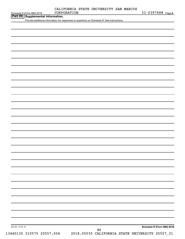|  | CALIFORNIA STATE UNIVERSITY SAN MARCOS |  |
|--|----------------------------------------|--|
|  |                                        |  |

Schedule R (Form 990) 2018 CORPORATION 33-0397688 <sub>Page 5</sub>

| Schedule R (Form 990) 2018 |  |
|----------------------------|--|
|                            |  |

**Part VII Property CORPORATION**<br>**Part VII Supplemental Information.** 

Provide additional information for responses to questions on Schedule R. See instructions.

| 832165 10-02-18           |                                                 |  | Schedule R (Form 990) 2018 |
|---------------------------|-------------------------------------------------|--|----------------------------|
|                           | 46                                              |  |                            |
| 13440130 310575 20557.004 | 2018.05030 CALIFORNIA STATE UNIVERSITY 20557_31 |  |                            |
|                           |                                                 |  |                            |